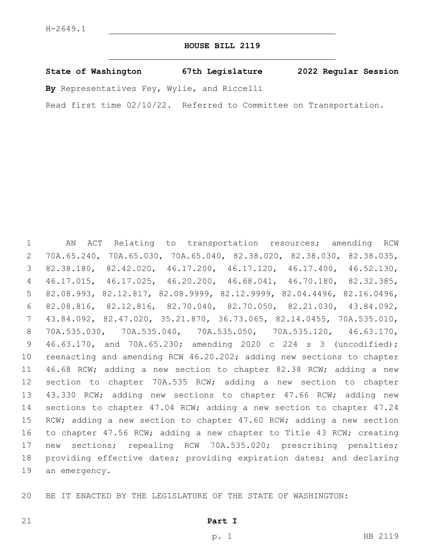## **HOUSE BILL 2119**

**State of Washington 67th Legislature 2022 Regular Session**

**By** Representatives Fey, Wylie, and Riccelli

Read first time 02/10/22. Referred to Committee on Transportation.

 AN ACT Relating to transportation resources; amending RCW 70A.65.240, 70A.65.030, 70A.65.040, 82.38.020, 82.38.030, 82.38.035, 82.38.180, 82.42.020, 46.17.200, 46.17.120, 46.17.400, 46.52.130, 46.17.015, 46.17.025, 46.20.200, 46.68.041, 46.70.180, 82.32.385, 82.08.993, 82.12.817, 82.08.9999, 82.12.9999, 82.04.4496, 82.16.0496, 82.08.816, 82.12.816, 82.70.040, 82.70.050, 82.21.030, 43.84.092, 43.84.092, 82.47.020, 35.21.870, 36.73.065, 82.14.0455, 70A.535.010, 70A.535.030, 70A.535.040, 70A.535.050, 70A.535.120, 46.63.170, 46.63.170, and 70A.65.230; amending 2020 c 224 s 3 (uncodified); reenacting and amending RCW 46.20.202; adding new sections to chapter 46.68 RCW; adding a new section to chapter 82.38 RCW; adding a new section to chapter 70A.535 RCW; adding a new section to chapter 43.330 RCW; adding new sections to chapter 47.66 RCW; adding new sections to chapter 47.04 RCW; adding a new section to chapter 47.24 RCW; adding a new section to chapter 47.60 RCW; adding a new section to chapter 47.56 RCW; adding a new chapter to Title 43 RCW; creating new sections; repealing RCW 70A.535.020; prescribing penalties; providing effective dates; providing expiration dates; and declaring 19 an emergency.

BE IT ENACTED BY THE LEGISLATURE OF THE STATE OF WASHINGTON: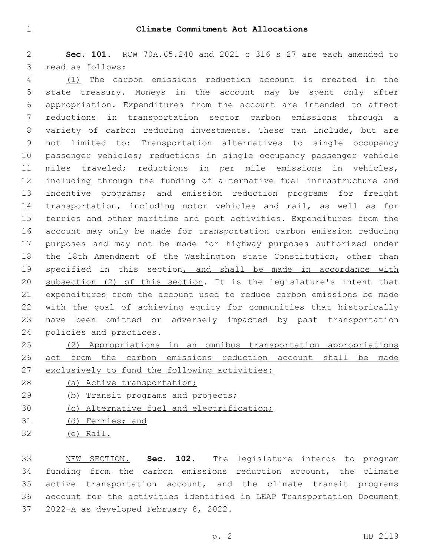**Sec. 101.** RCW 70A.65.240 and 2021 c 316 s 27 are each amended to 3 read as follows:

 (1) The carbon emissions reduction account is created in the state treasury. Moneys in the account may be spent only after appropriation. Expenditures from the account are intended to affect reductions in transportation sector carbon emissions through a variety of carbon reducing investments. These can include, but are not limited to: Transportation alternatives to single occupancy passenger vehicles; reductions in single occupancy passenger vehicle miles traveled; reductions in per mile emissions in vehicles, including through the funding of alternative fuel infrastructure and incentive programs; and emission reduction programs for freight transportation, including motor vehicles and rail, as well as for ferries and other maritime and port activities. Expenditures from the account may only be made for transportation carbon emission reducing purposes and may not be made for highway purposes authorized under the 18th Amendment of the Washington state Constitution, other than 19 specified in this section, and shall be made in accordance with subsection (2) of this section. It is the legislature's intent that expenditures from the account used to reduce carbon emissions be made with the goal of achieving equity for communities that historically have been omitted or adversely impacted by past transportation 24 policies and practices.

 (2) Appropriations in an omnibus transportation appropriations act from the carbon emissions reduction account shall be made exclusively to fund the following activities:

- (a) Active transportation;
- 29 (b) Transit programs and projects;
- (c) Alternative fuel and electrification;
- (d) Ferries; and
- (e) Rail.

 NEW SECTION. **Sec. 102.** The legislature intends to program funding from the carbon emissions reduction account, the climate active transportation account, and the climate transit programs account for the activities identified in LEAP Transportation Document 2022-A as developed February 8, 2022.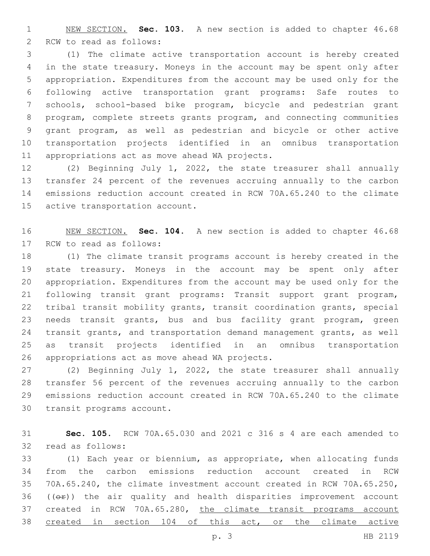NEW SECTION. **Sec. 103.** A new section is added to chapter 46.68 2 RCW to read as follows:

 (1) The climate active transportation account is hereby created in the state treasury. Moneys in the account may be spent only after appropriation. Expenditures from the account may be used only for the following active transportation grant programs: Safe routes to schools, school-based bike program, bicycle and pedestrian grant program, complete streets grants program, and connecting communities grant program, as well as pedestrian and bicycle or other active transportation projects identified in an omnibus transportation 11 appropriations act as move ahead WA projects.

 (2) Beginning July 1, 2022, the state treasurer shall annually transfer 24 percent of the revenues accruing annually to the carbon emissions reduction account created in RCW 70A.65.240 to the climate 15 active transportation account.

 NEW SECTION. **Sec. 104.** A new section is added to chapter 46.68 17 RCW to read as follows:

 (1) The climate transit programs account is hereby created in the state treasury. Moneys in the account may be spent only after appropriation. Expenditures from the account may be used only for the following transit grant programs: Transit support grant program, tribal transit mobility grants, transit coordination grants, special needs transit grants, bus and bus facility grant program, green transit grants, and transportation demand management grants, as well as transit projects identified in an omnibus transportation 26 appropriations act as move ahead WA projects.

 (2) Beginning July 1, 2022, the state treasurer shall annually transfer 56 percent of the revenues accruing annually to the carbon emissions reduction account created in RCW 70A.65.240 to the climate 30 transit programs account.

 **Sec. 105.** RCW 70A.65.030 and 2021 c 316 s 4 are each amended to 32 read as follows:

 (1) Each year or biennium, as appropriate, when allocating funds from the carbon emissions reduction account created in RCW 70A.65.240, the climate investment account created in RCW 70A.65.250, (( $\Theta$ )) the air quality and health disparities improvement account created in RCW 70A.65.280, the climate transit programs account 38 created in section 104 of this act, or the climate active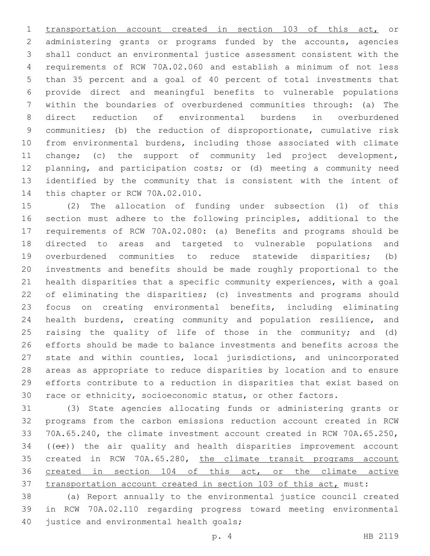transportation account created in section 103 of this act, or administering grants or programs funded by the accounts, agencies shall conduct an environmental justice assessment consistent with the requirements of RCW 70A.02.060 and establish a minimum of not less than 35 percent and a goal of 40 percent of total investments that provide direct and meaningful benefits to vulnerable populations within the boundaries of overburdened communities through: (a) The direct reduction of environmental burdens in overburdened communities; (b) the reduction of disproportionate, cumulative risk from environmental burdens, including those associated with climate change; (c) the support of community led project development, planning, and participation costs; or (d) meeting a community need identified by the community that is consistent with the intent of 14 this chapter or RCW 70A.02.010.

 (2) The allocation of funding under subsection (1) of this section must adhere to the following principles, additional to the requirements of RCW 70A.02.080: (a) Benefits and programs should be directed to areas and targeted to vulnerable populations and overburdened communities to reduce statewide disparities; (b) investments and benefits should be made roughly proportional to the health disparities that a specific community experiences, with a goal of eliminating the disparities; (c) investments and programs should focus on creating environmental benefits, including eliminating health burdens, creating community and population resilience, and raising the quality of life of those in the community; and (d) efforts should be made to balance investments and benefits across the state and within counties, local jurisdictions, and unincorporated areas as appropriate to reduce disparities by location and to ensure efforts contribute to a reduction in disparities that exist based on race or ethnicity, socioeconomic status, or other factors.

 (3) State agencies allocating funds or administering grants or programs from the carbon emissions reduction account created in RCW 70A.65.240, the climate investment account created in RCW 70A.65.250, (( $\Theta$ )) the air quality and health disparities improvement account 35 created in RCW 70A.65.280, the climate transit programs account 36 created in section 104 of this act, or the climate active transportation account created in section 103 of this act, must:

 (a) Report annually to the environmental justice council created in RCW 70A.02.110 regarding progress toward meeting environmental 40 justice and environmental health goals;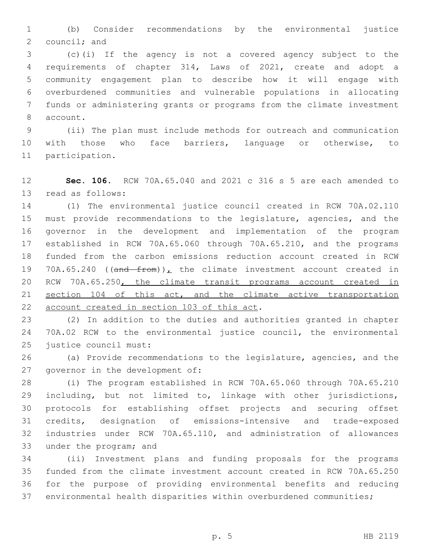(b) Consider recommendations by the environmental justice council; and

 (c)(i) If the agency is not a covered agency subject to the requirements of chapter 314, Laws of 2021, create and adopt a community engagement plan to describe how it will engage with overburdened communities and vulnerable populations in allocating funds or administering grants or programs from the climate investment 8 account.

 (ii) The plan must include methods for outreach and communication with those who face barriers, language or otherwise, to 11 participation.

 **Sec. 106.** RCW 70A.65.040 and 2021 c 316 s 5 are each amended to 13 read as follows:

 (1) The environmental justice council created in RCW 70A.02.110 must provide recommendations to the legislature, agencies, and the governor in the development and implementation of the program established in RCW 70A.65.060 through 70A.65.210, and the programs funded from the carbon emissions reduction account created in RCW 19 70A.65.240 (( $\frac{10}{2}$  from))<sub>L</sub> the climate investment account created in RCW 70A.65.250, the climate transit programs account created in section 104 of this act, and the climate active transportation 22 account created in section 103 of this act.

 (2) In addition to the duties and authorities granted in chapter 70A.02 RCW to the environmental justice council, the environmental 25 justice council must:

 (a) Provide recommendations to the legislature, agencies, and the 27 governor in the development of:

 (i) The program established in RCW 70A.65.060 through 70A.65.210 including, but not limited to, linkage with other jurisdictions, protocols for establishing offset projects and securing offset credits, designation of emissions-intensive and trade-exposed industries under RCW 70A.65.110, and administration of allowances 33 under the program; and

 (ii) Investment plans and funding proposals for the programs funded from the climate investment account created in RCW 70A.65.250 for the purpose of providing environmental benefits and reducing environmental health disparities within overburdened communities;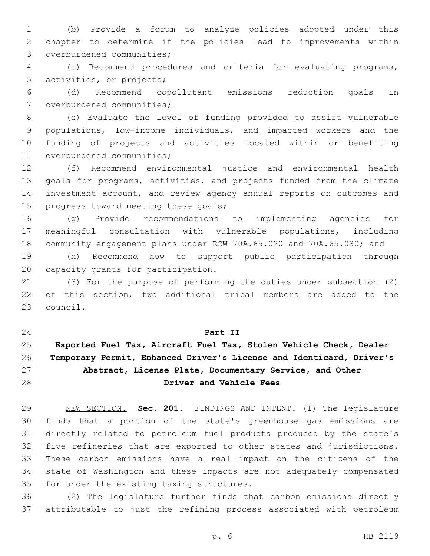(b) Provide a forum to analyze policies adopted under this chapter to determine if the policies lead to improvements within 3 overburdened communities;

 (c) Recommend procedures and criteria for evaluating programs, 5 activities, or projects;

 (d) Recommend copollutant emissions reduction goals in 7 overburdened communities;

 (e) Evaluate the level of funding provided to assist vulnerable populations, low-income individuals, and impacted workers and the funding of projects and activities located within or benefiting 11 overburdened communities;

 (f) Recommend environmental justice and environmental health goals for programs, activities, and projects funded from the climate investment account, and review agency annual reports on outcomes and 15 progress toward meeting these goals;

 (g) Provide recommendations to implementing agencies for meaningful consultation with vulnerable populations, including community engagement plans under RCW 70A.65.020 and 70A.65.030; and

 (h) Recommend how to support public participation through 20 capacity grants for participation.

 (3) For the purpose of performing the duties under subsection (2) of this section, two additional tribal members are added to the 23 council.

## **Part II**

## **Exported Fuel Tax, Aircraft Fuel Tax, Stolen Vehicle Check, Dealer Temporary Permit, Enhanced Driver's License and Identicard, Driver's Abstract, License Plate, Documentary Service, and Other Driver and Vehicle Fees**

 NEW SECTION. **Sec. 201.** FINDINGS AND INTENT. (1) The legislature finds that a portion of the state's greenhouse gas emissions are directly related to petroleum fuel products produced by the state's five refineries that are exported to other states and jurisdictions. These carbon emissions have a real impact on the citizens of the state of Washington and these impacts are not adequately compensated for under the existing taxing structures.

 (2) The legislature further finds that carbon emissions directly attributable to just the refining process associated with petroleum

p. 6 HB 2119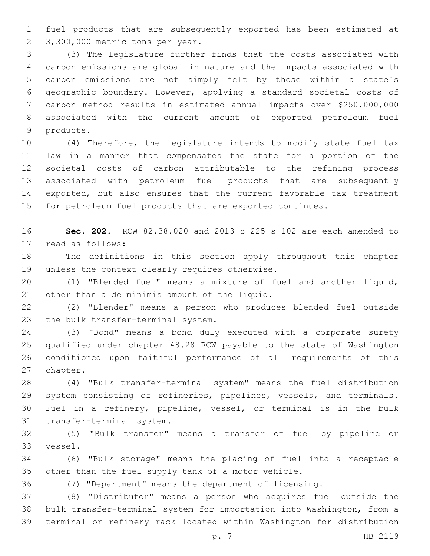fuel products that are subsequently exported has been estimated at 2 3,300,000 metric tons per year.

 (3) The legislature further finds that the costs associated with carbon emissions are global in nature and the impacts associated with carbon emissions are not simply felt by those within a state's geographic boundary. However, applying a standard societal costs of carbon method results in estimated annual impacts over \$250,000,000 associated with the current amount of exported petroleum fuel 9 products.

 (4) Therefore, the legislature intends to modify state fuel tax law in a manner that compensates the state for a portion of the societal costs of carbon attributable to the refining process associated with petroleum fuel products that are subsequently exported, but also ensures that the current favorable tax treatment for petroleum fuel products that are exported continues.

 **Sec. 202.** RCW 82.38.020 and 2013 c 225 s 102 are each amended to 17 read as follows:

 The definitions in this section apply throughout this chapter 19 unless the context clearly requires otherwise.

 (1) "Blended fuel" means a mixture of fuel and another liquid, 21 other than a de minimis amount of the liquid.

 (2) "Blender" means a person who produces blended fuel outside 23 the bulk transfer-terminal system.

 (3) "Bond" means a bond duly executed with a corporate surety qualified under chapter 48.28 RCW payable to the state of Washington conditioned upon faithful performance of all requirements of this 27 chapter.

 (4) "Bulk transfer-terminal system" means the fuel distribution system consisting of refineries, pipelines, vessels, and terminals. Fuel in a refinery, pipeline, vessel, or terminal is in the bulk 31 transfer-terminal system.

 (5) "Bulk transfer" means a transfer of fuel by pipeline or 33 vessel.

 (6) "Bulk storage" means the placing of fuel into a receptacle other than the fuel supply tank of a motor vehicle.

(7) "Department" means the department of licensing.

 (8) "Distributor" means a person who acquires fuel outside the bulk transfer-terminal system for importation into Washington, from a terminal or refinery rack located within Washington for distribution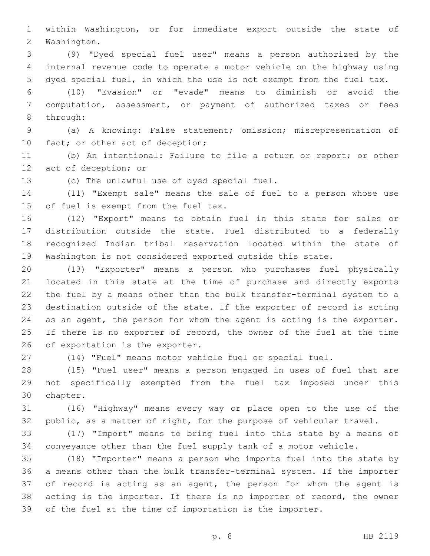within Washington, or for immediate export outside the state of 2 Washington.

 (9) "Dyed special fuel user" means a person authorized by the internal revenue code to operate a motor vehicle on the highway using dyed special fuel, in which the use is not exempt from the fuel tax.

 (10) "Evasion" or "evade" means to diminish or avoid the computation, assessment, or payment of authorized taxes or fees 8 through:

 (a) A knowing: False statement; omission; misrepresentation of 10 fact; or other act of deception;

 (b) An intentional: Failure to file a return or report; or other 12 act of deception; or

13 (c) The unlawful use of dyed special fuel.

 (11) "Exempt sale" means the sale of fuel to a person whose use 15 of fuel is exempt from the fuel tax.

 (12) "Export" means to obtain fuel in this state for sales or distribution outside the state. Fuel distributed to a federally recognized Indian tribal reservation located within the state of Washington is not considered exported outside this state.

 (13) "Exporter" means a person who purchases fuel physically located in this state at the time of purchase and directly exports the fuel by a means other than the bulk transfer-terminal system to a destination outside of the state. If the exporter of record is acting as an agent, the person for whom the agent is acting is the exporter. 25 If there is no exporter of record, the owner of the fuel at the time 26 of exportation is the exporter.

(14) "Fuel" means motor vehicle fuel or special fuel.

 (15) "Fuel user" means a person engaged in uses of fuel that are not specifically exempted from the fuel tax imposed under this 30 chapter.

 (16) "Highway" means every way or place open to the use of the public, as a matter of right, for the purpose of vehicular travel.

 (17) "Import" means to bring fuel into this state by a means of conveyance other than the fuel supply tank of a motor vehicle.

 (18) "Importer" means a person who imports fuel into the state by a means other than the bulk transfer-terminal system. If the importer of record is acting as an agent, the person for whom the agent is acting is the importer. If there is no importer of record, the owner of the fuel at the time of importation is the importer.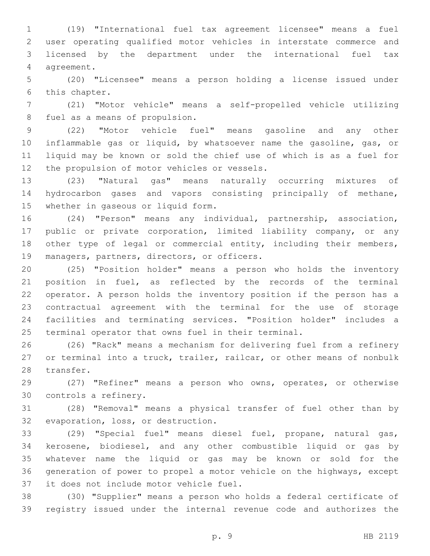(19) "International fuel tax agreement licensee" means a fuel user operating qualified motor vehicles in interstate commerce and licensed by the department under the international fuel tax 4 agreement.

 (20) "Licensee" means a person holding a license issued under 6 this chapter.

 (21) "Motor vehicle" means a self-propelled vehicle utilizing 8 fuel as a means of propulsion.

 (22) "Motor vehicle fuel" means gasoline and any other inflammable gas or liquid, by whatsoever name the gasoline, gas, or liquid may be known or sold the chief use of which is as a fuel for 12 the propulsion of motor vehicles or vessels.

 (23) "Natural gas" means naturally occurring mixtures of hydrocarbon gases and vapors consisting principally of methane, 15 whether in gaseous or liquid form.

 (24) "Person" means any individual, partnership, association, public or private corporation, limited liability company, or any 18 other type of legal or commercial entity, including their members, 19 managers, partners, directors, or officers.

 (25) "Position holder" means a person who holds the inventory position in fuel, as reflected by the records of the terminal operator. A person holds the inventory position if the person has a contractual agreement with the terminal for the use of storage facilities and terminating services. "Position holder" includes a terminal operator that owns fuel in their terminal.

 (26) "Rack" means a mechanism for delivering fuel from a refinery or terminal into a truck, trailer, railcar, or other means of nonbulk 28 transfer.

 (27) "Refiner" means a person who owns, operates, or otherwise 30 controls a refinery.

 (28) "Removal" means a physical transfer of fuel other than by 32 evaporation, loss, or destruction.

 (29) "Special fuel" means diesel fuel, propane, natural gas, kerosene, biodiesel, and any other combustible liquid or gas by whatever name the liquid or gas may be known or sold for the generation of power to propel a motor vehicle on the highways, except 37 it does not include motor vehicle fuel.

 (30) "Supplier" means a person who holds a federal certificate of registry issued under the internal revenue code and authorizes the

p. 9 HB 2119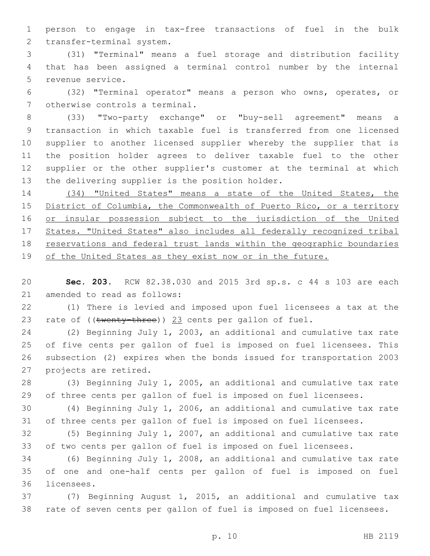person to engage in tax-free transactions of fuel in the bulk 2 transfer-terminal system.

 (31) "Terminal" means a fuel storage and distribution facility that has been assigned a terminal control number by the internal 5 revenue service.

 (32) "Terminal operator" means a person who owns, operates, or 7 otherwise controls a terminal.

 (33) "Two-party exchange" or "buy-sell agreement" means a transaction in which taxable fuel is transferred from one licensed supplier to another licensed supplier whereby the supplier that is the position holder agrees to deliver taxable fuel to the other supplier or the other supplier's customer at the terminal at which 13 the delivering supplier is the position holder.

 (34) "United States" means a state of the United States, the District of Columbia, the Commonwealth of Puerto Rico, or a territory 16 or insular possession subject to the jurisdiction of the United States. "United States" also includes all federally recognized tribal 18 reservations and federal trust lands within the geographic boundaries of the United States as they exist now or in the future.

 **Sec. 203.** RCW 82.38.030 and 2015 3rd sp.s. c 44 s 103 are each 21 amended to read as follows:

 (1) There is levied and imposed upon fuel licensees a tax at the 23 rate of ((twenty-three)) 23 cents per gallon of fuel.

 (2) Beginning July 1, 2003, an additional and cumulative tax rate of five cents per gallon of fuel is imposed on fuel licensees. This subsection (2) expires when the bonds issued for transportation 2003 27 projects are retired.

 (3) Beginning July 1, 2005, an additional and cumulative tax rate of three cents per gallon of fuel is imposed on fuel licensees.

 (4) Beginning July 1, 2006, an additional and cumulative tax rate of three cents per gallon of fuel is imposed on fuel licensees.

 (5) Beginning July 1, 2007, an additional and cumulative tax rate of two cents per gallon of fuel is imposed on fuel licensees.

 (6) Beginning July 1, 2008, an additional and cumulative tax rate of one and one-half cents per gallon of fuel is imposed on fuel 36 licensees.

 (7) Beginning August 1, 2015, an additional and cumulative tax rate of seven cents per gallon of fuel is imposed on fuel licensees.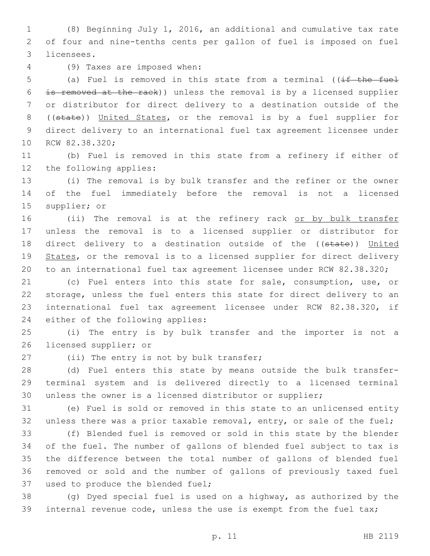(8) Beginning July 1, 2016, an additional and cumulative tax rate of four and nine-tenths cents per gallon of fuel is imposed on fuel 3 licensees.

(9) Taxes are imposed when:4

5 (a) Fuel is removed in this state from a terminal ((if the fuel is removed at the rack)) unless the removal is by a licensed supplier or distributor for direct delivery to a destination outside of the ((state)) United States, or the removal is by a fuel supplier for direct delivery to an international fuel tax agreement licensee under 10 RCW 82.38.320;

 (b) Fuel is removed in this state from a refinery if either of 12 the following applies:

 (i) The removal is by bulk transfer and the refiner or the owner of the fuel immediately before the removal is not a licensed 15 supplier; or

16 (ii) The removal is at the refinery rack or by bulk transfer unless the removal is to a licensed supplier or distributor for 18 direct delivery to a destination outside of the ((state)) United 19 States, or the removal is to a licensed supplier for direct delivery to an international fuel tax agreement licensee under RCW 82.38.320;

 (c) Fuel enters into this state for sale, consumption, use, or storage, unless the fuel enters this state for direct delivery to an international fuel tax agreement licensee under RCW 82.38.320, if 24 either of the following applies:

 (i) The entry is by bulk transfer and the importer is not a 26 licensed supplier; or

27 (ii) The entry is not by bulk transfer;

 (d) Fuel enters this state by means outside the bulk transfer- terminal system and is delivered directly to a licensed terminal unless the owner is a licensed distributor or supplier;

 (e) Fuel is sold or removed in this state to an unlicensed entity 32 unless there was a prior taxable removal, entry, or sale of the fuel;

 (f) Blended fuel is removed or sold in this state by the blender of the fuel. The number of gallons of blended fuel subject to tax is the difference between the total number of gallons of blended fuel removed or sold and the number of gallons of previously taxed fuel 37 used to produce the blended fuel;

 (g) Dyed special fuel is used on a highway, as authorized by the internal revenue code, unless the use is exempt from the fuel tax;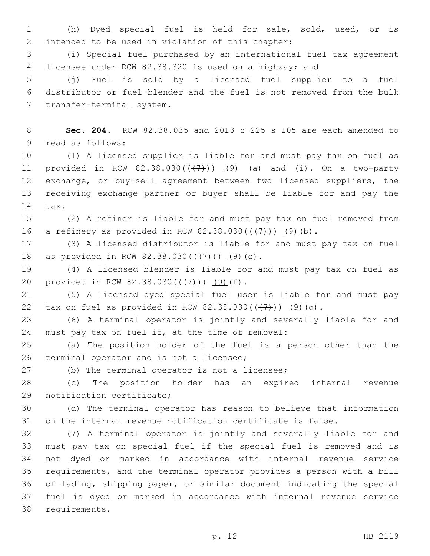(h) Dyed special fuel is held for sale, sold, used, or is 2 intended to be used in violation of this chapter;

 (i) Special fuel purchased by an international fuel tax agreement licensee under RCW 82.38.320 is used on a highway; and

 (j) Fuel is sold by a licensed fuel supplier to a fuel distributor or fuel blender and the fuel is not removed from the bulk 7 transfer-terminal system.

 **Sec. 204.** RCW 82.38.035 and 2013 c 225 s 105 are each amended to 9 read as follows:

 (1) A licensed supplier is liable for and must pay tax on fuel as 11 provided in RCW  $82.38.030((+7))$   $(9)$  (a) and (i). On a two-party exchange, or buy-sell agreement between two licensed suppliers, the receiving exchange partner or buyer shall be liable for and pay the 14 tax.

 (2) A refiner is liable for and must pay tax on fuel removed from 16 a refinery as provided in RCW  $82.38.030((\frac{7}{7}))$   $(9)(b)$ .

 (3) A licensed distributor is liable for and must pay tax on fuel 18 as provided in RCW 82.38.030( $(\frac{7}{7})$ ) (9)(c).

 (4) A licensed blender is liable for and must pay tax on fuel as 20 provided in RCW  $82.38.030((+7))$   $(9)(f)$ .

 (5) A licensed dyed special fuel user is liable for and must pay 22 tax on fuel as provided in RCW  $82.38.030((\frac{17}{1}))$   $(9)(q)$ .

 (6) A terminal operator is jointly and severally liable for and 24 must pay tax on fuel if, at the time of removal:

 (a) The position holder of the fuel is a person other than the 26 terminal operator and is not a licensee;

27 (b) The terminal operator is not a licensee;

 (c) The position holder has an expired internal revenue 29 notification certificate;

 (d) The terminal operator has reason to believe that information on the internal revenue notification certificate is false.

 (7) A terminal operator is jointly and severally liable for and must pay tax on special fuel if the special fuel is removed and is not dyed or marked in accordance with internal revenue service requirements, and the terminal operator provides a person with a bill of lading, shipping paper, or similar document indicating the special fuel is dyed or marked in accordance with internal revenue service 38 requirements.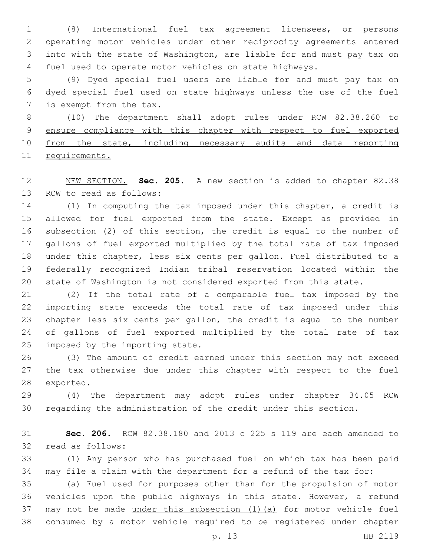(8) International fuel tax agreement licensees, or persons operating motor vehicles under other reciprocity agreements entered into with the state of Washington, are liable for and must pay tax on fuel used to operate motor vehicles on state highways.

 (9) Dyed special fuel users are liable for and must pay tax on dyed special fuel used on state highways unless the use of the fuel 7 is exempt from the tax.

 (10) The department shall adopt rules under RCW 82.38.260 to 9 ensure compliance with this chapter with respect to fuel exported from the state, including necessary audits and data reporting requirements.

 NEW SECTION. **Sec. 205.** A new section is added to chapter 82.38 13 RCW to read as follows:

 (1) In computing the tax imposed under this chapter, a credit is allowed for fuel exported from the state. Except as provided in subsection (2) of this section, the credit is equal to the number of gallons of fuel exported multiplied by the total rate of tax imposed under this chapter, less six cents per gallon. Fuel distributed to a federally recognized Indian tribal reservation located within the state of Washington is not considered exported from this state.

 (2) If the total rate of a comparable fuel tax imposed by the importing state exceeds the total rate of tax imposed under this chapter less six cents per gallon, the credit is equal to the number of gallons of fuel exported multiplied by the total rate of tax 25 imposed by the importing state.

 (3) The amount of credit earned under this section may not exceed the tax otherwise due under this chapter with respect to the fuel 28 exported.

 (4) The department may adopt rules under chapter 34.05 RCW regarding the administration of the credit under this section.

 **Sec. 206.** RCW 82.38.180 and 2013 c 225 s 119 are each amended to 32 read as follows:

 (1) Any person who has purchased fuel on which tax has been paid may file a claim with the department for a refund of the tax for:

 (a) Fuel used for purposes other than for the propulsion of motor vehicles upon the public highways in this state. However, a refund may not be made under this subsection (1)(a) for motor vehicle fuel consumed by a motor vehicle required to be registered under chapter

p. 13 HB 2119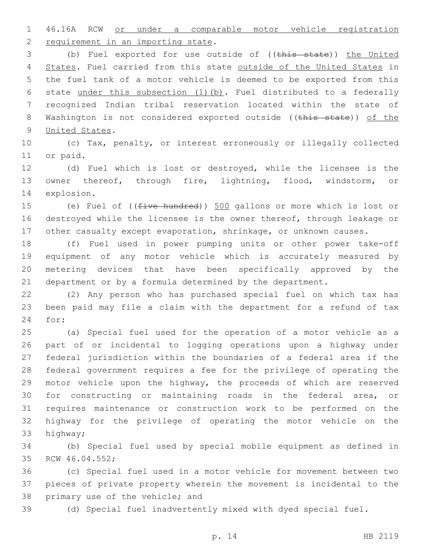46.16A RCW or under a comparable motor vehicle registration 2 requirement in an importing state.

3 (b) Fuel exported for use outside of ((this state)) the United 4 States. Fuel carried from this state outside of the United States in the fuel tank of a motor vehicle is deemed to be exported from this state under this subsection (1)(b). Fuel distributed to a federally recognized Indian tribal reservation located within the state of 8 Washington is not considered exported outside ((this state)) of the 9 United States.

 (c) Tax, penalty, or interest erroneously or illegally collected 11 or paid.

 (d) Fuel which is lost or destroyed, while the licensee is the owner thereof, through fire, lightning, flood, windstorm, or 14 explosion.

 (e) Fuel of ((five hundred)) 500 gallons or more which is lost or destroyed while the licensee is the owner thereof, through leakage or other casualty except evaporation, shrinkage, or unknown causes.

 (f) Fuel used in power pumping units or other power take-off equipment of any motor vehicle which is accurately measured by metering devices that have been specifically approved by the department or by a formula determined by the department.

 (2) Any person who has purchased special fuel on which tax has been paid may file a claim with the department for a refund of tax 24 for:

 (a) Special fuel used for the operation of a motor vehicle as a part of or incidental to logging operations upon a highway under federal jurisdiction within the boundaries of a federal area if the federal government requires a fee for the privilege of operating the motor vehicle upon the highway, the proceeds of which are reserved for constructing or maintaining roads in the federal area, or requires maintenance or construction work to be performed on the highway for the privilege of operating the motor vehicle on the 33 highway;

 (b) Special fuel used by special mobile equipment as defined in 35 RCW 46.04.552;

 (c) Special fuel used in a motor vehicle for movement between two pieces of private property wherein the movement is incidental to the 38 primary use of the vehicle; and

(d) Special fuel inadvertently mixed with dyed special fuel.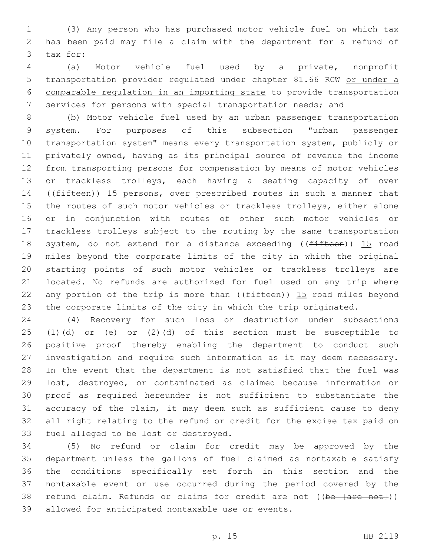(3) Any person who has purchased motor vehicle fuel on which tax has been paid may file a claim with the department for a refund of 3 tax for:

 (a) Motor vehicle fuel used by a private, nonprofit transportation provider regulated under chapter 81.66 RCW or under a comparable regulation in an importing state to provide transportation services for persons with special transportation needs; and

 (b) Motor vehicle fuel used by an urban passenger transportation system. For purposes of this subsection "urban passenger transportation system" means every transportation system, publicly or privately owned, having as its principal source of revenue the income from transporting persons for compensation by means of motor vehicles or trackless trolleys, each having a seating capacity of over 14 ((fifteen)) 15 persons, over prescribed routes in such a manner that the routes of such motor vehicles or trackless trolleys, either alone or in conjunction with routes of other such motor vehicles or trackless trolleys subject to the routing by the same transportation 18 system, do not extend for a distance exceeding ((fifteen)) 15 road miles beyond the corporate limits of the city in which the original starting points of such motor vehicles or trackless trolleys are located. No refunds are authorized for fuel used on any trip where 22 any portion of the trip is more than  $($  ( $f$ ifteen)) 15 road miles beyond the corporate limits of the city in which the trip originated.

 (4) Recovery for such loss or destruction under subsections (1)(d) or (e) or (2)(d) of this section must be susceptible to positive proof thereby enabling the department to conduct such investigation and require such information as it may deem necessary. In the event that the department is not satisfied that the fuel was lost, destroyed, or contaminated as claimed because information or proof as required hereunder is not sufficient to substantiate the accuracy of the claim, it may deem such as sufficient cause to deny all right relating to the refund or credit for the excise tax paid on 33 fuel alleged to be lost or destroyed.

 (5) No refund or claim for credit may be approved by the department unless the gallons of fuel claimed as nontaxable satisfy the conditions specifically set forth in this section and the nontaxable event or use occurred during the period covered by the 38 refund claim. Refunds or claims for credit are not ((be [are not])) 39 allowed for anticipated nontaxable use or events.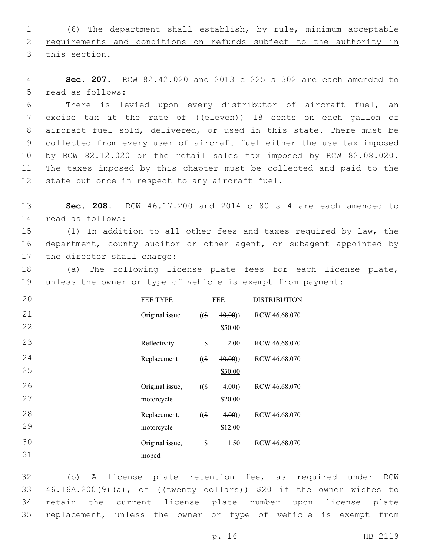1 (6) The department shall establish, by rule, minimum acceptable 2 requirements and conditions on refunds subject to the authority in 3 this section.

4 **Sec. 207.** RCW 82.42.020 and 2013 c 225 s 302 are each amended to 5 read as follows:

 There is levied upon every distributor of aircraft fuel, an 7 excise tax at the rate of ((eleven)) 18 cents on each gallon of aircraft fuel sold, delivered, or used in this state. There must be collected from every user of aircraft fuel either the use tax imposed by RCW 82.12.020 or the retail sales tax imposed by RCW 82.08.020. The taxes imposed by this chapter must be collected and paid to the 12 state but once in respect to any aircraft fuel.

13 **Sec. 208.** RCW 46.17.200 and 2014 c 80 s 4 are each amended to read as follows:14

15 (1) In addition to all other fees and taxes required by law, the 16 department, county auditor or other agent, or subagent appointed by 17 the director shall charge:

18 (a) The following license plate fees for each license plate, 19 unless the owner or type of vehicle is exempt from payment:

| 20 | <b>FEE TYPE</b> | <b>FEE</b> |         | <b>DISTRIBUTION</b> |
|----|-----------------|------------|---------|---------------------|
| 21 | Original issue  | $($ (\$    | (40.00) | RCW 46.68.070       |
| 22 |                 |            | \$50.00 |                     |
| 23 | Reflectivity    | \$         | 2.00    | RCW 46.68.070       |
| 24 | Replacement     | $($ (\$)   | (10.00) | RCW 46.68.070       |
| 25 |                 |            | \$30.00 |                     |
| 26 | Original issue, | $($ (\$    | 4.00)   | RCW 46.68.070       |
| 27 | motorcycle      |            | \$20.00 |                     |
| 28 | Replacement,    | $($ (\$)   | 4.00)   | RCW 46.68.070       |
| 29 | motorcycle      |            | \$12.00 |                     |
| 30 | Original issue, | \$         | 1.50    | RCW 46.68.070       |
| 31 | moped           |            |         |                     |

 (b) A license plate retention fee, as required under RCW  $46.16A.200(9)(a)$ , of ((twenty dollars))  $$20$  if the owner wishes to retain the current license plate number upon license plate replacement, unless the owner or type of vehicle is exempt from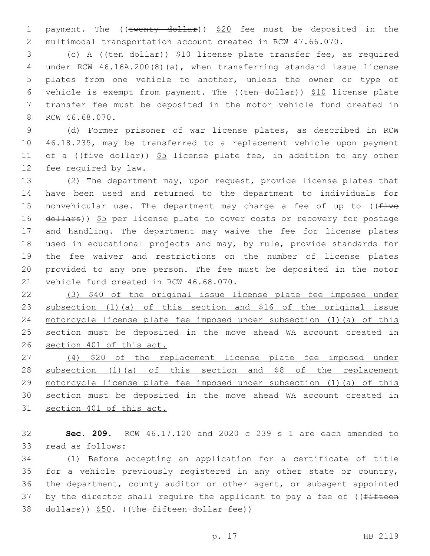1 payment. The ((twenty dollar)) \$20 fee must be deposited in the multimodal transportation account created in RCW 47.66.070.

 (c) A ((ten dollar)) \$10 license plate transfer fee, as required under RCW 46.16A.200(8)(a), when transferring standard issue license plates from one vehicle to another, unless the owner or type of 6 vehicle is exempt from payment. The  $((ten - dollar))$  \$10 license plate transfer fee must be deposited in the motor vehicle fund created in 8 RCW 46.68.070.

 (d) Former prisoner of war license plates, as described in RCW 46.18.235, may be transferred to a replacement vehicle upon payment 11 of a ( $(five-dollar)$ ) \$5 license plate fee, in addition to any other 12 fee required by law.

 (2) The department may, upon request, provide license plates that have been used and returned to the department to individuals for 15 nonvehicular use. The department may charge a fee of up to  $($  ( $\pm i$ ve 16 dollars)) \$5 per license plate to cover costs or recovery for postage and handling. The department may waive the fee for license plates used in educational projects and may, by rule, provide standards for the fee waiver and restrictions on the number of license plates provided to any one person. The fee must be deposited in the motor 21 vehicle fund created in RCW 46.68.070.

 (3) \$40 of the original issue license plate fee imposed under subsection (1)(a) of this section and \$16 of the original issue motorcycle license plate fee imposed under subsection (1)(a) of this 25 section must be deposited in the move ahead WA account created in section 401 of this act.

 (4) \$20 of the replacement license plate fee imposed under 28 subsection (1) (a) of this section and \$8 of the replacement motorcycle license plate fee imposed under subsection (1)(a) of this section must be deposited in the move ahead WA account created in section 401 of this act.

 **Sec. 209.** RCW 46.17.120 and 2020 c 239 s 1 are each amended to 33 read as follows:

 (1) Before accepting an application for a certificate of title for a vehicle previously registered in any other state or country, the department, county auditor or other agent, or subagent appointed 37 by the director shall require the applicant to pay a fee of ((fifteen 38 dollars)) \$50. ((The fifteen dollar fee))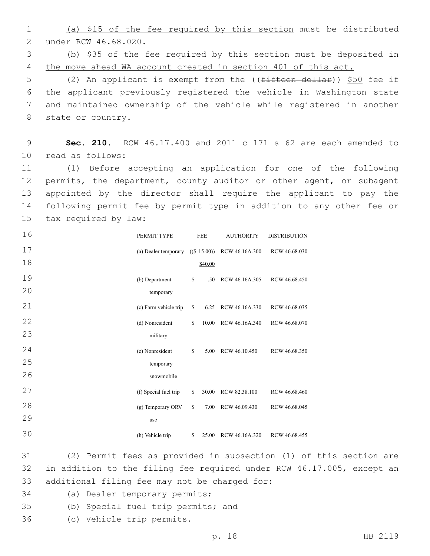1 (a) \$15 of the fee required by this section must be distributed 2 under RCW 46.68.020.

3 (b) \$35 of the fee required by this section must be deposited in 4 the move ahead WA account created in section 401 of this act.

5 (2) An applicant is exempt from the ((fifteen dollar)) \$50 fee if 6 the applicant previously registered the vehicle in Washington state 7 and maintained ownership of the vehicle while registered in another 8 state or country.

9 **Sec. 210.** RCW 46.17.400 and 2011 c 171 s 62 are each amended to 10 read as follows:

 (1) Before accepting an application for one of the following permits, the department, county auditor or other agent, or subagent appointed by the director shall require the applicant to pay the following permit fee by permit type in addition to any other fee or 15 tax required by law:

| 16 | PERMIT TYPE           | <b>FEE</b>     | <b>AUTHORITY</b> | <b>DISTRIBUTION</b> |  |
|----|-----------------------|----------------|------------------|---------------------|--|
| 17 | (a) Dealer temporary  | $((\$ 15.00))$ | RCW 46.16A.300   | RCW 46.68.030       |  |
| 18 |                       | \$40.00        |                  |                     |  |
| 19 | (b) Department        | \$<br>.50      | RCW 46.16A.305   | RCW 46.68.450       |  |
| 20 | temporary             |                |                  |                     |  |
| 21 | (c) Farm vehicle trip | \$<br>6.25     | RCW 46.16A.330   | RCW 46.68.035       |  |
| 22 | (d) Nonresident       | \$<br>10.00    | RCW 46.16A.340   | RCW 46.68.070       |  |
| 23 | military              |                |                  |                     |  |
| 24 | (e) Nonresident       | \$<br>5.00     | RCW 46.10.450    | RCW 46.68.350       |  |
| 25 | temporary             |                |                  |                     |  |
| 26 | snowmobile            |                |                  |                     |  |
| 27 | (f) Special fuel trip | \$<br>30.00    | RCW 82.38.100    | RCW 46.68.460       |  |
| 28 | (g) Temporary ORV     | \$<br>7.00     | RCW 46.09.430    | RCW 46.68.045       |  |
| 29 | use                   |                |                  |                     |  |
| 30 | (h) Vehicle trip      | \$<br>25.00    | RCW 46.16A.320   | RCW 46.68.455       |  |

31 (2) Permit fees as provided in subsection (1) of this section are 32 in addition to the filing fee required under RCW 46.17.005, except an 33 additional filing fee may not be charged for:

- 34 (a) Dealer temporary permits;
- 35 (b) Special fuel trip permits; and
- (c) Vehicle trip permits.36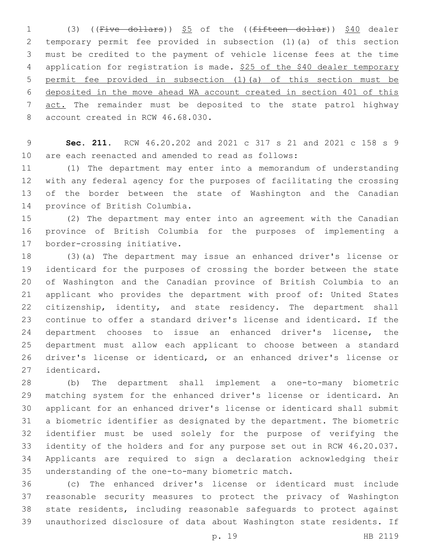1 (3) ((Five dollars)) \$5 of the ((fifteen dollar)) \$40 dealer temporary permit fee provided in subsection (1)(a) of this section must be credited to the payment of vehicle license fees at the time 4 application for registration is made. \$25 of the \$40 dealer temporary permit fee provided in subsection (1)(a) of this section must be deposited in the move ahead WA account created in section 401 of this 7 act. The remainder must be deposited to the state patrol highway 8 account created in RCW 46.68.030.

 **Sec. 211.** RCW 46.20.202 and 2021 c 317 s 21 and 2021 c 158 s 9 are each reenacted and amended to read as follows:

 (1) The department may enter into a memorandum of understanding with any federal agency for the purposes of facilitating the crossing of the border between the state of Washington and the Canadian 14 province of British Columbia.

 (2) The department may enter into an agreement with the Canadian province of British Columbia for the purposes of implementing a 17 border-crossing initiative.

 (3)(a) The department may issue an enhanced driver's license or identicard for the purposes of crossing the border between the state of Washington and the Canadian province of British Columbia to an applicant who provides the department with proof of: United States 22 citizenship, identity, and state residency. The department shall continue to offer a standard driver's license and identicard. If the department chooses to issue an enhanced driver's license, the department must allow each applicant to choose between a standard driver's license or identicard, or an enhanced driver's license or 27 identicard.

 (b) The department shall implement a one-to-many biometric matching system for the enhanced driver's license or identicard. An applicant for an enhanced driver's license or identicard shall submit a biometric identifier as designated by the department. The biometric identifier must be used solely for the purpose of verifying the identity of the holders and for any purpose set out in RCW 46.20.037. Applicants are required to sign a declaration acknowledging their 35 understanding of the one-to-many biometric match.

 (c) The enhanced driver's license or identicard must include reasonable security measures to protect the privacy of Washington state residents, including reasonable safeguards to protect against unauthorized disclosure of data about Washington state residents. If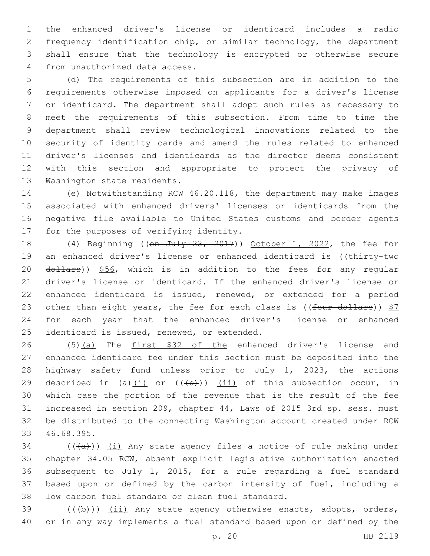the enhanced driver's license or identicard includes a radio frequency identification chip, or similar technology, the department shall ensure that the technology is encrypted or otherwise secure 4 from unauthorized data access.

 (d) The requirements of this subsection are in addition to the requirements otherwise imposed on applicants for a driver's license or identicard. The department shall adopt such rules as necessary to meet the requirements of this subsection. From time to time the department shall review technological innovations related to the security of identity cards and amend the rules related to enhanced driver's licenses and identicards as the director deems consistent with this section and appropriate to protect the privacy of 13 Washington state residents.

 (e) Notwithstanding RCW 46.20.118, the department may make images associated with enhanced drivers' licenses or identicards from the negative file available to United States customs and border agents 17 for the purposes of verifying identity.

18 (4) Beginning ((on July 23, 2017)) October 1, 2022, the fee for 19 an enhanced driver's license or enhanced identicard is ((thirty-two 20 dollars)) \$56, which is in addition to the fees for any regular driver's license or identicard. If the enhanced driver's license or enhanced identicard is issued, renewed, or extended for a period 23 other than eight years, the fee for each class is (( $four$  dollars))  $$7$  for each year that the enhanced driver's license or enhanced 25 identicard is issued, renewed, or extended.

26 (5)(a) The first \$32 of the enhanced driver's license and enhanced identicard fee under this section must be deposited into the highway safety fund unless prior to July 1, 2023, the actions 29 described in (a) $(i)$  or  $((+b))$   $(ii)$  of this subsection occur, in which case the portion of the revenue that is the result of the fee increased in section 209, chapter 44, Laws of 2015 3rd sp. sess. must be distributed to the connecting Washington account created under RCW 33 46.68.395.

 (( $(a+b)$ ) (i) Any state agency files a notice of rule making under chapter 34.05 RCW, absent explicit legislative authorization enacted subsequent to July 1, 2015, for a rule regarding a fuel standard based upon or defined by the carbon intensity of fuel, including a 38 low carbon fuel standard or clean fuel standard.

39 (((b))) (ii) Any state agency otherwise enacts, adopts, orders, or in any way implements a fuel standard based upon or defined by the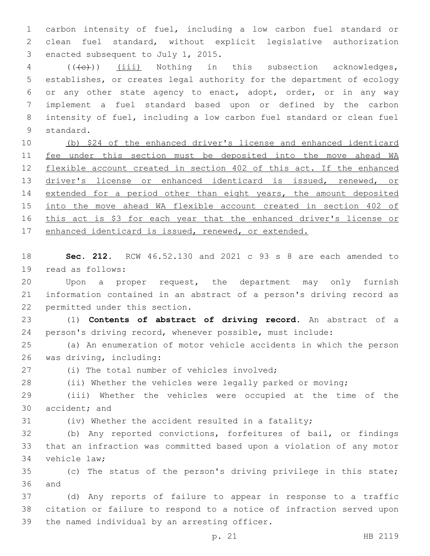1 carbon intensity of fuel, including a low carbon fuel standard or 2 clean fuel standard, without explicit legislative authorization 3 enacted subsequent to July 1, 2015.

4 (((e)) (iii) Nothing in this subsection acknowledges, establishes, or creates legal authority for the department of ecology or any other state agency to enact, adopt, order, or in any way implement a fuel standard based upon or defined by the carbon intensity of fuel, including a low carbon fuel standard or clean fuel 9 standard.

10 (b) \$24 of the enhanced driver's license and enhanced identicard 11 fee under this section must be deposited into the move ahead WA 12 flexible account created in section 402 of this act. If the enhanced 13 driver's license or enhanced identicard is issued, renewed, or 14 extended for a period other than eight years, the amount deposited 15 into the move ahead WA flexible account created in section 402 of 16 this act is \$3 for each year that the enhanced driver's license or 17 enhanced identicard is issued, renewed, or extended.

18 **Sec. 212.** RCW 46.52.130 and 2021 c 93 s 8 are each amended to 19 read as follows:

20 Upon a proper request, the department may only furnish 21 information contained in an abstract of a person's driving record as 22 permitted under this section.

23 (1) **Contents of abstract of driving record.** An abstract of a 24 person's driving record, whenever possible, must include:

25 (a) An enumeration of motor vehicle accidents in which the person 26 was driving, including:

(i) The total number of vehicles involved;

28 (ii) Whether the vehicles were legally parked or moving;

29 (iii) Whether the vehicles were occupied at the time of the 30 accident; and

31 (iv) Whether the accident resulted in a fatality;

32 (b) Any reported convictions, forfeitures of bail, or findings 33 that an infraction was committed based upon a violation of any motor 34 vehicle law;

35 (c) The status of the person's driving privilege in this state; 36 and

37 (d) Any reports of failure to appear in response to a traffic 38 citation or failure to respond to a notice of infraction served upon 39 the named individual by an arresting officer.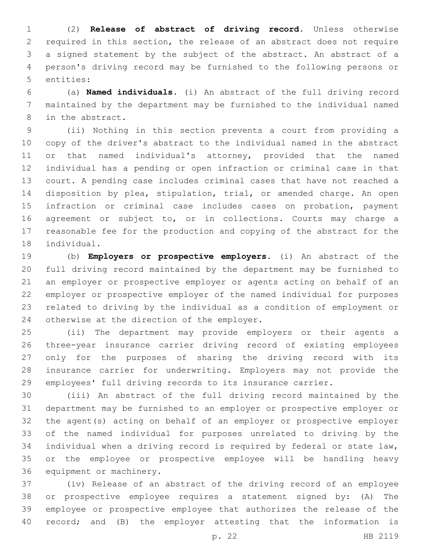(2) **Release of abstract of driving record.** Unless otherwise required in this section, the release of an abstract does not require a signed statement by the subject of the abstract. An abstract of a person's driving record may be furnished to the following persons or 5 entities:

 (a) **Named individuals.** (i) An abstract of the full driving record maintained by the department may be furnished to the individual named 8 in the abstract.

 (ii) Nothing in this section prevents a court from providing a copy of the driver's abstract to the individual named in the abstract or that named individual's attorney, provided that the named individual has a pending or open infraction or criminal case in that court. A pending case includes criminal cases that have not reached a disposition by plea, stipulation, trial, or amended charge. An open infraction or criminal case includes cases on probation, payment agreement or subject to, or in collections. Courts may charge a reasonable fee for the production and copying of the abstract for the 18 individual.

 (b) **Employers or prospective employers.** (i) An abstract of the full driving record maintained by the department may be furnished to an employer or prospective employer or agents acting on behalf of an employer or prospective employer of the named individual for purposes related to driving by the individual as a condition of employment or 24 otherwise at the direction of the employer.

 (ii) The department may provide employers or their agents a three-year insurance carrier driving record of existing employees only for the purposes of sharing the driving record with its insurance carrier for underwriting. Employers may not provide the employees' full driving records to its insurance carrier.

 (iii) An abstract of the full driving record maintained by the department may be furnished to an employer or prospective employer or the agent(s) acting on behalf of an employer or prospective employer of the named individual for purposes unrelated to driving by the individual when a driving record is required by federal or state law, or the employee or prospective employee will be handling heavy 36 equipment or machinery.

 (iv) Release of an abstract of the driving record of an employee or prospective employee requires a statement signed by: (A) The employee or prospective employee that authorizes the release of the record; and (B) the employer attesting that the information is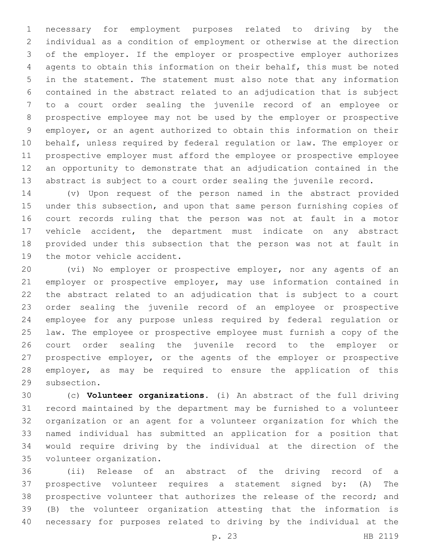necessary for employment purposes related to driving by the individual as a condition of employment or otherwise at the direction of the employer. If the employer or prospective employer authorizes agents to obtain this information on their behalf, this must be noted in the statement. The statement must also note that any information contained in the abstract related to an adjudication that is subject to a court order sealing the juvenile record of an employee or prospective employee may not be used by the employer or prospective employer, or an agent authorized to obtain this information on their behalf, unless required by federal regulation or law. The employer or prospective employer must afford the employee or prospective employee an opportunity to demonstrate that an adjudication contained in the abstract is subject to a court order sealing the juvenile record.

 (v) Upon request of the person named in the abstract provided under this subsection, and upon that same person furnishing copies of court records ruling that the person was not at fault in a motor vehicle accident, the department must indicate on any abstract provided under this subsection that the person was not at fault in 19 the motor vehicle accident.

 (vi) No employer or prospective employer, nor any agents of an employer or prospective employer, may use information contained in the abstract related to an adjudication that is subject to a court order sealing the juvenile record of an employee or prospective employee for any purpose unless required by federal regulation or law. The employee or prospective employee must furnish a copy of the court order sealing the juvenile record to the employer or prospective employer, or the agents of the employer or prospective employer, as may be required to ensure the application of this 29 subsection.

 (c) **Volunteer organizations.** (i) An abstract of the full driving record maintained by the department may be furnished to a volunteer organization or an agent for a volunteer organization for which the named individual has submitted an application for a position that would require driving by the individual at the direction of the 35 volunteer organization.

 (ii) Release of an abstract of the driving record of a prospective volunteer requires a statement signed by: (A) The prospective volunteer that authorizes the release of the record; and (B) the volunteer organization attesting that the information is necessary for purposes related to driving by the individual at the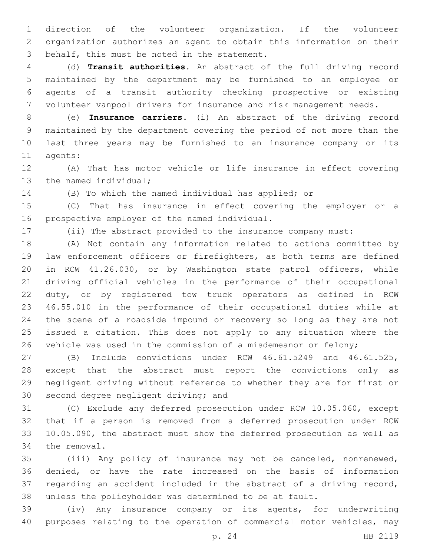direction of the volunteer organization. If the volunteer organization authorizes an agent to obtain this information on their 3 behalf, this must be noted in the statement.

 (d) **Transit authorities.** An abstract of the full driving record maintained by the department may be furnished to an employee or agents of a transit authority checking prospective or existing volunteer vanpool drivers for insurance and risk management needs.

 (e) **Insurance carriers.** (i) An abstract of the driving record maintained by the department covering the period of not more than the last three years may be furnished to an insurance company or its 11 agents:

 (A) That has motor vehicle or life insurance in effect covering 13 the named individual;

(B) To which the named individual has applied; or

 (C) That has insurance in effect covering the employer or a 16 prospective employer of the named individual.

(ii) The abstract provided to the insurance company must:

 (A) Not contain any information related to actions committed by law enforcement officers or firefighters, as both terms are defined in RCW 41.26.030, or by Washington state patrol officers, while driving official vehicles in the performance of their occupational duty, or by registered tow truck operators as defined in RCW 46.55.010 in the performance of their occupational duties while at the scene of a roadside impound or recovery so long as they are not issued a citation. This does not apply to any situation where the vehicle was used in the commission of a misdemeanor or felony;

 (B) Include convictions under RCW 46.61.5249 and 46.61.525, except that the abstract must report the convictions only as negligent driving without reference to whether they are for first or 30 second degree negligent driving; and

 (C) Exclude any deferred prosecution under RCW 10.05.060, except that if a person is removed from a deferred prosecution under RCW 10.05.090, the abstract must show the deferred prosecution as well as 34 the removal.

 (iii) Any policy of insurance may not be canceled, nonrenewed, denied, or have the rate increased on the basis of information regarding an accident included in the abstract of a driving record, unless the policyholder was determined to be at fault.

 (iv) Any insurance company or its agents, for underwriting purposes relating to the operation of commercial motor vehicles, may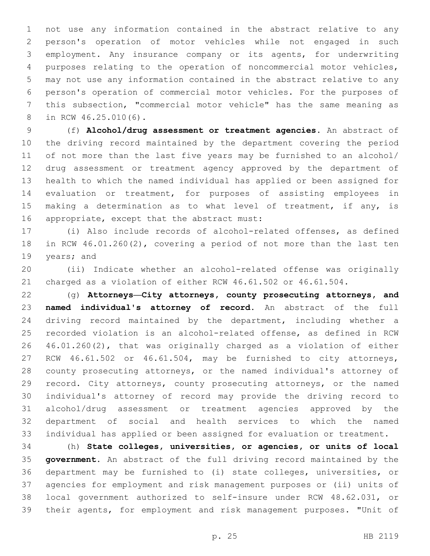not use any information contained in the abstract relative to any person's operation of motor vehicles while not engaged in such employment. Any insurance company or its agents, for underwriting purposes relating to the operation of noncommercial motor vehicles, may not use any information contained in the abstract relative to any person's operation of commercial motor vehicles. For the purposes of this subsection, "commercial motor vehicle" has the same meaning as 8 in RCW 46.25.010(6).

 (f) **Alcohol/drug assessment or treatment agencies.** An abstract of the driving record maintained by the department covering the period of not more than the last five years may be furnished to an alcohol/ drug assessment or treatment agency approved by the department of health to which the named individual has applied or been assigned for evaluation or treatment, for purposes of assisting employees in 15 making a determination as to what level of treatment, if any, is 16 appropriate, except that the abstract must:

 (i) Also include records of alcohol-related offenses, as defined in RCW 46.01.260(2), covering a period of not more than the last ten 19 years; and

 (ii) Indicate whether an alcohol-related offense was originally charged as a violation of either RCW 46.61.502 or 46.61.504.

 (g) **Attorneys—City attorneys, county prosecuting attorneys, and named individual's attorney of record.** An abstract of the full driving record maintained by the department, including whether a recorded violation is an alcohol-related offense, as defined in RCW 46.01.260(2), that was originally charged as a violation of either RCW 46.61.502 or 46.61.504, may be furnished to city attorneys, county prosecuting attorneys, or the named individual's attorney of 29 record. City attorneys, county prosecuting attorneys, or the named individual's attorney of record may provide the driving record to alcohol/drug assessment or treatment agencies approved by the department of social and health services to which the named individual has applied or been assigned for evaluation or treatment.

 (h) **State colleges, universities, or agencies, or units of local government.** An abstract of the full driving record maintained by the department may be furnished to (i) state colleges, universities, or agencies for employment and risk management purposes or (ii) units of local government authorized to self-insure under RCW 48.62.031, or their agents, for employment and risk management purposes. "Unit of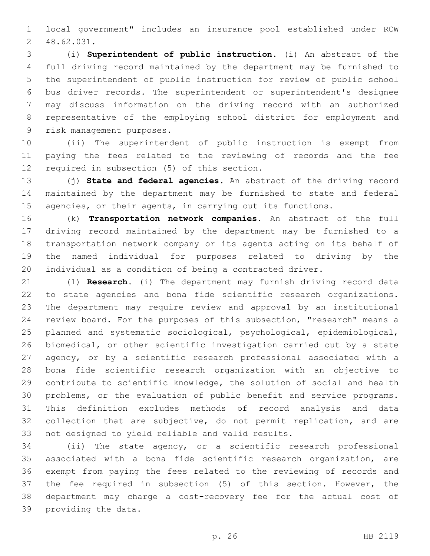local government" includes an insurance pool established under RCW 48.62.031.2

 (i) **Superintendent of public instruction.** (i) An abstract of the full driving record maintained by the department may be furnished to the superintendent of public instruction for review of public school bus driver records. The superintendent or superintendent's designee may discuss information on the driving record with an authorized representative of the employing school district for employment and 9 risk management purposes.

 (ii) The superintendent of public instruction is exempt from paying the fees related to the reviewing of records and the fee 12 required in subsection (5) of this section.

 (j) **State and federal agencies.** An abstract of the driving record maintained by the department may be furnished to state and federal 15 agencies, or their agents, in carrying out its functions.

 (k) **Transportation network companies.** An abstract of the full driving record maintained by the department may be furnished to a transportation network company or its agents acting on its behalf of the named individual for purposes related to driving by the individual as a condition of being a contracted driver.

 (l) **Research.** (i) The department may furnish driving record data to state agencies and bona fide scientific research organizations. The department may require review and approval by an institutional review board. For the purposes of this subsection, "research" means a planned and systematic sociological, psychological, epidemiological, biomedical, or other scientific investigation carried out by a state agency, or by a scientific research professional associated with a bona fide scientific research organization with an objective to contribute to scientific knowledge, the solution of social and health problems, or the evaluation of public benefit and service programs. This definition excludes methods of record analysis and data collection that are subjective, do not permit replication, and are 33 not designed to yield reliable and valid results.

 (ii) The state agency, or a scientific research professional associated with a bona fide scientific research organization, are exempt from paying the fees related to the reviewing of records and the fee required in subsection (5) of this section. However, the department may charge a cost-recovery fee for the actual cost of 39 providing the data.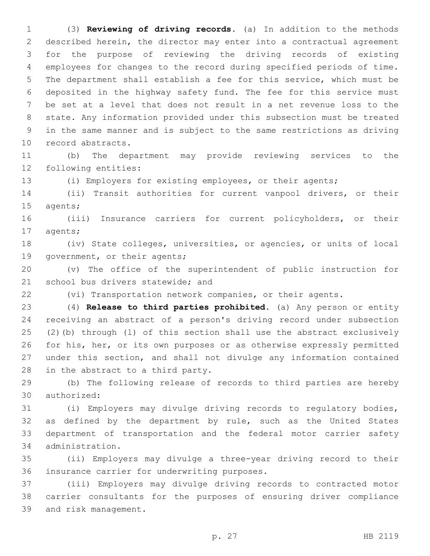(3) **Reviewing of driving records.** (a) In addition to the methods described herein, the director may enter into a contractual agreement for the purpose of reviewing the driving records of existing employees for changes to the record during specified periods of time. The department shall establish a fee for this service, which must be deposited in the highway safety fund. The fee for this service must be set at a level that does not result in a net revenue loss to the state. Any information provided under this subsection must be treated in the same manner and is subject to the same restrictions as driving 10 record abstracts.

 (b) The department may provide reviewing services to the 12 following entities:

(i) Employers for existing employees, or their agents;

 (ii) Transit authorities for current vanpool drivers, or their 15 agents;

 (iii) Insurance carriers for current policyholders, or their 17 agents;

 (iv) State colleges, universities, or agencies, or units of local 19 government, or their agents;

 (v) The office of the superintendent of public instruction for 21 school bus drivers statewide; and

(vi) Transportation network companies, or their agents.

 (4) **Release to third parties prohibited.** (a) Any person or entity receiving an abstract of a person's driving record under subsection (2)(b) through (l) of this section shall use the abstract exclusively for his, her, or its own purposes or as otherwise expressly permitted under this section, and shall not divulge any information contained 28 in the abstract to a third party.

 (b) The following release of records to third parties are hereby 30 authorized:

 (i) Employers may divulge driving records to regulatory bodies, as defined by the department by rule, such as the United States department of transportation and the federal motor carrier safety administration.34

 (ii) Employers may divulge a three-year driving record to their 36 insurance carrier for underwriting purposes.

 (iii) Employers may divulge driving records to contracted motor carrier consultants for the purposes of ensuring driver compliance 39 and risk management.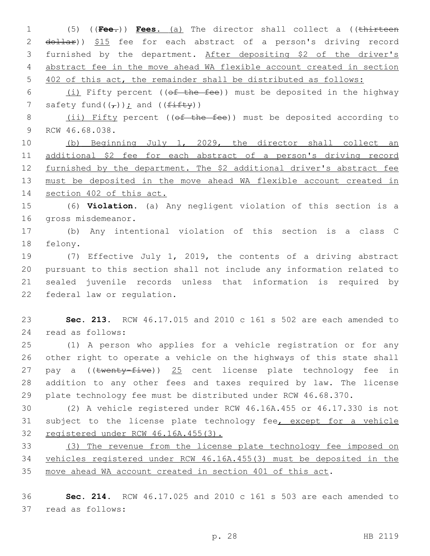(5) ((**Fee.**)) **Fees.** (a) The director shall collect a ((thirteen 2 dollar)) \$15 fee for each abstract of a person's driving record furnished by the department. After depositing \$2 of the driver's abstract fee in the move ahead WA flexible account created in section 402 of this act, the remainder shall be distributed as follows:

6  $(i)$  Fifty percent (( $ef$  the fee)) must be deposited in the highway 7 safety fund( $(\tau)$ ); and ( $(f$ ifty))

8 (ii) Fifty percent ((of the fee)) must be deposited according to 9 RCW 46.68.038.

 (b) Beginning July 1, 2029, the director shall collect an additional \$2 fee for each abstract of a person's driving record 12 furnished by the department. The \$2 additional driver's abstract fee must be deposited in the move ahead WA flexible account created in section 402 of this act.

 (6) **Violation.** (a) Any negligent violation of this section is a 16 gross misdemeanor.

 (b) Any intentional violation of this section is a class C 18 felony.

 (7) Effective July 1, 2019, the contents of a driving abstract pursuant to this section shall not include any information related to sealed juvenile records unless that information is required by 22 federal law or regulation.

 **Sec. 213.** RCW 46.17.015 and 2010 c 161 s 502 are each amended to read as follows:24

 (1) A person who applies for a vehicle registration or for any other right to operate a vehicle on the highways of this state shall 27 pay a ((twenty-five)) 25 cent license plate technology fee in addition to any other fees and taxes required by law. The license plate technology fee must be distributed under RCW 46.68.370.

 (2) A vehicle registered under RCW 46.16A.455 or 46.17.330 is not 31 subject to the license plate technology fee, except for a vehicle registered under RCW 46.16A.455(3).

 (3) The revenue from the license plate technology fee imposed on vehicles registered under RCW 46.16A.455(3) must be deposited in the move ahead WA account created in section 401 of this act.

 **Sec. 214.** RCW 46.17.025 and 2010 c 161 s 503 are each amended to 37 read as follows: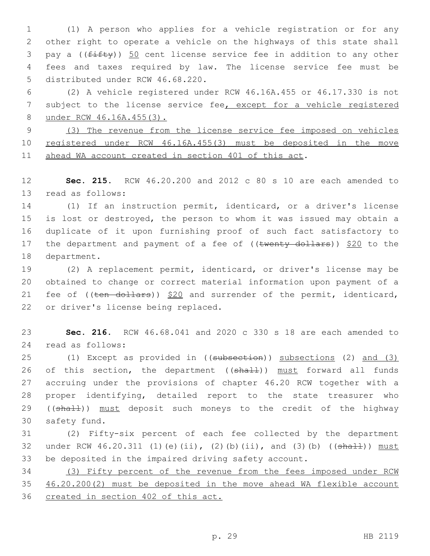(1) A person who applies for a vehicle registration or for any other right to operate a vehicle on the highways of this state shall 3 pay a (( $f$ ifty)) 50 cent license service fee in addition to any other fees and taxes required by law. The license service fee must be 5 distributed under RCW 46.68.220.

 (2) A vehicle registered under RCW 46.16A.455 or 46.17.330 is not subject to the license service fee, except for a vehicle registered under RCW 46.16A.455(3).

 (3) The revenue from the license service fee imposed on vehicles registered under RCW 46.16A.455(3) must be deposited in the move ahead WA account created in section 401 of this act.

 **Sec. 215.** RCW 46.20.200 and 2012 c 80 s 10 are each amended to 13 read as follows:

 (1) If an instruction permit, identicard, or a driver's license is lost or destroyed, the person to whom it was issued may obtain a duplicate of it upon furnishing proof of such fact satisfactory to 17 the department and payment of a fee of  $((\text{twenty-dollars}))$  \$20 to the 18 department.

 (2) A replacement permit, identicard, or driver's license may be obtained to change or correct material information upon payment of a 21 fee of  $((\text{ten}-\text{dollars}))$  \$20 and surrender of the permit, identicard, 22 or driver's license being replaced.

 **Sec. 216.** RCW 46.68.041 and 2020 c 330 s 18 are each amended to read as follows:24

 (1) Except as provided in ((subsection)) subsections (2) and (3) 26 of this section, the department ((shall)) must forward all funds accruing under the provisions of chapter 46.20 RCW together with a proper identifying, detailed report to the state treasurer who 29 ((shall)) must deposit such moneys to the credit of the highway 30 safety fund.

 (2) Fifty-six percent of each fee collected by the department 32 under RCW  $46.20.311$  (1)(e)(ii), (2)(b)(ii), and (3)(b) (( $\frac{4 \text{h} + 1}{2}$ ) must be deposited in the impaired driving safety account.

 (3) Fifty percent of the revenue from the fees imposed under RCW 46.20.200(2) must be deposited in the move ahead WA flexible account created in section 402 of this act.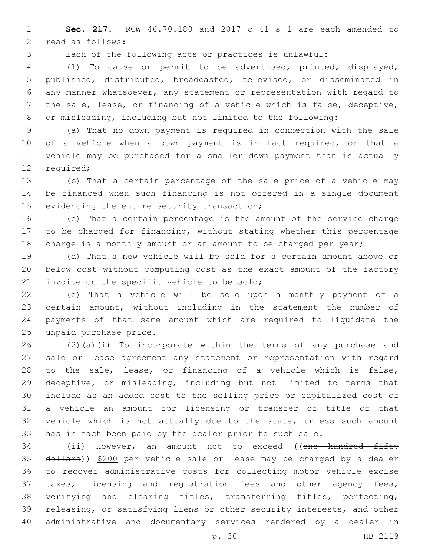**Sec. 217.** RCW 46.70.180 and 2017 c 41 s 1 are each amended to 2 read as follows:

Each of the following acts or practices is unlawful:

 (1) To cause or permit to be advertised, printed, displayed, published, distributed, broadcasted, televised, or disseminated in any manner whatsoever, any statement or representation with regard to the sale, lease, or financing of a vehicle which is false, deceptive, or misleading, including but not limited to the following:

 (a) That no down payment is required in connection with the sale of a vehicle when a down payment is in fact required, or that a vehicle may be purchased for a smaller down payment than is actually 12 required;

 (b) That a certain percentage of the sale price of a vehicle may be financed when such financing is not offered in a single document 15 evidencing the entire security transaction;

 (c) That a certain percentage is the amount of the service charge to be charged for financing, without stating whether this percentage 18 charge is a monthly amount or an amount to be charged per year;

 (d) That a new vehicle will be sold for a certain amount above or below cost without computing cost as the exact amount of the factory 21 invoice on the specific vehicle to be sold;

 (e) That a vehicle will be sold upon a monthly payment of a certain amount, without including in the statement the number of payments of that same amount which are required to liquidate the 25 unpaid purchase price.

 (2)(a)(i) To incorporate within the terms of any purchase and sale or lease agreement any statement or representation with regard to the sale, lease, or financing of a vehicle which is false, deceptive, or misleading, including but not limited to terms that include as an added cost to the selling price or capitalized cost of a vehicle an amount for licensing or transfer of title of that vehicle which is not actually due to the state, unless such amount has in fact been paid by the dealer prior to such sale.

34 (ii) However, an amount not to exceed ((one hundred fifty 35 dollars)) \$200 per vehicle sale or lease may be charged by a dealer to recover administrative costs for collecting motor vehicle excise taxes, licensing and registration fees and other agency fees, verifying and clearing titles, transferring titles, perfecting, releasing, or satisfying liens or other security interests, and other administrative and documentary services rendered by a dealer in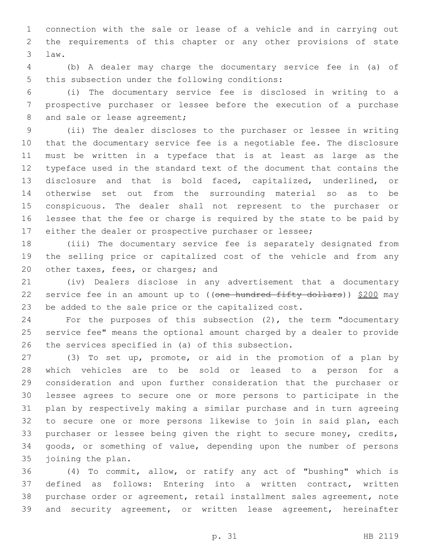connection with the sale or lease of a vehicle and in carrying out the requirements of this chapter or any other provisions of state law.3

 (b) A dealer may charge the documentary service fee in (a) of 5 this subsection under the following conditions:

 (i) The documentary service fee is disclosed in writing to a prospective purchaser or lessee before the execution of a purchase 8 and sale or lease agreement;

 (ii) The dealer discloses to the purchaser or lessee in writing that the documentary service fee is a negotiable fee. The disclosure must be written in a typeface that is at least as large as the typeface used in the standard text of the document that contains the disclosure and that is bold faced, capitalized, underlined, or otherwise set out from the surrounding material so as to be conspicuous. The dealer shall not represent to the purchaser or lessee that the fee or charge is required by the state to be paid by either the dealer or prospective purchaser or lessee;

 (iii) The documentary service fee is separately designated from the selling price or capitalized cost of the vehicle and from any 20 other taxes, fees, or charges; and

 (iv) Dealers disclose in any advertisement that a documentary 22 service fee in an amount up to ((one hundred fifty dollars)) \$200 may be added to the sale price or the capitalized cost.

 For the purposes of this subsection (2), the term "documentary service fee" means the optional amount charged by a dealer to provide 26 the services specified in (a) of this subsection.

 (3) To set up, promote, or aid in the promotion of a plan by which vehicles are to be sold or leased to a person for a consideration and upon further consideration that the purchaser or lessee agrees to secure one or more persons to participate in the plan by respectively making a similar purchase and in turn agreeing to secure one or more persons likewise to join in said plan, each 33 purchaser or lessee being given the right to secure money, credits, goods, or something of value, depending upon the number of persons 35 joining the plan.

 (4) To commit, allow, or ratify any act of "bushing" which is defined as follows: Entering into a written contract, written purchase order or agreement, retail installment sales agreement, note and security agreement, or written lease agreement, hereinafter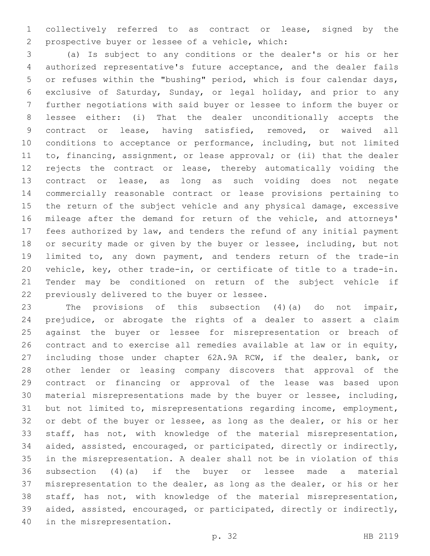collectively referred to as contract or lease, signed by the prospective buyer or lessee of a vehicle, which:2

 (a) Is subject to any conditions or the dealer's or his or her authorized representative's future acceptance, and the dealer fails or refuses within the "bushing" period, which is four calendar days, exclusive of Saturday, Sunday, or legal holiday, and prior to any further negotiations with said buyer or lessee to inform the buyer or lessee either: (i) That the dealer unconditionally accepts the contract or lease, having satisfied, removed, or waived all conditions to acceptance or performance, including, but not limited to, financing, assignment, or lease approval; or (ii) that the dealer rejects the contract or lease, thereby automatically voiding the contract or lease, as long as such voiding does not negate commercially reasonable contract or lease provisions pertaining to the return of the subject vehicle and any physical damage, excessive mileage after the demand for return of the vehicle, and attorneys' fees authorized by law, and tenders the refund of any initial payment or security made or given by the buyer or lessee, including, but not limited to, any down payment, and tenders return of the trade-in vehicle, key, other trade-in, or certificate of title to a trade-in. Tender may be conditioned on return of the subject vehicle if 22 previously delivered to the buyer or lessee.

 The provisions of this subsection (4)(a) do not impair, prejudice, or abrogate the rights of a dealer to assert a claim against the buyer or lessee for misrepresentation or breach of contract and to exercise all remedies available at law or in equity, including those under chapter 62A.9A RCW, if the dealer, bank, or other lender or leasing company discovers that approval of the contract or financing or approval of the lease was based upon material misrepresentations made by the buyer or lessee, including, but not limited to, misrepresentations regarding income, employment, or debt of the buyer or lessee, as long as the dealer, or his or her staff, has not, with knowledge of the material misrepresentation, aided, assisted, encouraged, or participated, directly or indirectly, in the misrepresentation. A dealer shall not be in violation of this subsection (4)(a) if the buyer or lessee made a material misrepresentation to the dealer, as long as the dealer, or his or her staff, has not, with knowledge of the material misrepresentation, aided, assisted, encouraged, or participated, directly or indirectly, 40 in the misrepresentation.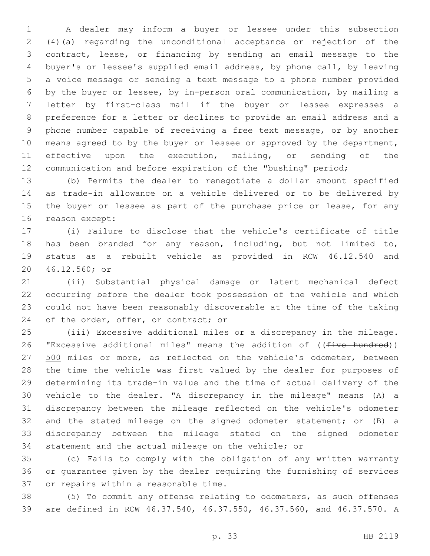A dealer may inform a buyer or lessee under this subsection (4)(a) regarding the unconditional acceptance or rejection of the contract, lease, or financing by sending an email message to the buyer's or lessee's supplied email address, by phone call, by leaving a voice message or sending a text message to a phone number provided by the buyer or lessee, by in-person oral communication, by mailing a letter by first-class mail if the buyer or lessee expresses a preference for a letter or declines to provide an email address and a phone number capable of receiving a free text message, or by another 10 means agreed to by the buyer or lessee or approved by the department, effective upon the execution, mailing, or sending of the communication and before expiration of the "bushing" period;

 (b) Permits the dealer to renegotiate a dollar amount specified as trade-in allowance on a vehicle delivered or to be delivered by 15 the buyer or lessee as part of the purchase price or lease, for any 16 reason except:

 (i) Failure to disclose that the vehicle's certificate of title has been branded for any reason, including, but not limited to, status as a rebuilt vehicle as provided in RCW 46.12.540 and 46.12.560; or20

 (ii) Substantial physical damage or latent mechanical defect occurring before the dealer took possession of the vehicle and which could not have been reasonably discoverable at the time of the taking 24 of the order, offer, or contract; or

 (iii) Excessive additional miles or a discrepancy in the mileage. 26 "Excessive additional miles" means the addition of ((five hundred)) 27 500 miles or more, as reflected on the vehicle's odometer, between the time the vehicle was first valued by the dealer for purposes of determining its trade-in value and the time of actual delivery of the vehicle to the dealer. "A discrepancy in the mileage" means (A) a discrepancy between the mileage reflected on the vehicle's odometer and the stated mileage on the signed odometer statement; or (B) a discrepancy between the mileage stated on the signed odometer statement and the actual mileage on the vehicle; or

 (c) Fails to comply with the obligation of any written warranty or guarantee given by the dealer requiring the furnishing of services 37 or repairs within a reasonable time.

 (5) To commit any offense relating to odometers, as such offenses are defined in RCW 46.37.540, 46.37.550, 46.37.560, and 46.37.570. A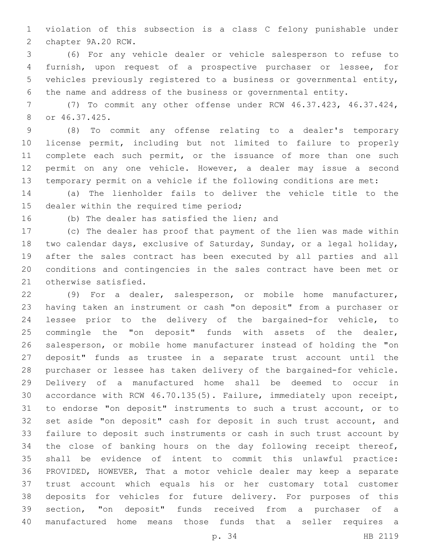violation of this subsection is a class C felony punishable under 2 chapter 9A.20 RCW.

 (6) For any vehicle dealer or vehicle salesperson to refuse to furnish, upon request of a prospective purchaser or lessee, for vehicles previously registered to a business or governmental entity, the name and address of the business or governmental entity.

 (7) To commit any other offense under RCW 46.37.423, 46.37.424, or 46.37.425.8

 (8) To commit any offense relating to a dealer's temporary license permit, including but not limited to failure to properly 11 complete each such permit, or the issuance of more than one such permit on any one vehicle. However, a dealer may issue a second temporary permit on a vehicle if the following conditions are met:

 (a) The lienholder fails to deliver the vehicle title to the 15 dealer within the required time period;

16 (b) The dealer has satisfied the lien; and

 (c) The dealer has proof that payment of the lien was made within two calendar days, exclusive of Saturday, Sunday, or a legal holiday, after the sales contract has been executed by all parties and all conditions and contingencies in the sales contract have been met or 21 otherwise satisfied.

 (9) For a dealer, salesperson, or mobile home manufacturer, having taken an instrument or cash "on deposit" from a purchaser or lessee prior to the delivery of the bargained-for vehicle, to commingle the "on deposit" funds with assets of the dealer, salesperson, or mobile home manufacturer instead of holding the "on deposit" funds as trustee in a separate trust account until the purchaser or lessee has taken delivery of the bargained-for vehicle. Delivery of a manufactured home shall be deemed to occur in accordance with RCW 46.70.135(5). Failure, immediately upon receipt, to endorse "on deposit" instruments to such a trust account, or to set aside "on deposit" cash for deposit in such trust account, and failure to deposit such instruments or cash in such trust account by the close of banking hours on the day following receipt thereof, shall be evidence of intent to commit this unlawful practice: PROVIDED, HOWEVER, That a motor vehicle dealer may keep a separate trust account which equals his or her customary total customer deposits for vehicles for future delivery. For purposes of this section, "on deposit" funds received from a purchaser of a manufactured home means those funds that a seller requires a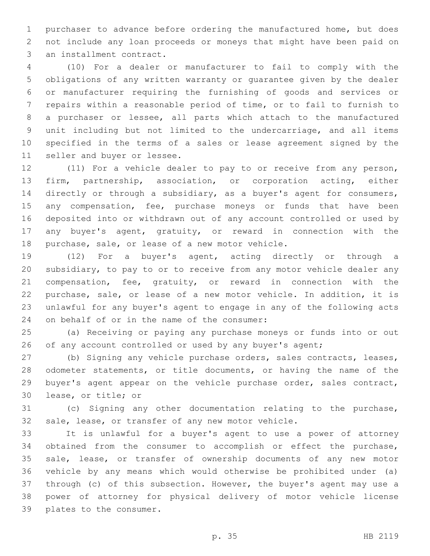purchaser to advance before ordering the manufactured home, but does not include any loan proceeds or moneys that might have been paid on 3 an installment contract.

 (10) For a dealer or manufacturer to fail to comply with the obligations of any written warranty or guarantee given by the dealer or manufacturer requiring the furnishing of goods and services or repairs within a reasonable period of time, or to fail to furnish to a purchaser or lessee, all parts which attach to the manufactured unit including but not limited to the undercarriage, and all items specified in the terms of a sales or lease agreement signed by the 11 seller and buyer or lessee.

 (11) For a vehicle dealer to pay to or receive from any person, firm, partnership, association, or corporation acting, either directly or through a subsidiary, as a buyer's agent for consumers, 15 any compensation, fee, purchase moneys or funds that have been deposited into or withdrawn out of any account controlled or used by any buyer's agent, gratuity, or reward in connection with the 18 purchase, sale, or lease of a new motor vehicle.

 (12) For a buyer's agent, acting directly or through a subsidiary, to pay to or to receive from any motor vehicle dealer any compensation, fee, gratuity, or reward in connection with the purchase, sale, or lease of a new motor vehicle. In addition, it is unlawful for any buyer's agent to engage in any of the following acts 24 on behalf of or in the name of the consumer:

 (a) Receiving or paying any purchase moneys or funds into or out 26 of any account controlled or used by any buyer's agent;

 (b) Signing any vehicle purchase orders, sales contracts, leases, odometer statements, or title documents, or having the name of the buyer's agent appear on the vehicle purchase order, sales contract, 30 lease, or title; or

 (c) Signing any other documentation relating to the purchase, sale, lease, or transfer of any new motor vehicle.

 It is unlawful for a buyer's agent to use a power of attorney obtained from the consumer to accomplish or effect the purchase, sale, lease, or transfer of ownership documents of any new motor vehicle by any means which would otherwise be prohibited under (a) through (c) of this subsection. However, the buyer's agent may use a power of attorney for physical delivery of motor vehicle license 39 plates to the consumer.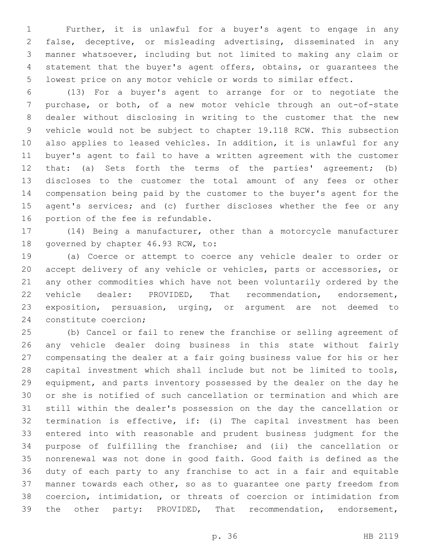Further, it is unlawful for a buyer's agent to engage in any false, deceptive, or misleading advertising, disseminated in any manner whatsoever, including but not limited to making any claim or statement that the buyer's agent offers, obtains, or guarantees the lowest price on any motor vehicle or words to similar effect.

 (13) For a buyer's agent to arrange for or to negotiate the purchase, or both, of a new motor vehicle through an out-of-state dealer without disclosing in writing to the customer that the new vehicle would not be subject to chapter 19.118 RCW. This subsection also applies to leased vehicles. In addition, it is unlawful for any buyer's agent to fail to have a written agreement with the customer that: (a) Sets forth the terms of the parties' agreement; (b) discloses to the customer the total amount of any fees or other compensation being paid by the customer to the buyer's agent for the 15 agent's services; and (c) further discloses whether the fee or any 16 portion of the fee is refundable.

 (14) Being a manufacturer, other than a motorcycle manufacturer 18 governed by chapter 46.93 RCW, to:

 (a) Coerce or attempt to coerce any vehicle dealer to order or accept delivery of any vehicle or vehicles, parts or accessories, or any other commodities which have not been voluntarily ordered by the vehicle dealer: PROVIDED, That recommendation, endorsement, exposition, persuasion, urging, or argument are not deemed to 24 constitute coercion;

 (b) Cancel or fail to renew the franchise or selling agreement of any vehicle dealer doing business in this state without fairly compensating the dealer at a fair going business value for his or her capital investment which shall include but not be limited to tools, equipment, and parts inventory possessed by the dealer on the day he or she is notified of such cancellation or termination and which are still within the dealer's possession on the day the cancellation or termination is effective, if: (i) The capital investment has been entered into with reasonable and prudent business judgment for the purpose of fulfilling the franchise; and (ii) the cancellation or nonrenewal was not done in good faith. Good faith is defined as the duty of each party to any franchise to act in a fair and equitable manner towards each other, so as to guarantee one party freedom from coercion, intimidation, or threats of coercion or intimidation from the other party: PROVIDED, That recommendation, endorsement,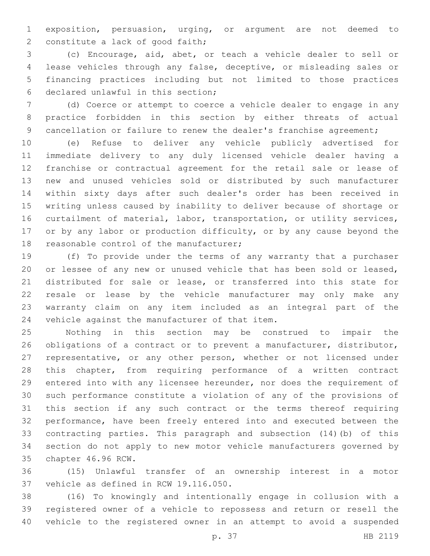exposition, persuasion, urging, or argument are not deemed to 2 constitute a lack of good faith;

 (c) Encourage, aid, abet, or teach a vehicle dealer to sell or lease vehicles through any false, deceptive, or misleading sales or financing practices including but not limited to those practices 6 declared unlawful in this section;

 (d) Coerce or attempt to coerce a vehicle dealer to engage in any practice forbidden in this section by either threats of actual 9 cancellation or failure to renew the dealer's franchise agreement;

 (e) Refuse to deliver any vehicle publicly advertised for immediate delivery to any duly licensed vehicle dealer having a franchise or contractual agreement for the retail sale or lease of new and unused vehicles sold or distributed by such manufacturer within sixty days after such dealer's order has been received in writing unless caused by inability to deliver because of shortage or curtailment of material, labor, transportation, or utility services, 17 or by any labor or production difficulty, or by any cause beyond the 18 reasonable control of the manufacturer;

 (f) To provide under the terms of any warranty that a purchaser or lessee of any new or unused vehicle that has been sold or leased, distributed for sale or lease, or transferred into this state for resale or lease by the vehicle manufacturer may only make any warranty claim on any item included as an integral part of the 24 vehicle against the manufacturer of that item.

 Nothing in this section may be construed to impair the obligations of a contract or to prevent a manufacturer, distributor, representative, or any other person, whether or not licensed under this chapter, from requiring performance of a written contract entered into with any licensee hereunder, nor does the requirement of such performance constitute a violation of any of the provisions of this section if any such contract or the terms thereof requiring performance, have been freely entered into and executed between the contracting parties. This paragraph and subsection (14)(b) of this section do not apply to new motor vehicle manufacturers governed by 35 chapter 46.96 RCW.

 (15) Unlawful transfer of an ownership interest in a motor 37 vehicle as defined in RCW 19.116.050.

 (16) To knowingly and intentionally engage in collusion with a registered owner of a vehicle to repossess and return or resell the vehicle to the registered owner in an attempt to avoid a suspended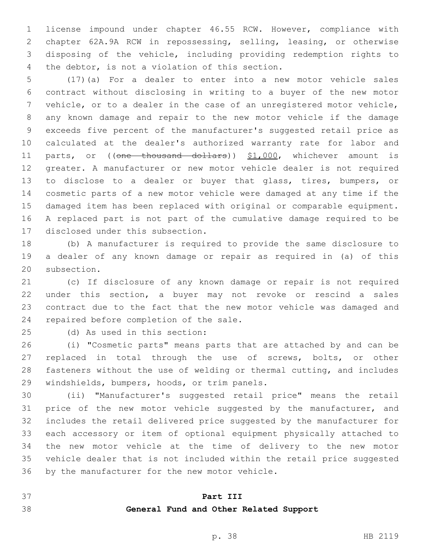license impound under chapter 46.55 RCW. However, compliance with chapter 62A.9A RCW in repossessing, selling, leasing, or otherwise disposing of the vehicle, including providing redemption rights to 4 the debtor, is not a violation of this section.

 (17)(a) For a dealer to enter into a new motor vehicle sales contract without disclosing in writing to a buyer of the new motor vehicle, or to a dealer in the case of an unregistered motor vehicle, any known damage and repair to the new motor vehicle if the damage exceeds five percent of the manufacturer's suggested retail price as calculated at the dealer's authorized warranty rate for labor and 11 parts, or ((one thousand dollars)) \$1,000, whichever amount is greater. A manufacturer or new motor vehicle dealer is not required to disclose to a dealer or buyer that glass, tires, bumpers, or cosmetic parts of a new motor vehicle were damaged at any time if the damaged item has been replaced with original or comparable equipment. A replaced part is not part of the cumulative damage required to be 17 disclosed under this subsection.

 (b) A manufacturer is required to provide the same disclosure to a dealer of any known damage or repair as required in (a) of this 20 subsection.

 (c) If disclosure of any known damage or repair is not required under this section, a buyer may not revoke or rescind a sales contract due to the fact that the new motor vehicle was damaged and 24 repaired before completion of the sale.

(d) As used in this section:25

 (i) "Cosmetic parts" means parts that are attached by and can be replaced in total through the use of screws, bolts, or other fasteners without the use of welding or thermal cutting, and includes 29 windshields, bumpers, hoods, or trim panels.

 (ii) "Manufacturer's suggested retail price" means the retail 31 price of the new motor vehicle suggested by the manufacturer, and includes the retail delivered price suggested by the manufacturer for each accessory or item of optional equipment physically attached to the new motor vehicle at the time of delivery to the new motor vehicle dealer that is not included within the retail price suggested 36 by the manufacturer for the new motor vehicle.

## **Part III**

## **General Fund and Other Related Support**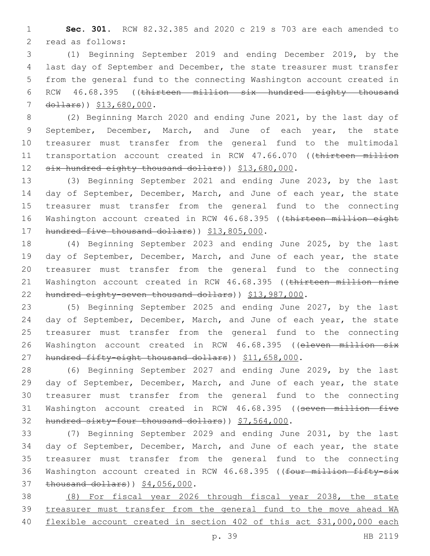1 **Sec. 301.** RCW 82.32.385 and 2020 c 219 s 703 are each amended to 2 read as follows:

 (1) Beginning September 2019 and ending December 2019, by the last day of September and December, the state treasurer must transfer from the general fund to the connecting Washington account created in RCW 46.68.395 ((thirteen million six hundred eighty thousand 7 dollars)) \$13,680,000.

8 (2) Beginning March 2020 and ending June 2021, by the last day of 9 September, December, March, and June of each year, the state 10 treasurer must transfer from the general fund to the multimodal 11 transportation account created in RCW 47.66.070 ((thirteen million 12 six hundred eighty thousand dollars) ) \$13,680,000.

13 (3) Beginning September 2021 and ending June 2023, by the last 14 day of September, December, March, and June of each year, the state 15 treasurer must transfer from the general fund to the connecting 16 Washington account created in RCW 46.68.395 ((thirteen million eight 17 hundred five thousand dollars) ) \$13,805,000.

18 (4) Beginning September 2023 and ending June 2025, by the last 19 day of September, December, March, and June of each year, the state 20 treasurer must transfer from the general fund to the connecting 21 Washington account created in RCW 46.68.395 ((thirteen million nine 22 hundred eighty-seven thousand dollars)) \$13,987,000.

23 (5) Beginning September 2025 and ending June 2027, by the last 24 day of September, December, March, and June of each year, the state 25 treasurer must transfer from the general fund to the connecting 26 Washington account created in RCW 46.68.395 ((eleven million six 27 hundred fifty-eight thousand dollars)) \$11,658,000.

28 (6) Beginning September 2027 and ending June 2029, by the last 29 day of September, December, March, and June of each year, the state 30 treasurer must transfer from the general fund to the connecting 31 Washington account created in RCW 46.68.395 ((seven million five 32 hundred sixty-four thousand dollars) ) \$7,564,000.

33 (7) Beginning September 2029 and ending June 2031, by the last 34 day of September, December, March, and June of each year, the state 35 treasurer must transfer from the general fund to the connecting 36 Washington account created in RCW 46.68.395 ((four million fifty-six 37 thousand dollars)) \$4,056,000.

38 (8) For fiscal year 2026 through fiscal year 2038, the state 39 treasurer must transfer from the general fund to the move ahead WA 40 flexible account created in section 402 of this act \$31,000,000 each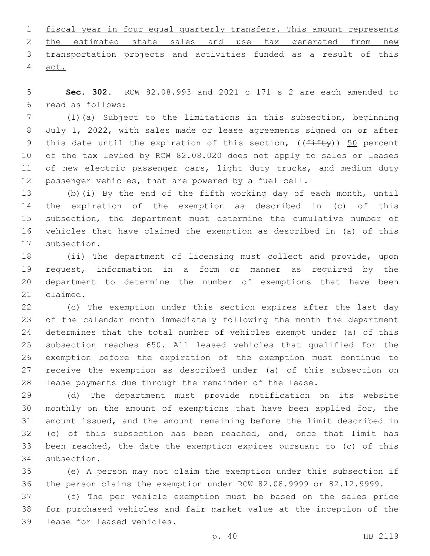|        | 1 fiscal year in four equal quarterly transfers. This amount represents |  |  |  |  |  |
|--------|-------------------------------------------------------------------------|--|--|--|--|--|
|        | 2 the estimated state sales and use tax generated from new              |  |  |  |  |  |
|        | 3 transportation projects and activities funded as a result of this     |  |  |  |  |  |
| 4 act. |                                                                         |  |  |  |  |  |

 **Sec. 302.** RCW 82.08.993 and 2021 c 171 s 2 are each amended to read as follows:6

 (1)(a) Subject to the limitations in this subsection, beginning July 1, 2022, with sales made or lease agreements signed on or after 9 this date until the expiration of this section,  $((f\text{iff}\psi))$  50 percent of the tax levied by RCW 82.08.020 does not apply to sales or leases 11 of new electric passenger cars, light duty trucks, and medium duty passenger vehicles, that are powered by a fuel cell.

 (b)(i) By the end of the fifth working day of each month, until the expiration of the exemption as described in (c) of this subsection, the department must determine the cumulative number of vehicles that have claimed the exemption as described in (a) of this 17 subsection.

 (ii) The department of licensing must collect and provide, upon request, information in a form or manner as required by the department to determine the number of exemptions that have been 21 claimed.

 (c) The exemption under this section expires after the last day of the calendar month immediately following the month the department determines that the total number of vehicles exempt under (a) of this subsection reaches 650. All leased vehicles that qualified for the exemption before the expiration of the exemption must continue to receive the exemption as described under (a) of this subsection on lease payments due through the remainder of the lease.

 (d) The department must provide notification on its website monthly on the amount of exemptions that have been applied for, the amount issued, and the amount remaining before the limit described in (c) of this subsection has been reached, and, once that limit has been reached, the date the exemption expires pursuant to (c) of this 34 subsection.

 (e) A person may not claim the exemption under this subsection if the person claims the exemption under RCW 82.08.9999 or 82.12.9999.

 (f) The per vehicle exemption must be based on the sales price for purchased vehicles and fair market value at the inception of the 39 lease for leased vehicles.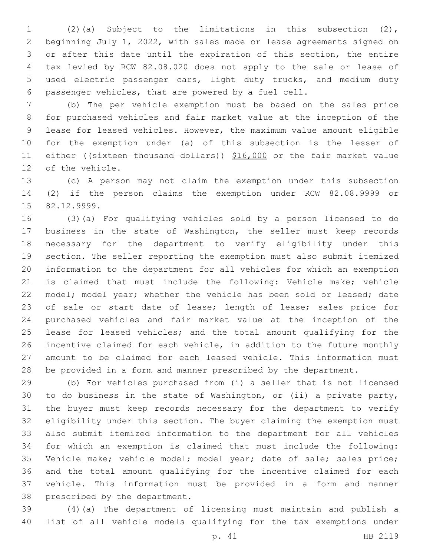(2)(a) Subject to the limitations in this subsection (2), beginning July 1, 2022, with sales made or lease agreements signed on or after this date until the expiration of this section, the entire tax levied by RCW 82.08.020 does not apply to the sale or lease of used electric passenger cars, light duty trucks, and medium duty passenger vehicles, that are powered by a fuel cell.

 (b) The per vehicle exemption must be based on the sales price for purchased vehicles and fair market value at the inception of the lease for leased vehicles. However, the maximum value amount eligible for the exemption under (a) of this subsection is the lesser of 11 either ((sixteen thousand dollars)) \$16,000 or the fair market value 12 of the vehicle.

 (c) A person may not claim the exemption under this subsection (2) if the person claims the exemption under RCW 82.08.9999 or 15 82.12.9999.

 (3)(a) For qualifying vehicles sold by a person licensed to do business in the state of Washington, the seller must keep records necessary for the department to verify eligibility under this section. The seller reporting the exemption must also submit itemized information to the department for all vehicles for which an exemption is claimed that must include the following: Vehicle make; vehicle 22 model; model year; whether the vehicle has been sold or leased; date 23 of sale or start date of lease; length of lease; sales price for purchased vehicles and fair market value at the inception of the lease for leased vehicles; and the total amount qualifying for the incentive claimed for each vehicle, in addition to the future monthly amount to be claimed for each leased vehicle. This information must be provided in a form and manner prescribed by the department.

 (b) For vehicles purchased from (i) a seller that is not licensed to do business in the state of Washington, or (ii) a private party, the buyer must keep records necessary for the department to verify eligibility under this section. The buyer claiming the exemption must also submit itemized information to the department for all vehicles for which an exemption is claimed that must include the following: Vehicle make; vehicle model; model year; date of sale; sales price; and the total amount qualifying for the incentive claimed for each vehicle. This information must be provided in a form and manner 38 prescribed by the department.

 (4)(a) The department of licensing must maintain and publish a list of all vehicle models qualifying for the tax exemptions under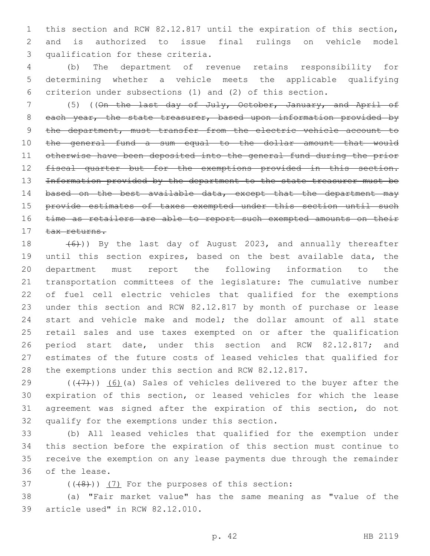this section and RCW 82.12.817 until the expiration of this section, and is authorized to issue final rulings on vehicle model 3 qualification for these criteria.

 (b) The department of revenue retains responsibility for determining whether a vehicle meets the applicable qualifying criterion under subsections (1) and (2) of this section.

 (5) ((On the last day of July, October, January, and April of 8 each year, the state treasurer, based upon information provided by 9 the department, must transfer from the electric vehicle account to the general fund a sum equal to the dollar amount that would otherwise have been deposited into the general fund during the prior fiscal quarter but for the exemptions provided in this section. Information provided by the department to the state treasurer must be 14 based on the best available data, except that the department may 15 provide estimates of taxes exempted under this section until such time as retailers are able to report such exempted amounts on their tax returns.

 $(6)$ )) By the last day of August 2023, and annually thereafter until this section expires, based on the best available data, the department must report the following information to the transportation committees of the legislature: The cumulative number of fuel cell electric vehicles that qualified for the exemptions under this section and RCW 82.12.817 by month of purchase or lease start and vehicle make and model; the dollar amount of all state retail sales and use taxes exempted on or after the qualification period start date, under this section and RCW 82.12.817; and estimates of the future costs of leased vehicles that qualified for the exemptions under this section and RCW 82.12.817.

 $((+7+))$  (6)(a) Sales of vehicles delivered to the buyer after the expiration of this section, or leased vehicles for which the lease agreement was signed after the expiration of this section, do not 32 qualify for the exemptions under this section.

 (b) All leased vehicles that qualified for the exemption under this section before the expiration of this section must continue to receive the exemption on any lease payments due through the remainder 36 of the lease.

 $(1+8)$ )  $(7)$  For the purposes of this section:

 (a) "Fair market value" has the same meaning as "value of the 39 article used" in RCW 82.12.010.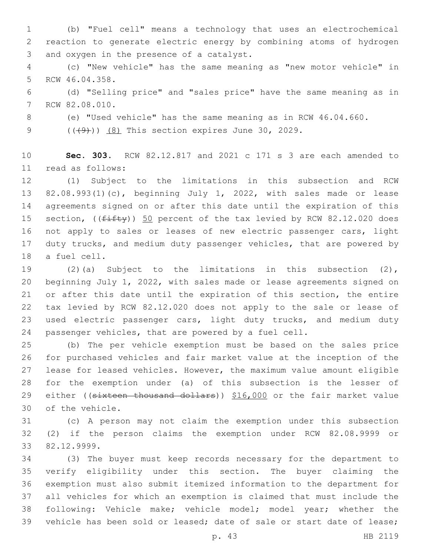(b) "Fuel cell" means a technology that uses an electrochemical reaction to generate electric energy by combining atoms of hydrogen 3 and oxygen in the presence of a catalyst.

 (c) "New vehicle" has the same meaning as "new motor vehicle" in 5 RCW 46.04.358.

 (d) "Selling price" and "sales price" have the same meaning as in 7 RCW 82.08.010.

(e) "Used vehicle" has the same meaning as in RCW 46.04.660.

9 (((49))) (8) This section expires June 30, 2029.

 **Sec. 303.** RCW 82.12.817 and 2021 c 171 s 3 are each amended to read as follows:11

 (1) Subject to the limitations in this subsection and RCW 82.08.993(1)(c), beginning July 1, 2022, with sales made or lease agreements signed on or after this date until the expiration of this 15 section, (( $f$ ifty)) 50 percent of the tax levied by RCW 82.12.020 does not apply to sales or leases of new electric passenger cars, light duty trucks, and medium duty passenger vehicles, that are powered by 18 a fuel cell.

 (2)(a) Subject to the limitations in this subsection (2), beginning July 1, 2022, with sales made or lease agreements signed on or after this date until the expiration of this section, the entire tax levied by RCW 82.12.020 does not apply to the sale or lease of used electric passenger cars, light duty trucks, and medium duty passenger vehicles, that are powered by a fuel cell.

 (b) The per vehicle exemption must be based on the sales price for purchased vehicles and fair market value at the inception of the lease for leased vehicles. However, the maximum value amount eligible for the exemption under (a) of this subsection is the lesser of 29 either ((sixteen thousand dollars)) \$16,000 or the fair market value 30 of the vehicle.

 (c) A person may not claim the exemption under this subsection (2) if the person claims the exemption under RCW 82.08.9999 or 82.12.9999.33

 (3) The buyer must keep records necessary for the department to verify eligibility under this section. The buyer claiming the exemption must also submit itemized information to the department for all vehicles for which an exemption is claimed that must include the following: Vehicle make; vehicle model; model year; whether the vehicle has been sold or leased; date of sale or start date of lease;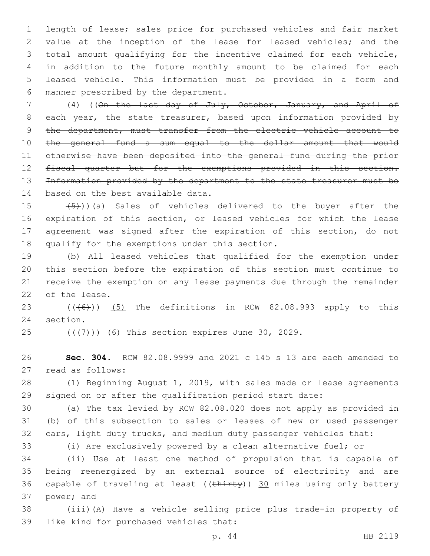length of lease; sales price for purchased vehicles and fair market value at the inception of the lease for leased vehicles; and the total amount qualifying for the incentive claimed for each vehicle, in addition to the future monthly amount to be claimed for each leased vehicle. This information must be provided in a form and 6 manner prescribed by the department.

 (4) ((On the last day of July, October, January, and April of 8 each year, the state treasurer, based upon information provided by 9 the department, must transfer from the electric vehicle account to the general fund a sum equal to the dollar amount that would otherwise have been deposited into the general fund during the prior fiscal quarter but for the exemptions provided in this section. Information provided by the department to the state treasurer must be 14 based on the best available data.

 $(5)$ ))(a) Sales of vehicles delivered to the buyer after the expiration of this section, or leased vehicles for which the lease agreement was signed after the expiration of this section, do not 18 qualify for the exemptions under this section.

 (b) All leased vehicles that qualified for the exemption under this section before the expiration of this section must continue to receive the exemption on any lease payments due through the remainder 22 of the lease.

23  $((\overline{6}))$   $(5)$  The definitions in RCW 82.08.993 apply to this 24 section.

 $(47)$  (( $(47)$ )) (6) This section expires June 30, 2029.

 **Sec. 304.** RCW 82.08.9999 and 2021 c 145 s 13 are each amended to 27 read as follows:

 (1) Beginning August 1, 2019, with sales made or lease agreements signed on or after the qualification period start date:

 (a) The tax levied by RCW 82.08.020 does not apply as provided in (b) of this subsection to sales or leases of new or used passenger cars, light duty trucks, and medium duty passenger vehicles that:

(i) Are exclusively powered by a clean alternative fuel; or

 (ii) Use at least one method of propulsion that is capable of being reenergized by an external source of electricity and are 36 capable of traveling at least ((thirty)) 30 miles using only battery 37 power; and

 (iii)(A) Have a vehicle selling price plus trade-in property of 39 like kind for purchased vehicles that: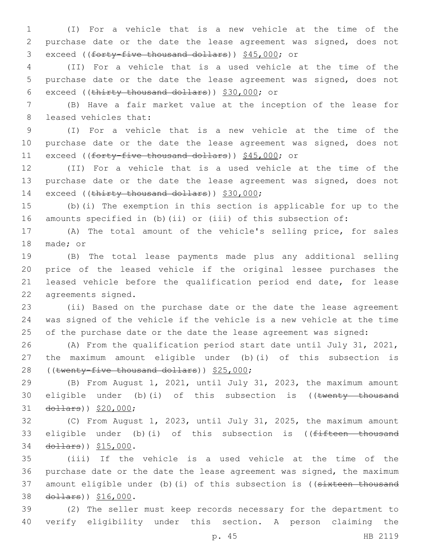1 (I) For a vehicle that is a new vehicle at the time of the 2 purchase date or the date the lease agreement was signed, does not 3 exceed ((forty-five thousand dollars)) \$45,000; or

4 (II) For a vehicle that is a used vehicle at the time of the 5 purchase date or the date the lease agreement was signed, does not 6 exceed ((thirty thousand dollars))  $$30,000$ ; or

7 (B) Have a fair market value at the inception of the lease for 8 leased vehicles that:

9 (I) For a vehicle that is a new vehicle at the time of the 10 purchase date or the date the lease agreement was signed, does not 11 exceed ((forty-five thousand dollars)) \$45,000; or

12 (II) For a vehicle that is a used vehicle at the time of the 13 purchase date or the date the lease agreement was signed, does not 14 exceed ((thirty thousand dollars)) \$30,000;

15 (b)(i) The exemption in this section is applicable for up to the 16 amounts specified in (b)(ii) or (iii) of this subsection of:

17 (A) The total amount of the vehicle's selling price, for sales 18 made; or

 (B) The total lease payments made plus any additional selling price of the leased vehicle if the original lessee purchases the leased vehicle before the qualification period end date, for lease 22 agreements signed.

23 (ii) Based on the purchase date or the date the lease agreement 24 was signed of the vehicle if the vehicle is a new vehicle at the time 25 of the purchase date or the date the lease agreement was signed:

26 (A) From the qualification period start date until July 31, 2021, 27 the maximum amount eligible under (b)(i) of this subsection is 28 ((twenty-five thousand dollars)) \$25,000;

29 (B) From August 1, 2021, until July 31, 2023, the maximum amount 30 eligible under (b)(i) of this subsection is ((twenty thousand 31 dollars)) \$20,000;

32 (C) From August 1, 2023, until July 31, 2025, the maximum amount 33 eligible under (b)(i) of this subsection is ((fifteen thousand 34 dollars)) \$15,000.

35 (iii) If the vehicle is a used vehicle at the time of the 36 purchase date or the date the lease agreement was signed, the maximum 37 amount eligible under (b)(i) of this subsection is ((sixteen thousand 38 dollars)) \$16,000.

39 (2) The seller must keep records necessary for the department to 40 verify eligibility under this section. A person claiming the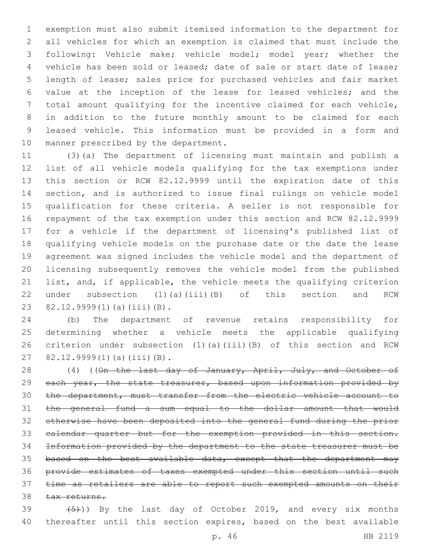exemption must also submit itemized information to the department for all vehicles for which an exemption is claimed that must include the following: Vehicle make; vehicle model; model year; whether the vehicle has been sold or leased; date of sale or start date of lease; length of lease; sales price for purchased vehicles and fair market value at the inception of the lease for leased vehicles; and the total amount qualifying for the incentive claimed for each vehicle, in addition to the future monthly amount to be claimed for each leased vehicle. This information must be provided in a form and 10 manner prescribed by the department.

 (3)(a) The department of licensing must maintain and publish a list of all vehicle models qualifying for the tax exemptions under this section or RCW 82.12.9999 until the expiration date of this section, and is authorized to issue final rulings on vehicle model qualification for these criteria. A seller is not responsible for repayment of the tax exemption under this section and RCW 82.12.9999 for a vehicle if the department of licensing's published list of qualifying vehicle models on the purchase date or the date the lease agreement was signed includes the vehicle model and the department of licensing subsequently removes the vehicle model from the published list, and, if applicable, the vehicle meets the qualifying criterion under subsection (1)(a)(iii)(B) of this section and RCW 23 82.12.9999(1)(a)(iii)(B).

 (b) The department of revenue retains responsibility for determining whether a vehicle meets the applicable qualifying criterion under subsection (1)(a)(iii)(B) of this section and RCW 27 82.12.9999(1)(a)(iii)(B).

28 (4) ((On the last day of January, April, July, and October of 29 each year, the state treasurer, based upon information provided by the department, must transfer from the electric vehicle account to the general fund a sum equal to the dollar amount that would otherwise have been deposited into the general fund during the prior 33 calendar quarter but for the exemption provided in this section. Information provided by the department to the state treasurer must be 35 based on the best available data, except that the department may provide estimates of taxes exempted under this section until such 37 time as retailers are able to report such exempted amounts on their 38 tax returns.

39  $(5)$ )) By the last day of October 2019, and every six months thereafter until this section expires, based on the best available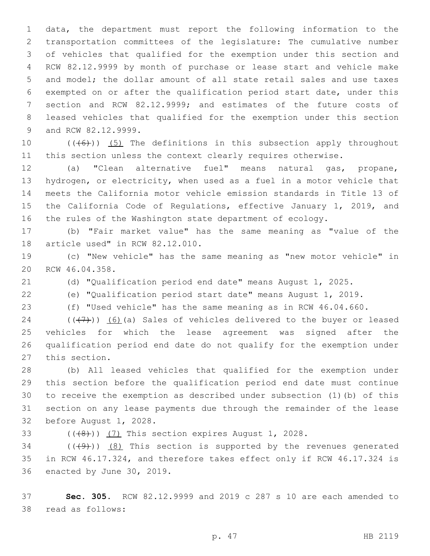data, the department must report the following information to the transportation committees of the legislature: The cumulative number of vehicles that qualified for the exemption under this section and RCW 82.12.9999 by month of purchase or lease start and vehicle make and model; the dollar amount of all state retail sales and use taxes exempted on or after the qualification period start date, under this section and RCW 82.12.9999; and estimates of the future costs of leased vehicles that qualified for the exemption under this section 9 and RCW 82.12.9999.

10  $((+6))$  (5) The definitions in this subsection apply throughout this section unless the context clearly requires otherwise.

 (a) "Clean alternative fuel" means natural gas, propane, hydrogen, or electricity, when used as a fuel in a motor vehicle that meets the California motor vehicle emission standards in Title 13 of the California Code of Regulations, effective January 1, 2019, and the rules of the Washington state department of ecology.

 (b) "Fair market value" has the same meaning as "value of the 18 article used" in RCW 82.12.010.

 (c) "New vehicle" has the same meaning as "new motor vehicle" in 20 RCW 46.04.358.

(d) "Qualification period end date" means August 1, 2025.

(e) "Qualification period start date" means August 1, 2019.

(f) "Used vehicle" has the same meaning as in RCW 46.04.660.

 $((\langle 7\rangle))$  (6)(a) Sales of vehicles delivered to the buyer or leased vehicles for which the lease agreement was signed after the qualification period end date do not qualify for the exemption under 27 this section.

 (b) All leased vehicles that qualified for the exemption under this section before the qualification period end date must continue to receive the exemption as described under subsection (1)(b) of this section on any lease payments due through the remainder of the lease 32 before August 1, 2028.

33  $((+8))$   $(7)$  This section expires August 1, 2028.

34  $((\langle 9 \rangle)(8)$  This section is supported by the revenues generated in RCW 46.17.324, and therefore takes effect only if RCW 46.17.324 is 36 enacted by June 30, 2019.

 **Sec. 305.** RCW 82.12.9999 and 2019 c 287 s 10 are each amended to 38 read as follows: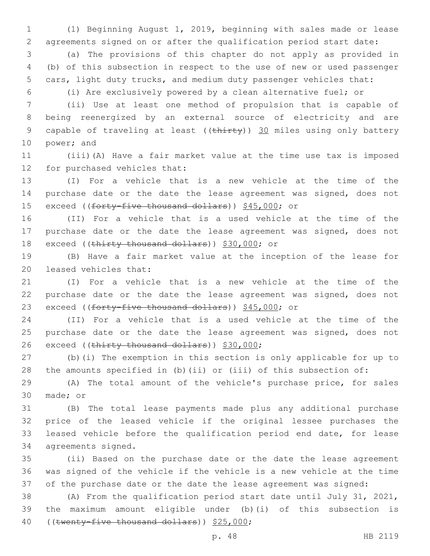(1) Beginning August 1, 2019, beginning with sales made or lease agreements signed on or after the qualification period start date:

 (a) The provisions of this chapter do not apply as provided in (b) of this subsection in respect to the use of new or used passenger cars, light duty trucks, and medium duty passenger vehicles that:

(i) Are exclusively powered by a clean alternative fuel; or

 (ii) Use at least one method of propulsion that is capable of being reenergized by an external source of electricity and are 9 capable of traveling at least ((thirty)) 30 miles using only battery 10 power; and

 (iii)(A) Have a fair market value at the time use tax is imposed 12 for purchased vehicles that:

 (I) For a vehicle that is a new vehicle at the time of the purchase date or the date the lease agreement was signed, does not 15 exceed ((forty-five thousand dollars)) \$45,000; or

 (II) For a vehicle that is a used vehicle at the time of the purchase date or the date the lease agreement was signed, does not 18 exceed ((thirty thousand dollars)) \$30,000; or

 (B) Have a fair market value at the inception of the lease for 20 leased vehicles that:

 (I) For a vehicle that is a new vehicle at the time of the purchase date or the date the lease agreement was signed, does not 23 exceed ((forty-five thousand dollars)) \$45,000; or

 (II) For a vehicle that is a used vehicle at the time of the 25 purchase date or the date the lease agreement was signed, does not 26 exceed ((thirty thousand dollars)) \$30,000;

 (b)(i) The exemption in this section is only applicable for up to the amounts specified in (b)(ii) or (iii) of this subsection of:

 (A) The total amount of the vehicle's purchase price, for sales 30 made; or

 (B) The total lease payments made plus any additional purchase price of the leased vehicle if the original lessee purchases the leased vehicle before the qualification period end date, for lease 34 agreements signed.

 (ii) Based on the purchase date or the date the lease agreement was signed of the vehicle if the vehicle is a new vehicle at the time of the purchase date or the date the lease agreement was signed:

 (A) From the qualification period start date until July 31, 2021, the maximum amount eligible under (b)(i) of this subsection is 40 ((twenty-five thousand dollars)) \$25,000;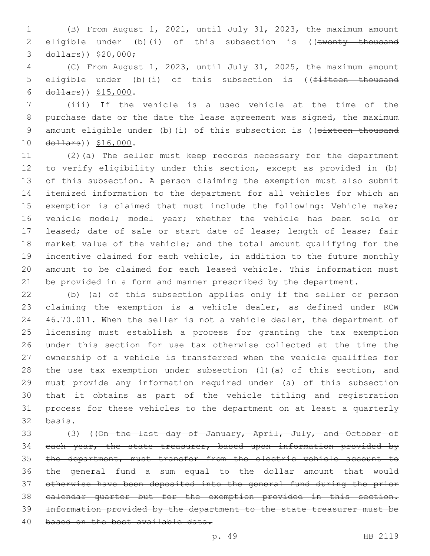(B) From August 1, 2021, until July 31, 2023, the maximum amount 2 eligible under (b)(i) of this subsection is ((twenty thousand 3 dollars)) \$20,000;

 (C) From August 1, 2023, until July 31, 2025, the maximum amount 5 eligible under (b)(i) of this subsection is ((<del>fifteen thousand</del> 6  $d$ ollars))  $$15,000$ .

 (iii) If the vehicle is a used vehicle at the time of the purchase date or the date the lease agreement was signed, the maximum 9 amount eligible under (b)(i) of this subsection is ((sixteen thousand 10 dollars)) \$16,000.

 (2)(a) The seller must keep records necessary for the department to verify eligibility under this section, except as provided in (b) of this subsection. A person claiming the exemption must also submit itemized information to the department for all vehicles for which an exemption is claimed that must include the following: Vehicle make; vehicle model; model year; whether the vehicle has been sold or leased; date of sale or start date of lease; length of lease; fair market value of the vehicle; and the total amount qualifying for the incentive claimed for each vehicle, in addition to the future monthly amount to be claimed for each leased vehicle. This information must be provided in a form and manner prescribed by the department.

 (b) (a) of this subsection applies only if the seller or person claiming the exemption is a vehicle dealer, as defined under RCW 46.70.011. When the seller is not a vehicle dealer, the department of licensing must establish a process for granting the tax exemption under this section for use tax otherwise collected at the time the ownership of a vehicle is transferred when the vehicle qualifies for the use tax exemption under subsection (1)(a) of this section, and must provide any information required under (a) of this subsection that it obtains as part of the vehicle titling and registration process for these vehicles to the department on at least a quarterly 32 basis.

33 (3) ((On the last day of January, April, July, and October of 34 each year, the state treasurer, based upon information provided by the department, must transfer from the electric vehicle account to the general fund a sum equal to the dollar amount that would otherwise have been deposited into the general fund during the prior calendar quarter but for the exemption provided in this section. Information provided by the department to the state treasurer must be 40 based on the best available data.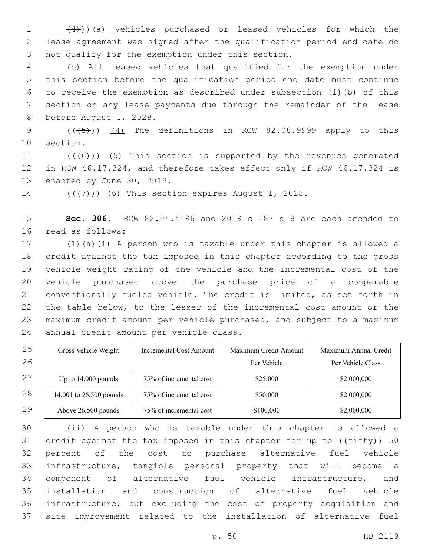(4)))(a) Vehicles purchased or leased vehicles for which the lease agreement was signed after the qualification period end date do 3 not qualify for the exemption under this section.

 (b) All leased vehicles that qualified for the exemption under this section before the qualification period end date must continue to receive the exemption as described under subsection (1)(b) of this section on any lease payments due through the remainder of the lease 8 before August 1, 2028.

9  $((\overline{5}))$   $(4)$  The definitions in RCW 82.08.9999 apply to this 10 section.

11  $((+6))$   $(5)$  This section is supported by the revenues generated in RCW 46.17.324, and therefore takes effect only if RCW 46.17.324 is 13 enacted by June 30, 2019.

14  $((\langle 7 \rangle)(6)$  This section expires August 1, 2028.

 **Sec. 306.** RCW 82.04.4496 and 2019 c 287 s 8 are each amended to 16 read as follows:

 (1)(a)(i) A person who is taxable under this chapter is allowed a credit against the tax imposed in this chapter according to the gross vehicle weight rating of the vehicle and the incremental cost of the vehicle purchased above the purchase price of a comparable conventionally fueled vehicle. The credit is limited, as set forth in the table below, to the lesser of the incremental cost amount or the maximum credit amount per vehicle purchased, and subject to a maximum 24 annual credit amount per vehicle class.

| 25 | Gross Vehicle Weight    | <b>Incremental Cost Amount</b> | Maximum Credit Amount | Maximum Annual Credit |
|----|-------------------------|--------------------------------|-----------------------|-----------------------|
| 26 |                         |                                | Per Vehicle           | Per Vehicle Class     |
| 27 | Up to $14,000$ pounds   | 75% of incremental cost        | \$25,000              | \$2,000,000           |
| 28 | 14,001 to 26,500 pounds | 75% of incremental cost        | \$50,000              | \$2,000,000           |
| 29 | Above 26,500 pounds     | 75% of incremental cost        | \$100,000             | \$2,000,000           |

 (ii) A person who is taxable under this chapter is allowed a 31 credit against the tax imposed in this chapter for up to  $((f\text{iff}\psi))$  50 percent of the cost to purchase alternative fuel vehicle infrastructure, tangible personal property that will become a component of alternative fuel vehicle infrastructure, and installation and construction of alternative fuel vehicle infrastructure, but excluding the cost of property acquisition and site improvement related to the installation of alternative fuel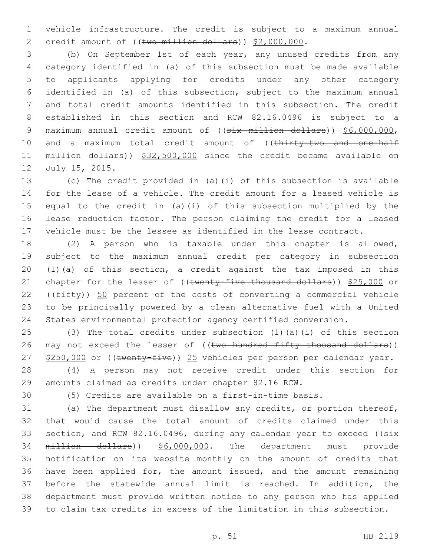vehicle infrastructure. The credit is subject to a maximum annual 2 credit amount of ((two million dollars)) \$2,000,000.

 (b) On September 1st of each year, any unused credits from any category identified in (a) of this subsection must be made available to applicants applying for credits under any other category identified in (a) of this subsection, subject to the maximum annual and total credit amounts identified in this subsection. The credit established in this section and RCW 82.16.0496 is subject to a 9 maximum annual credit amount of ((six million dollars)) \$6,000,000, 10 and a maximum total credit amount of ((thirty-two and one-half million dollars)) \$32,500,000 since the credit became available on 12 July 15, 2015.

 (c) The credit provided in (a)(i) of this subsection is available for the lease of a vehicle. The credit amount for a leased vehicle is equal to the credit in (a)(i) of this subsection multiplied by the lease reduction factor. The person claiming the credit for a leased vehicle must be the lessee as identified in the lease contract.

 (2) A person who is taxable under this chapter is allowed, subject to the maximum annual credit per category in subsection (1)(a) of this section, a credit against the tax imposed in this 21 chapter for the lesser of ((twenty-five thousand dollars)) \$25,000 or 22 ( $(fiff(y))$  50 percent of the costs of converting a commercial vehicle to be principally powered by a clean alternative fuel with a United States environmental protection agency certified conversion.

 (3) The total credits under subsection (1)(a)(i) of this section 26 may not exceed the lesser of ((two hundred fifty thousand dollars)) 27 \$250,000 or ((twenty-five)) 25 vehicles per person per calendar year.

 (4) A person may not receive credit under this section for amounts claimed as credits under chapter 82.16 RCW.

(5) Credits are available on a first-in-time basis.

 (a) The department must disallow any credits, or portion thereof, that would cause the total amount of credits claimed under this 33 section, and RCW 82.16.0496, during any calendar year to exceed ((six million dollars)) \$6,000,000. The department must provide notification on its website monthly on the amount of credits that have been applied for, the amount issued, and the amount remaining before the statewide annual limit is reached. In addition, the department must provide written notice to any person who has applied to claim tax credits in excess of the limitation in this subsection.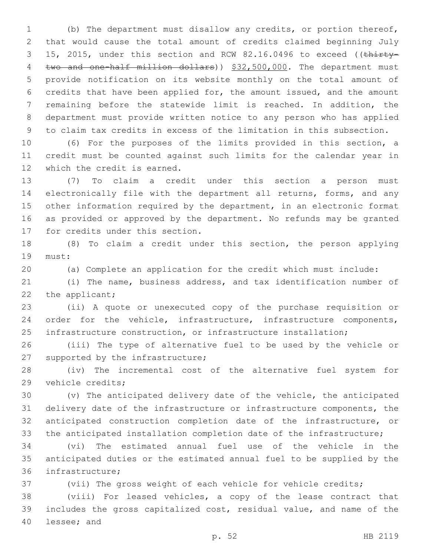(b) The department must disallow any credits, or portion thereof, that would cause the total amount of credits claimed beginning July 3 15, 2015, under this section and RCW 82.16.0496 to exceed ((thirty-4 two and one-half million dollars)) \$32,500,000. The department must provide notification on its website monthly on the total amount of credits that have been applied for, the amount issued, and the amount remaining before the statewide limit is reached. In addition, the department must provide written notice to any person who has applied to claim tax credits in excess of the limitation in this subsection.

 (6) For the purposes of the limits provided in this section, a credit must be counted against such limits for the calendar year in 12 which the credit is earned.

 (7) To claim a credit under this section a person must electronically file with the department all returns, forms, and any other information required by the department, in an electronic format as provided or approved by the department. No refunds may be granted 17 for credits under this section.

 (8) To claim a credit under this section, the person applying 19 must:

(a) Complete an application for the credit which must include:

 (i) The name, business address, and tax identification number of 22 the applicant;

 (ii) A quote or unexecuted copy of the purchase requisition or order for the vehicle, infrastructure, infrastructure components, infrastructure construction, or infrastructure installation;

 (iii) The type of alternative fuel to be used by the vehicle or 27 supported by the infrastructure;

 (iv) The incremental cost of the alternative fuel system for 29 vehicle credits;

 (v) The anticipated delivery date of the vehicle, the anticipated delivery date of the infrastructure or infrastructure components, the anticipated construction completion date of the infrastructure, or the anticipated installation completion date of the infrastructure;

 (vi) The estimated annual fuel use of the vehicle in the anticipated duties or the estimated annual fuel to be supplied by the 36 infrastructure;

(vii) The gross weight of each vehicle for vehicle credits;

 (viii) For leased vehicles, a copy of the lease contract that includes the gross capitalized cost, residual value, and name of the 40 lessee; and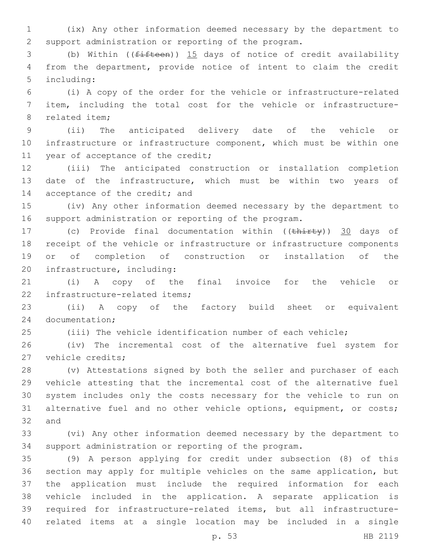(ix) Any other information deemed necessary by the department to support administration or reporting of the program.

 (b) Within ((fifteen)) 15 days of notice of credit availability from the department, provide notice of intent to claim the credit 5 including:

 (i) A copy of the order for the vehicle or infrastructure-related item, including the total cost for the vehicle or infrastructure-8 related item:

 (ii) The anticipated delivery date of the vehicle or infrastructure or infrastructure component, which must be within one 11 year of acceptance of the credit;

 (iii) The anticipated construction or installation completion date of the infrastructure, which must be within two years of 14 acceptance of the credit; and

 (iv) Any other information deemed necessary by the department to support administration or reporting of the program.

17 (c) Provide final documentation within ((thirty)) 30 days of receipt of the vehicle or infrastructure or infrastructure components or of completion of construction or installation of the 20 infrastructure, including:

 (i) A copy of the final invoice for the vehicle or 22 infrastructure-related items;

 (ii) A copy of the factory build sheet or equivalent 24 documentation;

(iii) The vehicle identification number of each vehicle;

 (iv) The incremental cost of the alternative fuel system for 27 vehicle credits;

 (v) Attestations signed by both the seller and purchaser of each vehicle attesting that the incremental cost of the alternative fuel system includes only the costs necessary for the vehicle to run on 31 alternative fuel and no other vehicle options, equipment, or costs; 32 and

 (vi) Any other information deemed necessary by the department to support administration or reporting of the program.

 (9) A person applying for credit under subsection (8) of this section may apply for multiple vehicles on the same application, but the application must include the required information for each vehicle included in the application. A separate application is required for infrastructure-related items, but all infrastructure-related items at a single location may be included in a single

p. 53 HB 2119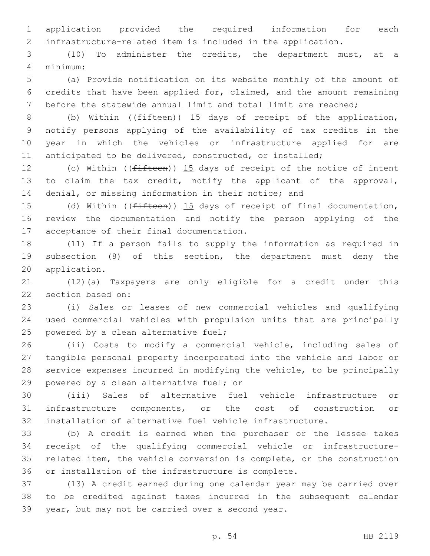application provided the required information for each infrastructure-related item is included in the application.

 (10) To administer the credits, the department must, at a minimum:4

 (a) Provide notification on its website monthly of the amount of credits that have been applied for, claimed, and the amount remaining before the statewide annual limit and total limit are reached;

8 (b) Within ((<del>fifteen</del>)) 15 days of receipt of the application, notify persons applying of the availability of tax credits in the year in which the vehicles or infrastructure applied for are anticipated to be delivered, constructed, or installed;

12 (c) Within ((<del>fifteen</del>)) 15 days of receipt of the notice of intent to claim the tax credit, notify the applicant of the approval, 14 denial, or missing information in their notice; and

15 (d) Within ((<del>fifteen</del>)) 15 days of receipt of final documentation, review the documentation and notify the person applying of the 17 acceptance of their final documentation.

 (11) If a person fails to supply the information as required in subsection (8) of this section, the department must deny the 20 application.

 (12)(a) Taxpayers are only eligible for a credit under this 22 section based on:

 (i) Sales or leases of new commercial vehicles and qualifying used commercial vehicles with propulsion units that are principally 25 powered by a clean alternative fuel;

 (ii) Costs to modify a commercial vehicle, including sales of tangible personal property incorporated into the vehicle and labor or service expenses incurred in modifying the vehicle, to be principally 29 powered by a clean alternative fuel; or

 (iii) Sales of alternative fuel vehicle infrastructure or infrastructure components, or the cost of construction or installation of alternative fuel vehicle infrastructure.

 (b) A credit is earned when the purchaser or the lessee takes receipt of the qualifying commercial vehicle or infrastructure- related item, the vehicle conversion is complete, or the construction or installation of the infrastructure is complete.

 (13) A credit earned during one calendar year may be carried over to be credited against taxes incurred in the subsequent calendar 39 year, but may not be carried over a second year.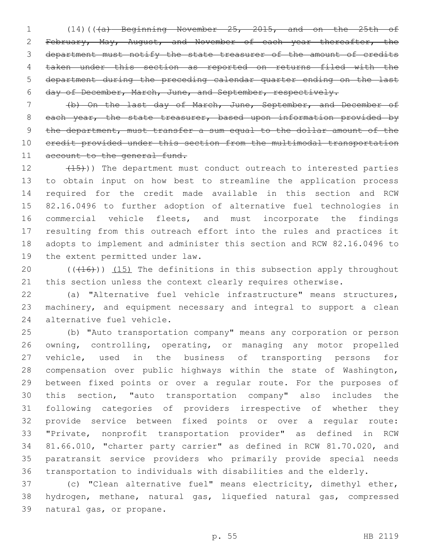(14)(((a) Beginning November 25, 2015, and on the 25th of February, May, August, and November of each year thereafter, the department must notify the state treasurer of the amount of credits taken under this section as reported on returns filed with the department during the preceding calendar quarter ending on the last day of December, March, June, and September, respectively.

 (b) On the last day of March, June, September, and December of 8 each year, the state treasurer, based upon information provided by the department, must transfer a sum equal to the dollar amount of the credit provided under this section from the multimodal transportation 11 account to the general fund.

12 (15)) The department must conduct outreach to interested parties to obtain input on how best to streamline the application process required for the credit made available in this section and RCW 82.16.0496 to further adoption of alternative fuel technologies in commercial vehicle fleets, and must incorporate the findings resulting from this outreach effort into the rules and practices it adopts to implement and administer this section and RCW 82.16.0496 to 19 the extent permitted under law.

20  $((+16))$   $(15)$  The definitions in this subsection apply throughout 21 this section unless the context clearly requires otherwise.

 (a) "Alternative fuel vehicle infrastructure" means structures, machinery, and equipment necessary and integral to support a clean 24 alternative fuel vehicle.

 (b) "Auto transportation company" means any corporation or person owning, controlling, operating, or managing any motor propelled vehicle, used in the business of transporting persons for compensation over public highways within the state of Washington, between fixed points or over a regular route. For the purposes of this section, "auto transportation company" also includes the following categories of providers irrespective of whether they provide service between fixed points or over a regular route: "Private, nonprofit transportation provider" as defined in RCW 81.66.010, "charter party carrier" as defined in RCW 81.70.020, and paratransit service providers who primarily provide special needs transportation to individuals with disabilities and the elderly.

 (c) "Clean alternative fuel" means electricity, dimethyl ether, hydrogen, methane, natural gas, liquefied natural gas, compressed 39 natural gas, or propane.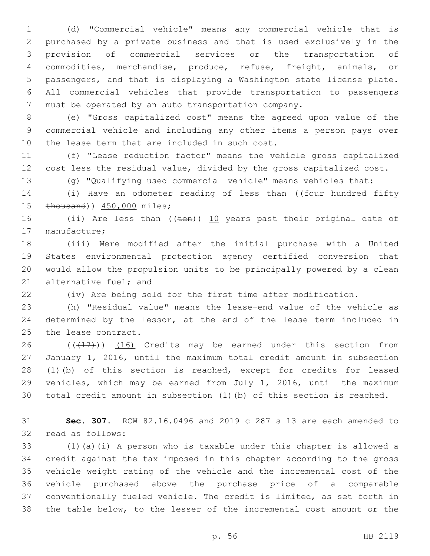(d) "Commercial vehicle" means any commercial vehicle that is purchased by a private business and that is used exclusively in the provision of commercial services or the transportation of commodities, merchandise, produce, refuse, freight, animals, or passengers, and that is displaying a Washington state license plate. All commercial vehicles that provide transportation to passengers must be operated by an auto transportation company.

 (e) "Gross capitalized cost" means the agreed upon value of the commercial vehicle and including any other items a person pays over 10 the lease term that are included in such cost.

 (f) "Lease reduction factor" means the vehicle gross capitalized cost less the residual value, divided by the gross capitalized cost.

(g) "Qualifying used commercial vehicle" means vehicles that:

14 (i) Have an odometer reading of less than ((four hundred fifty 15 thousand)) 450,000 miles;

16 (ii) Are less than (( $t$ en)) 10 years past their original date of 17 manufacture;

 (iii) Were modified after the initial purchase with a United States environmental protection agency certified conversion that would allow the propulsion units to be principally powered by a clean 21 alternative fuel; and

(iv) Are being sold for the first time after modification.

 (h) "Residual value" means the lease-end value of the vehicle as 24 determined by the lessor, at the end of the lease term included in 25 the lease contract.

 $((+17))$   $(16)$  Credits may be earned under this section from January 1, 2016, until the maximum total credit amount in subsection (1)(b) of this section is reached, except for credits for leased vehicles, which may be earned from July 1, 2016, until the maximum total credit amount in subsection (1)(b) of this section is reached.

 **Sec. 307.** RCW 82.16.0496 and 2019 c 287 s 13 are each amended to 32 read as follows:

 (1)(a)(i) A person who is taxable under this chapter is allowed a credit against the tax imposed in this chapter according to the gross vehicle weight rating of the vehicle and the incremental cost of the vehicle purchased above the purchase price of a comparable conventionally fueled vehicle. The credit is limited, as set forth in the table below, to the lesser of the incremental cost amount or the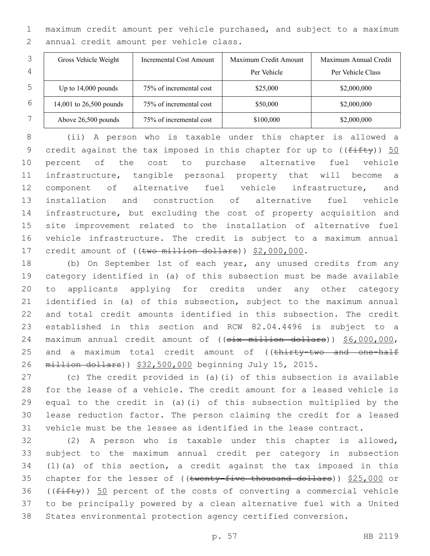maximum credit amount per vehicle purchased, and subject to a maximum 2 annual credit amount per vehicle class.

|   | Gross Vehicle Weight    | Incremental Cost Amount | Maximum Credit Amount | Maximum Annual Credit |
|---|-------------------------|-------------------------|-----------------------|-----------------------|
| 4 |                         |                         | Per Vehicle           | Per Vehicle Class     |
| 5 | Up to $14,000$ pounds   | 75% of incremental cost | \$25,000              | \$2,000,000           |
| 6 | 14,001 to 26,500 pounds | 75% of incremental cost | \$50,000              | \$2,000,000           |
|   | Above 26,500 pounds     | 75% of incremental cost | \$100,000             | \$2,000,000           |

 (ii) A person who is taxable under this chapter is allowed a 9 credit against the tax imposed in this chapter for up to  $((f\text{iff}\psi))$  50 percent of the cost to purchase alternative fuel vehicle infrastructure, tangible personal property that will become a component of alternative fuel vehicle infrastructure, and installation and construction of alternative fuel vehicle infrastructure, but excluding the cost of property acquisition and site improvement related to the installation of alternative fuel vehicle infrastructure. The credit is subject to a maximum annual 17 credit amount of ((two million dollars)) \$2,000,000.

 (b) On September 1st of each year, any unused credits from any category identified in (a) of this subsection must be made available to applicants applying for credits under any other category identified in (a) of this subsection, subject to the maximum annual and total credit amounts identified in this subsection. The credit established in this section and RCW 82.04.4496 is subject to a 24 maximum annual credit amount of ((six million dollars)) \$6,000,000, 25 and a maximum total credit amount of ((thirty-two and one-half million dollars)) \$32,500,000 beginning July 15, 2015.

 (c) The credit provided in (a)(i) of this subsection is available for the lease of a vehicle. The credit amount for a leased vehicle is equal to the credit in (a)(i) of this subsection multiplied by the lease reduction factor. The person claiming the credit for a leased vehicle must be the lessee as identified in the lease contract.

 (2) A person who is taxable under this chapter is allowed, subject to the maximum annual credit per category in subsection (1)(a) of this section, a credit against the tax imposed in this 35 chapter for the lesser of ((twenty-five thousand dollars)) \$25,000 or 36 ( $(fiff(y))$  50 percent of the costs of converting a commercial vehicle to be principally powered by a clean alternative fuel with a United States environmental protection agency certified conversion.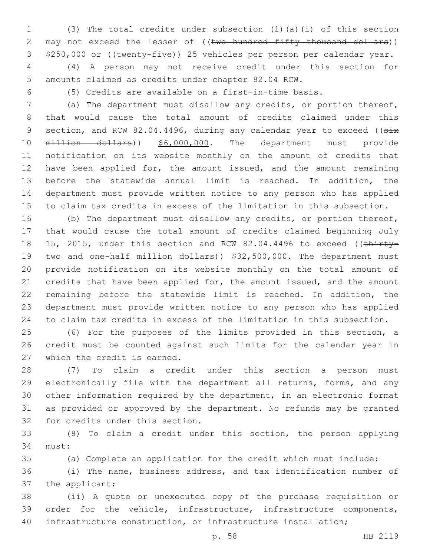(3) The total credits under subsection (1)(a)(i) of this section 2 may not exceed the lesser of ((two hundred fifty thousand dollars)) 3 \$250,000 or ((twenty-five)) 25 vehicles per person per calendar year.

 (4) A person may not receive credit under this section for amounts claimed as credits under chapter 82.04 RCW.

(5) Credits are available on a first-in-time basis.

 (a) The department must disallow any credits, or portion thereof, that would cause the total amount of credits claimed under this 9 section, and RCW 82.04.4496, during any calendar year to exceed ((six 10 million dollars)) \$6,000,000. The department must provide notification on its website monthly on the amount of credits that 12 have been applied for, the amount issued, and the amount remaining before the statewide annual limit is reached. In addition, the department must provide written notice to any person who has applied to claim tax credits in excess of the limitation in this subsection.

 (b) The department must disallow any credits, or portion thereof, that would cause the total amount of credits claimed beginning July 18 15, 2015, under this section and RCW 82.04.4496 to exceed ((thirty-19 two and one-half million dollars)) \$32,500,000. The department must provide notification on its website monthly on the total amount of 21 credits that have been applied for, the amount issued, and the amount remaining before the statewide limit is reached. In addition, the department must provide written notice to any person who has applied to claim tax credits in excess of the limitation in this subsection.

 (6) For the purposes of the limits provided in this section, a credit must be counted against such limits for the calendar year in 27 which the credit is earned.

 (7) To claim a credit under this section a person must electronically file with the department all returns, forms, and any other information required by the department, in an electronic format as provided or approved by the department. No refunds may be granted 32 for credits under this section.

 (8) To claim a credit under this section, the person applying 34 must:

(a) Complete an application for the credit which must include:

 (i) The name, business address, and tax identification number of 37 the applicant;

 (ii) A quote or unexecuted copy of the purchase requisition or order for the vehicle, infrastructure, infrastructure components, infrastructure construction, or infrastructure installation;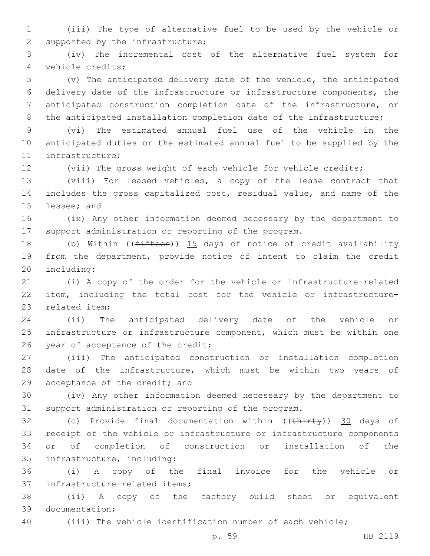(iii) The type of alternative fuel to be used by the vehicle or 2 supported by the infrastructure;

 (iv) The incremental cost of the alternative fuel system for vehicle credits;4

 (v) The anticipated delivery date of the vehicle, the anticipated delivery date of the infrastructure or infrastructure components, the anticipated construction completion date of the infrastructure, or 8 the anticipated installation completion date of the infrastructure;

 (vi) The estimated annual fuel use of the vehicle in the anticipated duties or the estimated annual fuel to be supplied by the 11 infrastructure;

(vii) The gross weight of each vehicle for vehicle credits;

 (viii) For leased vehicles, a copy of the lease contract that includes the gross capitalized cost, residual value, and name of the 15 lessee; and

 (ix) Any other information deemed necessary by the department to support administration or reporting of the program.

18 (b) Within ((fifteen)) 15 days of notice of credit availability from the department, provide notice of intent to claim the credit 20 including:

 (i) A copy of the order for the vehicle or infrastructure-related item, including the total cost for the vehicle or infrastructure-23 related item:

 (ii) The anticipated delivery date of the vehicle or infrastructure or infrastructure component, which must be within one 26 year of acceptance of the credit;

 (iii) The anticipated construction or installation completion date of the infrastructure, which must be within two years of 29 acceptance of the credit; and

 (iv) Any other information deemed necessary by the department to support administration or reporting of the program.

32 (c) Provide final documentation within ((thirty)) 30 days of receipt of the vehicle or infrastructure or infrastructure components or of completion of construction or installation of the 35 infrastructure, including:

 (i) A copy of the final invoice for the vehicle or 37 infrastructure-related items;

 (ii) A copy of the factory build sheet or equivalent 39 documentation;

(iii) The vehicle identification number of each vehicle;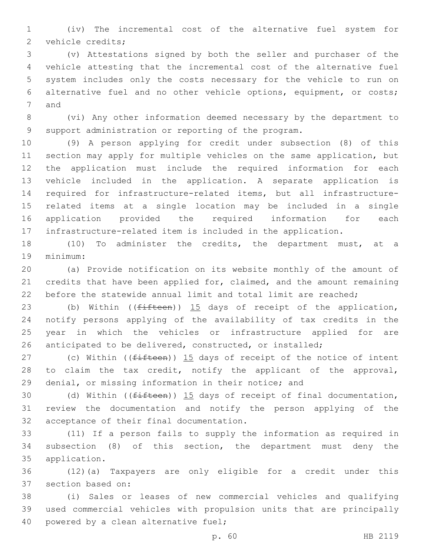(iv) The incremental cost of the alternative fuel system for 2 vehicle credits;

 (v) Attestations signed by both the seller and purchaser of the vehicle attesting that the incremental cost of the alternative fuel system includes only the costs necessary for the vehicle to run on alternative fuel and no other vehicle options, equipment, or costs; 7 and

 (vi) Any other information deemed necessary by the department to support administration or reporting of the program.

 (9) A person applying for credit under subsection (8) of this section may apply for multiple vehicles on the same application, but the application must include the required information for each vehicle included in the application. A separate application is required for infrastructure-related items, but all infrastructure- related items at a single location may be included in a single application provided the required information for each infrastructure-related item is included in the application.

 (10) To administer the credits, the department must, at a 19 minimum:

 (a) Provide notification on its website monthly of the amount of credits that have been applied for, claimed, and the amount remaining before the statewide annual limit and total limit are reached;

23 (b) Within ((fifteen)) 15 days of receipt of the application, notify persons applying of the availability of tax credits in the year in which the vehicles or infrastructure applied for are anticipated to be delivered, constructed, or installed;

27 (c) Within ( $(fifteen)$ )  $15$  days of receipt of the notice of intent 28 to claim the tax credit, notify the applicant of the approval, denial, or missing information in their notice; and

30 (d) Within ((<del>fifteen</del>)) 15 days of receipt of final documentation, review the documentation and notify the person applying of the 32 acceptance of their final documentation.

 (11) If a person fails to supply the information as required in subsection (8) of this section, the department must deny the 35 application.

 (12)(a) Taxpayers are only eligible for a credit under this 37 section based on:

 (i) Sales or leases of new commercial vehicles and qualifying used commercial vehicles with propulsion units that are principally 40 powered by a clean alternative fuel;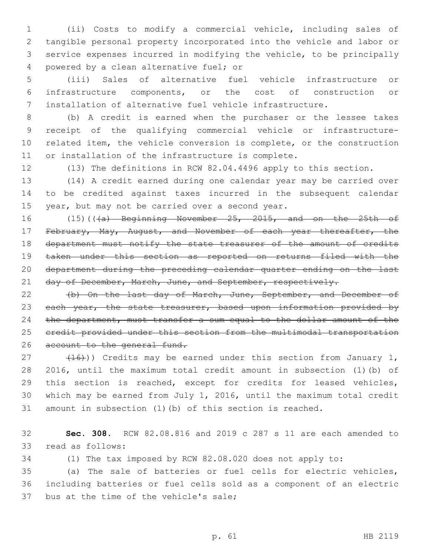(ii) Costs to modify a commercial vehicle, including sales of tangible personal property incorporated into the vehicle and labor or service expenses incurred in modifying the vehicle, to be principally 4 powered by a clean alternative fuel; or

 (iii) Sales of alternative fuel vehicle infrastructure or infrastructure components, or the cost of construction or installation of alternative fuel vehicle infrastructure.

 (b) A credit is earned when the purchaser or the lessee takes receipt of the qualifying commercial vehicle or infrastructure- related item, the vehicle conversion is complete, or the construction or installation of the infrastructure is complete.

(13) The definitions in RCW 82.04.4496 apply to this section.

 (14) A credit earned during one calendar year may be carried over to be credited against taxes incurred in the subsequent calendar 15 year, but may not be carried over a second year.

16 (15)(((a) Beginning November 25, 2015, and on the 25th of 17 February, May, August, and November of each year thereafter, the 18 department must notify the state treasurer of the amount of credits taken under this section as reported on returns filed with the department during the preceding calendar quarter ending on the last 21 day of December, March, June, and September, respectively.

 (b) On the last day of March, June, September, and December of 23 each year, the state treasurer, based upon information provided by the department, must transfer a sum equal to the dollar amount of the credit provided under this section from the multimodal transportation 26 account to the general fund.

 $(16)$ ) Credits may be earned under this section from January 1, 2016, until the maximum total credit amount in subsection (1)(b) of this section is reached, except for credits for leased vehicles, which may be earned from July 1, 2016, until the maximum total credit amount in subsection (1)(b) of this section is reached.

 **Sec. 308.** RCW 82.08.816 and 2019 c 287 s 11 are each amended to 33 read as follows:

(1) The tax imposed by RCW 82.08.020 does not apply to:

 (a) The sale of batteries or fuel cells for electric vehicles, including batteries or fuel cells sold as a component of an electric 37 bus at the time of the vehicle's sale;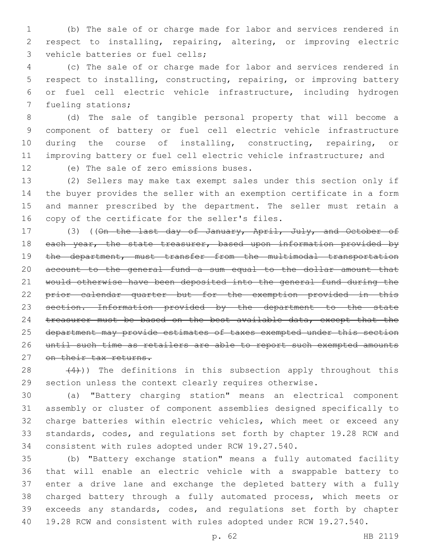(b) The sale of or charge made for labor and services rendered in respect to installing, repairing, altering, or improving electric 3 vehicle batteries or fuel cells;

 (c) The sale of or charge made for labor and services rendered in respect to installing, constructing, repairing, or improving battery or fuel cell electric vehicle infrastructure, including hydrogen 7 fueling stations;

 (d) The sale of tangible personal property that will become a component of battery or fuel cell electric vehicle infrastructure 10 during the course of installing, constructing, repairing, or improving battery or fuel cell electric vehicle infrastructure; and

12 (e) The sale of zero emissions buses.

 (2) Sellers may make tax exempt sales under this section only if the buyer provides the seller with an exemption certificate in a form and manner prescribed by the department. The seller must retain a 16 copy of the certificate for the seller's files.

17 (3) ((On the last day of January, April, July, and October of 18 each year, the state treasurer, based upon information provided by 19 the department, must transfer from the multimodal transportation account to the general fund a sum equal to the dollar amount that would otherwise have been deposited into the general fund during the prior calendar quarter but for the exemption provided in this section. Information provided by the department to the state 24 treasurer must be based on the best available data, except that the department may provide estimates of taxes exempted under this section until such time as retailers are able to report such exempted amounts 27 on their tax returns.

28  $(4)$ )) The definitions in this subsection apply throughout this section unless the context clearly requires otherwise.

 (a) "Battery charging station" means an electrical component assembly or cluster of component assemblies designed specifically to charge batteries within electric vehicles, which meet or exceed any standards, codes, and regulations set forth by chapter 19.28 RCW and consistent with rules adopted under RCW 19.27.540.

 (b) "Battery exchange station" means a fully automated facility that will enable an electric vehicle with a swappable battery to enter a drive lane and exchange the depleted battery with a fully charged battery through a fully automated process, which meets or exceeds any standards, codes, and regulations set forth by chapter 19.28 RCW and consistent with rules adopted under RCW 19.27.540.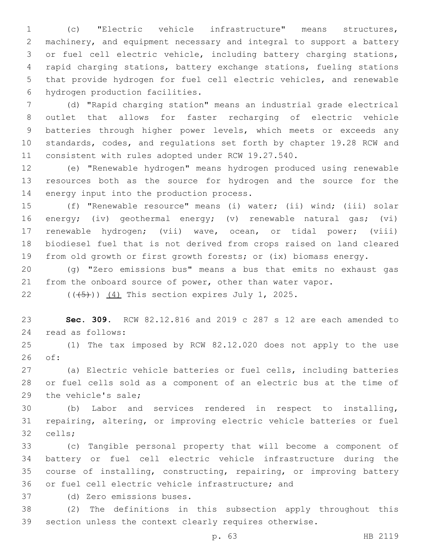(c) "Electric vehicle infrastructure" means structures, machinery, and equipment necessary and integral to support a battery or fuel cell electric vehicle, including battery charging stations, rapid charging stations, battery exchange stations, fueling stations that provide hydrogen for fuel cell electric vehicles, and renewable 6 hydrogen production facilities.

 (d) "Rapid charging station" means an industrial grade electrical outlet that allows for faster recharging of electric vehicle batteries through higher power levels, which meets or exceeds any standards, codes, and regulations set forth by chapter 19.28 RCW and consistent with rules adopted under RCW 19.27.540.

 (e) "Renewable hydrogen" means hydrogen produced using renewable resources both as the source for hydrogen and the source for the 14 energy input into the production process.

 (f) "Renewable resource" means (i) water; (ii) wind; (iii) solar energy; (iv) geothermal energy; (v) renewable natural gas; (vi) renewable hydrogen; (vii) wave, ocean, or tidal power; (viii) biodiesel fuel that is not derived from crops raised on land cleared from old growth or first growth forests; or (ix) biomass energy.

 (g) "Zero emissions bus" means a bus that emits no exhaust gas from the onboard source of power, other than water vapor.

22  $((\overline{5}))(\overline{4})$  This section expires July 1, 2025.

 **Sec. 309.** RCW 82.12.816 and 2019 c 287 s 12 are each amended to 24 read as follows:

 (1) The tax imposed by RCW 82.12.020 does not apply to the use of:26

 (a) Electric vehicle batteries or fuel cells, including batteries or fuel cells sold as a component of an electric bus at the time of 29 the vehicle's sale;

 (b) Labor and services rendered in respect to installing, repairing, altering, or improving electric vehicle batteries or fuel 32 cells;

 (c) Tangible personal property that will become a component of battery or fuel cell electric vehicle infrastructure during the course of installing, constructing, repairing, or improving battery 36 or fuel cell electric vehicle infrastructure; and

(d) Zero emissions buses.37

 (2) The definitions in this subsection apply throughout this section unless the context clearly requires otherwise.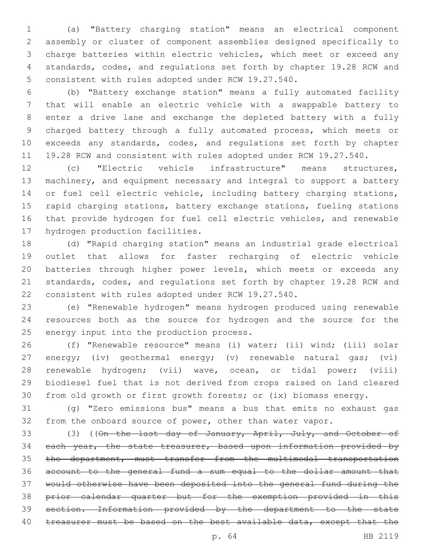(a) "Battery charging station" means an electrical component assembly or cluster of component assemblies designed specifically to charge batteries within electric vehicles, which meet or exceed any standards, codes, and regulations set forth by chapter 19.28 RCW and 5 consistent with rules adopted under RCW 19.27.540.

 (b) "Battery exchange station" means a fully automated facility that will enable an electric vehicle with a swappable battery to enter a drive lane and exchange the depleted battery with a fully charged battery through a fully automated process, which meets or exceeds any standards, codes, and regulations set forth by chapter 19.28 RCW and consistent with rules adopted under RCW 19.27.540.

 (c) "Electric vehicle infrastructure" means structures, machinery, and equipment necessary and integral to support a battery 14 or fuel cell electric vehicle, including battery charging stations, rapid charging stations, battery exchange stations, fueling stations that provide hydrogen for fuel cell electric vehicles, and renewable 17 hydrogen production facilities.

 (d) "Rapid charging station" means an industrial grade electrical outlet that allows for faster recharging of electric vehicle batteries through higher power levels, which meets or exceeds any standards, codes, and regulations set forth by chapter 19.28 RCW and consistent with rules adopted under RCW 19.27.540.

 (e) "Renewable hydrogen" means hydrogen produced using renewable resources both as the source for hydrogen and the source for the 25 energy input into the production process.

 (f) "Renewable resource" means (i) water; (ii) wind; (iii) solar energy; (iv) geothermal energy; (v) renewable natural gas; (vi) renewable hydrogen; (vii) wave, ocean, or tidal power; (viii) biodiesel fuel that is not derived from crops raised on land cleared from old growth or first growth forests; or (ix) biomass energy.

 (g) "Zero emissions bus" means a bus that emits no exhaust gas from the onboard source of power, other than water vapor.

33 (3) ((On the last day of January, April, July, and October of 34 each year, the state treasurer, based upon information provided by the department, must transfer from the multimodal transportation account to the general fund a sum equal to the dollar amount that would otherwise have been deposited into the general fund during the prior calendar quarter but for the exemption provided in this section. Information provided by the department to the state 40 treasurer must be based on the best available data, except that the

p. 64 HB 2119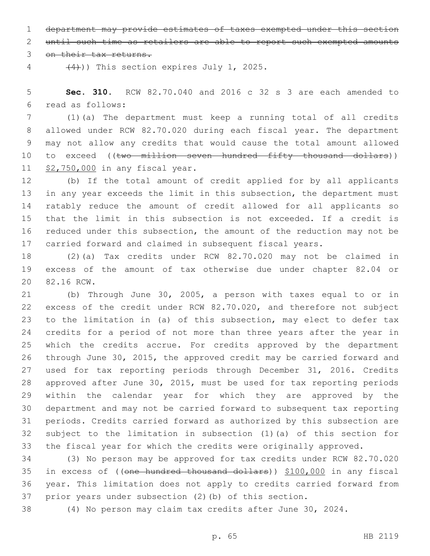department may provide estimates of taxes exempted under this section

until such time as retailers are able to report such exempted amounts

3 on their tax returns.

 $(4)$ )) This section expires July 1, 2025.

 **Sec. 310.** RCW 82.70.040 and 2016 c 32 s 3 are each amended to read as follows:6

 (1)(a) The department must keep a running total of all credits allowed under RCW 82.70.020 during each fiscal year. The department may not allow any credits that would cause the total amount allowed 10 to exceed ((two million seven hundred fifty thousand dollars)) 11 \$2,750,000 in any fiscal year.

 (b) If the total amount of credit applied for by all applicants in any year exceeds the limit in this subsection, the department must ratably reduce the amount of credit allowed for all applicants so that the limit in this subsection is not exceeded. If a credit is reduced under this subsection, the amount of the reduction may not be carried forward and claimed in subsequent fiscal years.

 (2)(a) Tax credits under RCW 82.70.020 may not be claimed in excess of the amount of tax otherwise due under chapter 82.04 or 20 82.16 RCW.

 (b) Through June 30, 2005, a person with taxes equal to or in excess of the credit under RCW 82.70.020, and therefore not subject to the limitation in (a) of this subsection, may elect to defer tax credits for a period of not more than three years after the year in which the credits accrue. For credits approved by the department through June 30, 2015, the approved credit may be carried forward and used for tax reporting periods through December 31, 2016. Credits approved after June 30, 2015, must be used for tax reporting periods within the calendar year for which they are approved by the department and may not be carried forward to subsequent tax reporting periods. Credits carried forward as authorized by this subsection are subject to the limitation in subsection (1)(a) of this section for the fiscal year for which the credits were originally approved.

 (3) No person may be approved for tax credits under RCW 82.70.020 in excess of ((one hundred thousand dollars)) \$100,000 in any fiscal year. This limitation does not apply to credits carried forward from prior years under subsection (2)(b) of this section.

(4) No person may claim tax credits after June 30, 2024.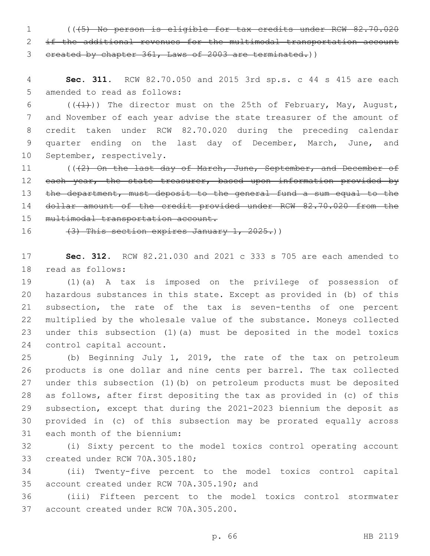1 (((5) No person is eligible for tax credits under RCW 82.70.020 2 if the additional revenues for the multimodal transportation account 3 created by chapter 361, Laws of 2003 are terminated.))

4 **Sec. 311.** RCW 82.70.050 and 2015 3rd sp.s. c 44 s 415 are each 5 amended to read as follows:

6 ( $(\frac{1}{1})$ ) The director must on the 25th of February, May, August, 7 and November of each year advise the state treasurer of the amount of 8 credit taken under RCW 82.70.020 during the preceding calendar 9 quarter ending on the last day of December, March, June, and 10 September, respectively.

11 (((2) On the last day of March, June, September, and December of 12 each year, the state treasurer, based upon information provided by 13 the department, must deposit to the general fund a sum equal to the 14 dollar amount of the credit provided under RCW 82.70.020 from the 15 multimodal transportation account.

16  $(3)$  This section expires January 1, 2025.)

17 **Sec. 312.** RCW 82.21.030 and 2021 c 333 s 705 are each amended to 18 read as follows:

 (1)(a) A tax is imposed on the privilege of possession of hazardous substances in this state. Except as provided in (b) of this subsection, the rate of the tax is seven-tenths of one percent multiplied by the wholesale value of the substance. Moneys collected under this subsection (1)(a) must be deposited in the model toxics 24 control capital account.

 (b) Beginning July 1, 2019, the rate of the tax on petroleum products is one dollar and nine cents per barrel. The tax collected under this subsection (1)(b) on petroleum products must be deposited as follows, after first depositing the tax as provided in (c) of this subsection, except that during the 2021-2023 biennium the deposit as provided in (c) of this subsection may be prorated equally across 31 each month of the biennium:

32 (i) Sixty percent to the model toxics control operating account 33 created under RCW 70A.305.180;

34 (ii) Twenty-five percent to the model toxics control capital 35 account created under RCW 70A.305.190; and

36 (iii) Fifteen percent to the model toxics control stormwater 37 account created under RCW 70A.305.200.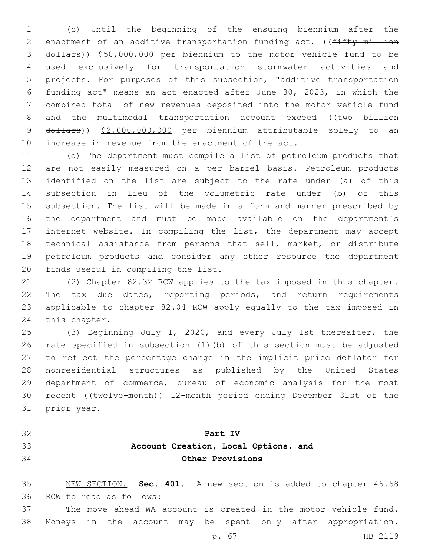(c) Until the beginning of the ensuing biennium after the 2 enactment of an additive transportation funding act, ((fifty million dollars)) \$50,000,000 per biennium to the motor vehicle fund to be used exclusively for transportation stormwater activities and projects. For purposes of this subsection, "additive transportation funding act" means an act enacted after June 30, 2023, in which the combined total of new revenues deposited into the motor vehicle fund 8 and the multimodal transportation account exceed ((two billion 9 dollars)) \$2,000,000,000 per biennium attributable solely to an increase in revenue from the enactment of the act.

 (d) The department must compile a list of petroleum products that are not easily measured on a per barrel basis. Petroleum products identified on the list are subject to the rate under (a) of this subsection in lieu of the volumetric rate under (b) of this subsection. The list will be made in a form and manner prescribed by the department and must be made available on the department's internet website. In compiling the list, the department may accept technical assistance from persons that sell, market, or distribute petroleum products and consider any other resource the department 20 finds useful in compiling the list.

 (2) Chapter 82.32 RCW applies to the tax imposed in this chapter. The tax due dates, reporting periods, and return requirements applicable to chapter 82.04 RCW apply equally to the tax imposed in 24 this chapter.

 (3) Beginning July 1, 2020, and every July 1st thereafter, the rate specified in subsection (1)(b) of this section must be adjusted to reflect the percentage change in the implicit price deflator for nonresidential structures as published by the United States department of commerce, bureau of economic analysis for the most recent ((twelve-month)) 12-month period ending December 31st of the 31 prior year.

- 
- 

## **Part IV**

## **Account Creation, Local Options, and Other Provisions**

 NEW SECTION. **Sec. 401.** A new section is added to chapter 46.68 36 RCW to read as follows:

 The move ahead WA account is created in the motor vehicle fund. Moneys in the account may be spent only after appropriation.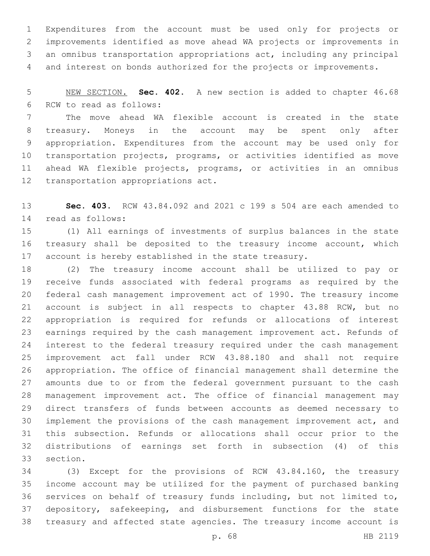Expenditures from the account must be used only for projects or improvements identified as move ahead WA projects or improvements in an omnibus transportation appropriations act, including any principal and interest on bonds authorized for the projects or improvements.

 NEW SECTION. **Sec. 402.** A new section is added to chapter 46.68 6 RCW to read as follows:

 The move ahead WA flexible account is created in the state treasury. Moneys in the account may be spent only after appropriation. Expenditures from the account may be used only for transportation projects, programs, or activities identified as move ahead WA flexible projects, programs, or activities in an omnibus 12 transportation appropriations act.

 **Sec. 403.** RCW 43.84.092 and 2021 c 199 s 504 are each amended to 14 read as follows:

 (1) All earnings of investments of surplus balances in the state treasury shall be deposited to the treasury income account, which account is hereby established in the state treasury.

 (2) The treasury income account shall be utilized to pay or receive funds associated with federal programs as required by the federal cash management improvement act of 1990. The treasury income account is subject in all respects to chapter 43.88 RCW, but no appropriation is required for refunds or allocations of interest earnings required by the cash management improvement act. Refunds of interest to the federal treasury required under the cash management improvement act fall under RCW 43.88.180 and shall not require appropriation. The office of financial management shall determine the amounts due to or from the federal government pursuant to the cash management improvement act. The office of financial management may direct transfers of funds between accounts as deemed necessary to implement the provisions of the cash management improvement act, and this subsection. Refunds or allocations shall occur prior to the distributions of earnings set forth in subsection (4) of this 33 section.

 (3) Except for the provisions of RCW 43.84.160, the treasury income account may be utilized for the payment of purchased banking services on behalf of treasury funds including, but not limited to, depository, safekeeping, and disbursement functions for the state treasury and affected state agencies. The treasury income account is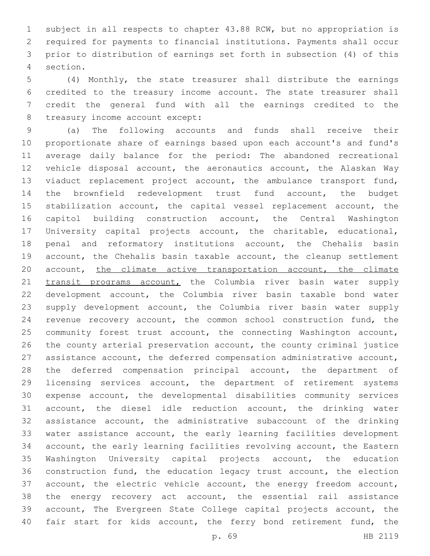subject in all respects to chapter 43.88 RCW, but no appropriation is required for payments to financial institutions. Payments shall occur prior to distribution of earnings set forth in subsection (4) of this section.4

 (4) Monthly, the state treasurer shall distribute the earnings credited to the treasury income account. The state treasurer shall credit the general fund with all the earnings credited to the 8 treasury income account except:

 (a) The following accounts and funds shall receive their proportionate share of earnings based upon each account's and fund's average daily balance for the period: The abandoned recreational vehicle disposal account, the aeronautics account, the Alaskan Way viaduct replacement project account, the ambulance transport fund, the brownfield redevelopment trust fund account, the budget stabilization account, the capital vessel replacement account, the capitol building construction account, the Central Washington University capital projects account, the charitable, educational, penal and reformatory institutions account, the Chehalis basin account, the Chehalis basin taxable account, the cleanup settlement 20 account, the climate active transportation account, the climate 21 transit programs account, the Columbia river basin water supply development account, the Columbia river basin taxable bond water supply development account, the Columbia river basin water supply revenue recovery account, the common school construction fund, the community forest trust account, the connecting Washington account, the county arterial preservation account, the county criminal justice assistance account, the deferred compensation administrative account, the deferred compensation principal account, the department of licensing services account, the department of retirement systems expense account, the developmental disabilities community services account, the diesel idle reduction account, the drinking water assistance account, the administrative subaccount of the drinking water assistance account, the early learning facilities development account, the early learning facilities revolving account, the Eastern Washington University capital projects account, the education construction fund, the education legacy trust account, the election account, the electric vehicle account, the energy freedom account, the energy recovery act account, the essential rail assistance account, The Evergreen State College capital projects account, the 40 fair start for kids account, the ferry bond retirement fund, the

p. 69 HB 2119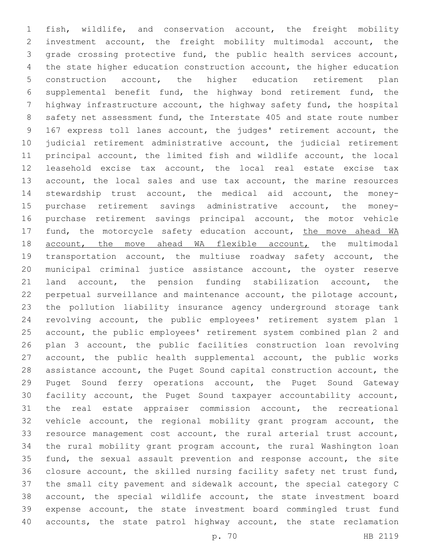fish, wildlife, and conservation account, the freight mobility investment account, the freight mobility multimodal account, the grade crossing protective fund, the public health services account, the state higher education construction account, the higher education construction account, the higher education retirement plan supplemental benefit fund, the highway bond retirement fund, the highway infrastructure account, the highway safety fund, the hospital safety net assessment fund, the Interstate 405 and state route number 167 express toll lanes account, the judges' retirement account, the judicial retirement administrative account, the judicial retirement principal account, the limited fish and wildlife account, the local leasehold excise tax account, the local real estate excise tax 13 account, the local sales and use tax account, the marine resources stewardship trust account, the medical aid account, the money- purchase retirement savings administrative account, the money- purchase retirement savings principal account, the motor vehicle 17 fund, the motorcycle safety education account, the move ahead WA 18 account, the move ahead WA flexible account, the multimodal transportation account, the multiuse roadway safety account, the municipal criminal justice assistance account, the oyster reserve land account, the pension funding stabilization account, the perpetual surveillance and maintenance account, the pilotage account, the pollution liability insurance agency underground storage tank revolving account, the public employees' retirement system plan 1 account, the public employees' retirement system combined plan 2 and plan 3 account, the public facilities construction loan revolving account, the public health supplemental account, the public works assistance account, the Puget Sound capital construction account, the Puget Sound ferry operations account, the Puget Sound Gateway facility account, the Puget Sound taxpayer accountability account, the real estate appraiser commission account, the recreational vehicle account, the regional mobility grant program account, the resource management cost account, the rural arterial trust account, the rural mobility grant program account, the rural Washington loan fund, the sexual assault prevention and response account, the site closure account, the skilled nursing facility safety net trust fund, the small city pavement and sidewalk account, the special category C account, the special wildlife account, the state investment board expense account, the state investment board commingled trust fund 40 accounts, the state patrol highway account, the state reclamation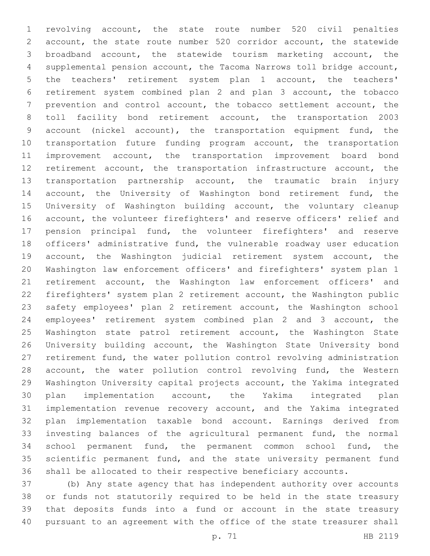revolving account, the state route number 520 civil penalties account, the state route number 520 corridor account, the statewide broadband account, the statewide tourism marketing account, the supplemental pension account, the Tacoma Narrows toll bridge account, the teachers' retirement system plan 1 account, the teachers' retirement system combined plan 2 and plan 3 account, the tobacco prevention and control account, the tobacco settlement account, the toll facility bond retirement account, the transportation 2003 account (nickel account), the transportation equipment fund, the transportation future funding program account, the transportation improvement account, the transportation improvement board bond retirement account, the transportation infrastructure account, the transportation partnership account, the traumatic brain injury 14 account, the University of Washington bond retirement fund, the University of Washington building account, the voluntary cleanup account, the volunteer firefighters' and reserve officers' relief and pension principal fund, the volunteer firefighters' and reserve officers' administrative fund, the vulnerable roadway user education account, the Washington judicial retirement system account, the Washington law enforcement officers' and firefighters' system plan 1 retirement account, the Washington law enforcement officers' and firefighters' system plan 2 retirement account, the Washington public safety employees' plan 2 retirement account, the Washington school employees' retirement system combined plan 2 and 3 account, the 25 Washington state patrol retirement account, the Washington State University building account, the Washington State University bond retirement fund, the water pollution control revolving administration 28 account, the water pollution control revolving fund, the Western Washington University capital projects account, the Yakima integrated plan implementation account, the Yakima integrated plan implementation revenue recovery account, and the Yakima integrated plan implementation taxable bond account. Earnings derived from investing balances of the agricultural permanent fund, the normal school permanent fund, the permanent common school fund, the scientific permanent fund, and the state university permanent fund shall be allocated to their respective beneficiary accounts.

 (b) Any state agency that has independent authority over accounts or funds not statutorily required to be held in the state treasury that deposits funds into a fund or account in the state treasury pursuant to an agreement with the office of the state treasurer shall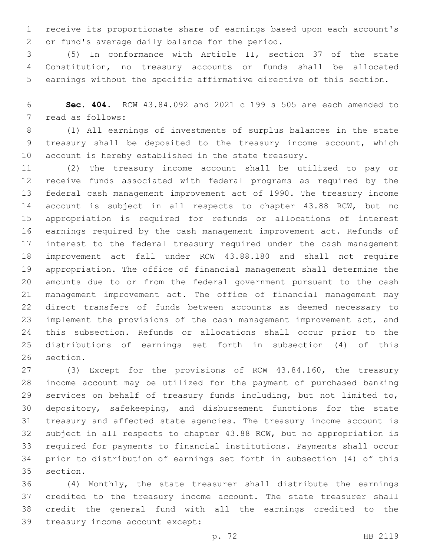receive its proportionate share of earnings based upon each account's 2 or fund's average daily balance for the period.

 (5) In conformance with Article II, section 37 of the state Constitution, no treasury accounts or funds shall be allocated earnings without the specific affirmative directive of this section.

 **Sec. 404.** RCW 43.84.092 and 2021 c 199 s 505 are each amended to 7 read as follows:

 (1) All earnings of investments of surplus balances in the state treasury shall be deposited to the treasury income account, which account is hereby established in the state treasury.

 (2) The treasury income account shall be utilized to pay or receive funds associated with federal programs as required by the federal cash management improvement act of 1990. The treasury income account is subject in all respects to chapter 43.88 RCW, but no appropriation is required for refunds or allocations of interest earnings required by the cash management improvement act. Refunds of interest to the federal treasury required under the cash management improvement act fall under RCW 43.88.180 and shall not require appropriation. The office of financial management shall determine the amounts due to or from the federal government pursuant to the cash management improvement act. The office of financial management may direct transfers of funds between accounts as deemed necessary to implement the provisions of the cash management improvement act, and this subsection. Refunds or allocations shall occur prior to the distributions of earnings set forth in subsection (4) of this 26 section.

 (3) Except for the provisions of RCW 43.84.160, the treasury income account may be utilized for the payment of purchased banking services on behalf of treasury funds including, but not limited to, depository, safekeeping, and disbursement functions for the state treasury and affected state agencies. The treasury income account is subject in all respects to chapter 43.88 RCW, but no appropriation is required for payments to financial institutions. Payments shall occur prior to distribution of earnings set forth in subsection (4) of this 35 section.

 (4) Monthly, the state treasurer shall distribute the earnings credited to the treasury income account. The state treasurer shall credit the general fund with all the earnings credited to the 39 treasury income account except: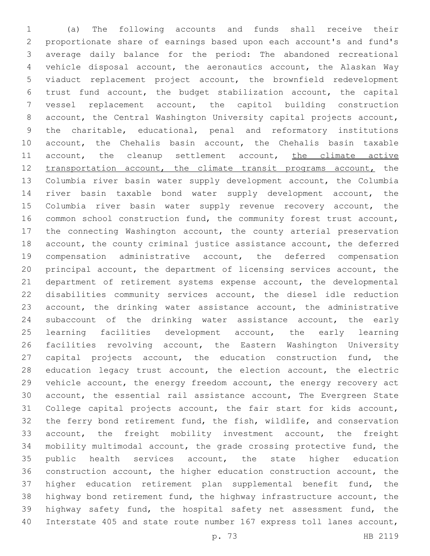(a) The following accounts and funds shall receive their proportionate share of earnings based upon each account's and fund's average daily balance for the period: The abandoned recreational vehicle disposal account, the aeronautics account, the Alaskan Way viaduct replacement project account, the brownfield redevelopment trust fund account, the budget stabilization account, the capital vessel replacement account, the capitol building construction account, the Central Washington University capital projects account, the charitable, educational, penal and reformatory institutions account, the Chehalis basin account, the Chehalis basin taxable 11 account, the cleanup settlement account, the climate active 12 transportation account, the climate transit programs account, the Columbia river basin water supply development account, the Columbia river basin taxable bond water supply development account, the 15 Columbia river basin water supply revenue recovery account, the common school construction fund, the community forest trust account, the connecting Washington account, the county arterial preservation account, the county criminal justice assistance account, the deferred compensation administrative account, the deferred compensation principal account, the department of licensing services account, the department of retirement systems expense account, the developmental disabilities community services account, the diesel idle reduction account, the drinking water assistance account, the administrative subaccount of the drinking water assistance account, the early learning facilities development account, the early learning facilities revolving account, the Eastern Washington University 27 capital projects account, the education construction fund, the 28 education legacy trust account, the election account, the electric vehicle account, the energy freedom account, the energy recovery act account, the essential rail assistance account, The Evergreen State College capital projects account, the fair start for kids account, the ferry bond retirement fund, the fish, wildlife, and conservation account, the freight mobility investment account, the freight mobility multimodal account, the grade crossing protective fund, the 35 public health services account, the state higher education construction account, the higher education construction account, the higher education retirement plan supplemental benefit fund, the highway bond retirement fund, the highway infrastructure account, the highway safety fund, the hospital safety net assessment fund, the Interstate 405 and state route number 167 express toll lanes account,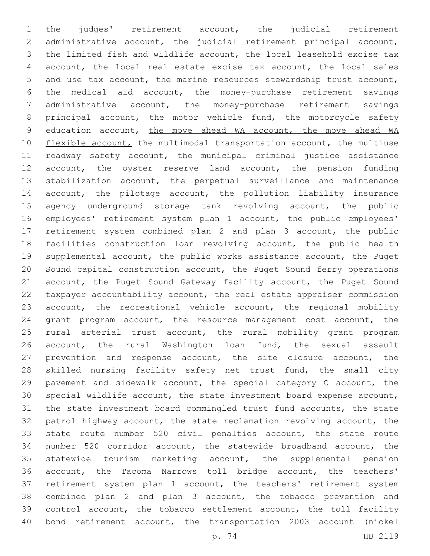the judges' retirement account, the judicial retirement administrative account, the judicial retirement principal account, the limited fish and wildlife account, the local leasehold excise tax account, the local real estate excise tax account, the local sales and use tax account, the marine resources stewardship trust account, the medical aid account, the money-purchase retirement savings administrative account, the money-purchase retirement savings principal account, the motor vehicle fund, the motorcycle safety education account, the move ahead WA account, the move ahead WA 10 flexible account, the multimodal transportation account, the multiuse roadway safety account, the municipal criminal justice assistance account, the oyster reserve land account, the pension funding stabilization account, the perpetual surveillance and maintenance account, the pilotage account, the pollution liability insurance agency underground storage tank revolving account, the public employees' retirement system plan 1 account, the public employees' retirement system combined plan 2 and plan 3 account, the public 18 facilities construction loan revolving account, the public health supplemental account, the public works assistance account, the Puget Sound capital construction account, the Puget Sound ferry operations account, the Puget Sound Gateway facility account, the Puget Sound taxpayer accountability account, the real estate appraiser commission account, the recreational vehicle account, the regional mobility grant program account, the resource management cost account, the rural arterial trust account, the rural mobility grant program account, the rural Washington loan fund, the sexual assault prevention and response account, the site closure account, the skilled nursing facility safety net trust fund, the small city pavement and sidewalk account, the special category C account, the special wildlife account, the state investment board expense account, the state investment board commingled trust fund accounts, the state patrol highway account, the state reclamation revolving account, the state route number 520 civil penalties account, the state route number 520 corridor account, the statewide broadband account, the statewide tourism marketing account, the supplemental pension account, the Tacoma Narrows toll bridge account, the teachers' retirement system plan 1 account, the teachers' retirement system combined plan 2 and plan 3 account, the tobacco prevention and control account, the tobacco settlement account, the toll facility bond retirement account, the transportation 2003 account (nickel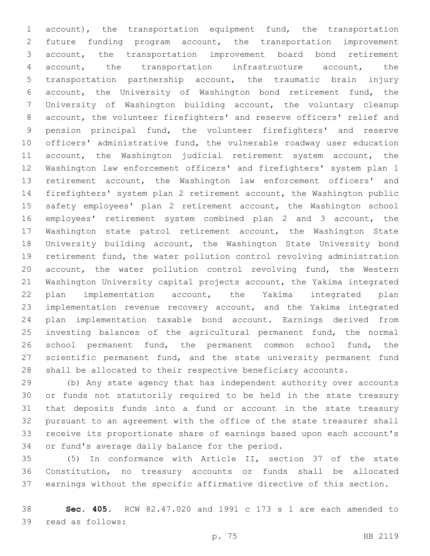account), the transportation equipment fund, the transportation future funding program account, the transportation improvement account, the transportation improvement board bond retirement account, the transportation infrastructure account, the transportation partnership account, the traumatic brain injury account, the University of Washington bond retirement fund, the University of Washington building account, the voluntary cleanup account, the volunteer firefighters' and reserve officers' relief and pension principal fund, the volunteer firefighters' and reserve officers' administrative fund, the vulnerable roadway user education 11 account, the Washington judicial retirement system account, the Washington law enforcement officers' and firefighters' system plan 1 retirement account, the Washington law enforcement officers' and firefighters' system plan 2 retirement account, the Washington public safety employees' plan 2 retirement account, the Washington school employees' retirement system combined plan 2 and 3 account, the Washington state patrol retirement account, the Washington State University building account, the Washington State University bond retirement fund, the water pollution control revolving administration account, the water pollution control revolving fund, the Western Washington University capital projects account, the Yakima integrated plan implementation account, the Yakima integrated plan implementation revenue recovery account, and the Yakima integrated plan implementation taxable bond account. Earnings derived from investing balances of the agricultural permanent fund, the normal school permanent fund, the permanent common school fund, the scientific permanent fund, and the state university permanent fund shall be allocated to their respective beneficiary accounts.

 (b) Any state agency that has independent authority over accounts or funds not statutorily required to be held in the state treasury that deposits funds into a fund or account in the state treasury pursuant to an agreement with the office of the state treasurer shall receive its proportionate share of earnings based upon each account's 34 or fund's average daily balance for the period.

 (5) In conformance with Article II, section 37 of the state Constitution, no treasury accounts or funds shall be allocated earnings without the specific affirmative directive of this section.

 **Sec. 405.** RCW 82.47.020 and 1991 c 173 s 1 are each amended to 39 read as follows: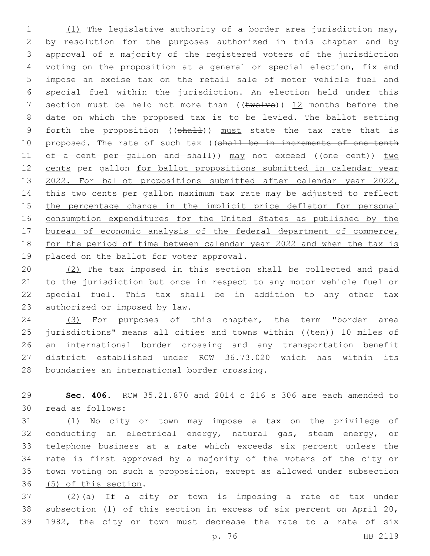(1) The legislative authority of a border area jurisdiction may, by resolution for the purposes authorized in this chapter and by approval of a majority of the registered voters of the jurisdiction voting on the proposition at a general or special election, fix and impose an excise tax on the retail sale of motor vehicle fuel and special fuel within the jurisdiction. An election held under this 7 section must be held not more than  $((\text{true+ve}))$  12 months before the date on which the proposed tax is to be levied. The ballot setting 9 forth the proposition ((shall)) must state the tax rate that is 10 proposed. The rate of such tax ((shall be in increments of one-tenth 11 of a cent per gallon and shall)) may not exceed ((one cent)) two cents per gallon for ballot propositions submitted in calendar year 13 2022. For ballot propositions submitted after calendar year 2022, this two cents per gallon maximum tax rate may be adjusted to reflect 15 the percentage change in the implicit price deflator for personal consumption expenditures for the United States as published by the 17 bureau of economic analysis of the federal department of commerce, for the period of time between calendar year 2022 and when the tax is 19 placed on the ballot for voter approval.

 (2) The tax imposed in this section shall be collected and paid to the jurisdiction but once in respect to any motor vehicle fuel or special fuel. This tax shall be in addition to any other tax 23 authorized or imposed by law.

 (3) For purposes of this chapter, the term "border area 25 jurisdictions" means all cities and towns within  $($ ( $t$ en))  $\underline{10}$  miles of an international border crossing and any transportation benefit district established under RCW 36.73.020 which has within its 28 boundaries an international border crossing.

 **Sec. 406.** RCW 35.21.870 and 2014 c 216 s 306 are each amended to 30 read as follows:

 (1) No city or town may impose a tax on the privilege of conducting an electrical energy, natural gas, steam energy, or telephone business at a rate which exceeds six percent unless the rate is first approved by a majority of the voters of the city or town voting on such a proposition, except as allowed under subsection 36 (5) of this section.

 (2)(a) If a city or town is imposing a rate of tax under subsection (1) of this section in excess of six percent on April 20, 1982, the city or town must decrease the rate to a rate of six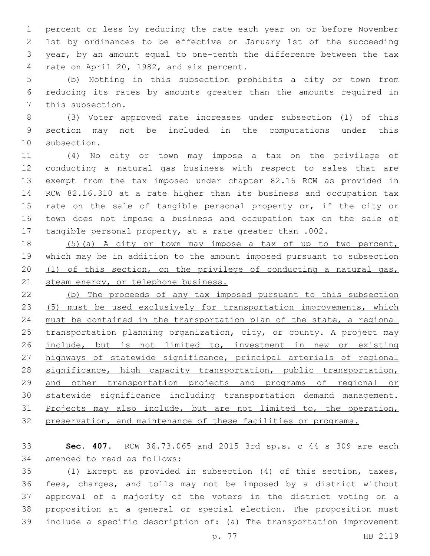percent or less by reducing the rate each year on or before November 1st by ordinances to be effective on January 1st of the succeeding year, by an amount equal to one-tenth the difference between the tax 4 rate on April 20, 1982, and six percent.

 (b) Nothing in this subsection prohibits a city or town from reducing its rates by amounts greater than the amounts required in 7 this subsection.

 (3) Voter approved rate increases under subsection (1) of this section may not be included in the computations under this 10 subsection.

 (4) No city or town may impose a tax on the privilege of conducting a natural gas business with respect to sales that are exempt from the tax imposed under chapter 82.16 RCW as provided in RCW 82.16.310 at a rate higher than its business and occupation tax 15 rate on the sale of tangible personal property or, if the city or town does not impose a business and occupation tax on the sale of tangible personal property, at a rate greater than .002.

 (5)(a) A city or town may impose a tax of up to two percent, which may be in addition to the amount imposed pursuant to subsection (1) of this section, on the privilege of conducting a natural gas, 21 steam energy, or telephone business.

 (b) The proceeds of any tax imposed pursuant to this subsection (5) must be used exclusively for transportation improvements, which must be contained in the transportation plan of the state, a regional 25 transportation planning organization, city, or county. A project may include, but is not limited to, investment in new or existing highways of statewide significance, principal arterials of regional 28 significance, high capacity transportation, public transportation, and other transportation projects and programs of regional or statewide significance including transportation demand management. 31 Projects may also include, but are not limited to, the operation, preservation, and maintenance of these facilities or programs.

 **Sec. 407.** RCW 36.73.065 and 2015 3rd sp.s. c 44 s 309 are each 34 amended to read as follows:

 (1) Except as provided in subsection (4) of this section, taxes, fees, charges, and tolls may not be imposed by a district without approval of a majority of the voters in the district voting on a proposition at a general or special election. The proposition must include a specific description of: (a) The transportation improvement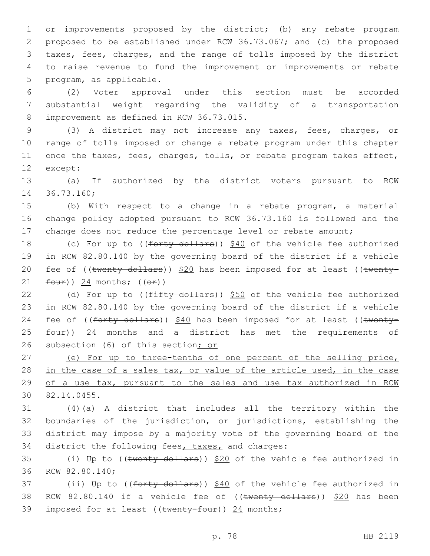or improvements proposed by the district; (b) any rebate program proposed to be established under RCW 36.73.067; and (c) the proposed taxes, fees, charges, and the range of tolls imposed by the district to raise revenue to fund the improvement or improvements or rebate 5 program, as applicable.

6 (2) Voter approval under this section must be accorded 7 substantial weight regarding the validity of a transportation 8 improvement as defined in RCW 36.73.015.

 (3) A district may not increase any taxes, fees, charges, or range of tolls imposed or change a rebate program under this chapter once the taxes, fees, charges, tolls, or rebate program takes effect, 12 except:

13 (a) If authorized by the district voters pursuant to RCW 14 36.73.160;

15 (b) With respect to a change in a rebate program, a material 16 change policy adopted pursuant to RCW 36.73.160 is followed and the 17 change does not reduce the percentage level or rebate amount;

18 (c) For up to ((forty dollars)) \$40 of the vehicle fee authorized 19 in RCW 82.80.140 by the governing board of the district if a vehicle 20 fee of  $((\text{twenty dollars}))$  \$20 has been imposed for at least  $((\text{twenty-})$ 21  $four)$ ) 24 months;  $((or)$ 

22 (d) For up to  $(\text{fifty dollars})$  \$50 of the vehicle fee authorized 23 in RCW 82.80.140 by the governing board of the district if a vehicle 24 fee of ((forty dollars)) \$40 has been imposed for at least ((twenty- $25$   $four)$ )  $24$  months and a district has met the requirements of 26 subsection (6) of this section; or

27 (e) For up to three-tenths of one percent of the selling price, 28 in the case of a sales tax, or value of the article used, in the case 29 of a use tax, pursuant to the sales and use tax authorized in RCW 82.14.0455.30

 (4)(a) A district that includes all the territory within the boundaries of the jurisdiction, or jurisdictions, establishing the district may impose by a majority vote of the governing board of the 34 district the following fees, taxes, and charges:

35 (i) Up to ((twenty dollars)) \$20 of the vehicle fee authorized in 36 RCW 82.80.140;

37 (ii) Up to ((<del>forty dollars</del>)) \$40 of the vehicle fee authorized in 38 RCW 82.80.140 if a vehicle fee of  $((\text{twenty dollars}))$  \$20 has been 39 imposed for at least (( $t$ wenty-four)) 24 months;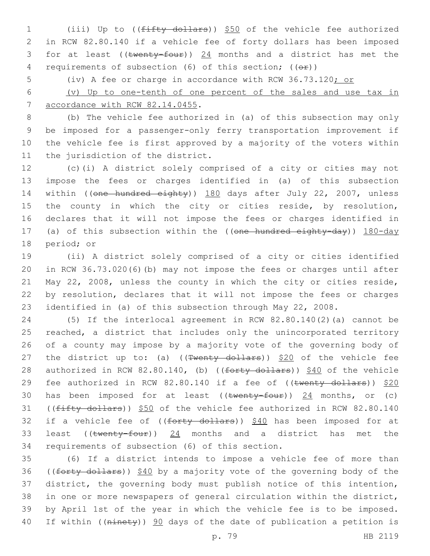1 (iii) Up to ((fifty dollars)) \$50 of the vehicle fee authorized 2 in RCW 82.80.140 if a vehicle fee of forty dollars has been imposed 3 for at least (( $t$ wenty-four))  $24$  months and a district has met the 4 requirements of subsection (6) of this section; (( $\Theta$ ))

5 (iv) A fee or charge in accordance with RCW 36.73.120; or

6 (v) Up to one-tenth of one percent of the sales and use tax in 7 accordance with RCW 82.14.0455.

 (b) The vehicle fee authorized in (a) of this subsection may only be imposed for a passenger-only ferry transportation improvement if the vehicle fee is first approved by a majority of the voters within 11 the jurisdiction of the district.

12 (c)(i) A district solely comprised of a city or cities may not 13 impose the fees or charges identified in (a) of this subsection 14 within ((one hundred eighty)) 180 days after July 22, 2007, unless 15 the county in which the city or cities reside, by resolution, 16 declares that it will not impose the fees or charges identified in 17 (a) of this subsection within the ((one hundred eighty-day)) 180-day 18 period; or

 (ii) A district solely comprised of a city or cities identified in RCW 36.73.020(6)(b) may not impose the fees or charges until after May 22, 2008, unless the county in which the city or cities reside, by resolution, declares that it will not impose the fees or charges identified in (a) of this subsection through May 22, 2008.

24 (5) If the interlocal agreement in RCW 82.80.140(2)(a) cannot be 25 reached, a district that includes only the unincorporated territory 26 of a county may impose by a majority vote of the governing body of 27 the district up to: (a) ( $(\text{Twenty dollars})$ )  $$20$  of the vehicle fee 28 authorized in RCW 82.80.140, (b) ((forty dollars)) \$40 of the vehicle 29 fee authorized in RCW 82.80.140 if a fee of ((twenty dollars)) \$20 30 has been imposed for at least  $((\text{twenty-four}))$  24 months, or (c) 31 ((fifty dollars)) \$50 of the vehicle fee authorized in RCW 82.80.140 32 if a vehicle fee of  $((forty - dollars))$  \$40 has been imposed for at 33 least ((twenty-four)) 24 months and a district has met the 34 requirements of subsection (6) of this section.

 (6) If a district intends to impose a vehicle fee of more than 36 ((forty dollars)) \$40 by a majority vote of the governing body of the district, the governing body must publish notice of this intention, in one or more newspapers of general circulation within the district, by April 1st of the year in which the vehicle fee is to be imposed. 40 If within ((ninety)) 90 days of the date of publication a petition is

p. 79 HB 2119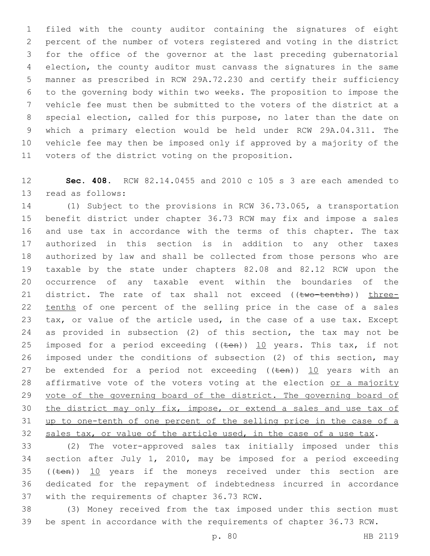filed with the county auditor containing the signatures of eight percent of the number of voters registered and voting in the district for the office of the governor at the last preceding gubernatorial election, the county auditor must canvass the signatures in the same manner as prescribed in RCW 29A.72.230 and certify their sufficiency to the governing body within two weeks. The proposition to impose the vehicle fee must then be submitted to the voters of the district at a special election, called for this purpose, no later than the date on which a primary election would be held under RCW 29A.04.311. The vehicle fee may then be imposed only if approved by a majority of the 11 voters of the district voting on the proposition.

 **Sec. 408.** RCW 82.14.0455 and 2010 c 105 s 3 are each amended to 13 read as follows:

 (1) Subject to the provisions in RCW 36.73.065, a transportation benefit district under chapter 36.73 RCW may fix and impose a sales and use tax in accordance with the terms of this chapter. The tax authorized in this section is in addition to any other taxes authorized by law and shall be collected from those persons who are taxable by the state under chapters 82.08 and 82.12 RCW upon the occurrence of any taxable event within the boundaries of the 21 district. The rate of tax shall not exceed ((two-tenths)) three-22 tenths of one percent of the selling price in the case of a sales tax, or value of the article used, in the case of a use tax. Except as provided in subsection (2) of this section, the tax may not be 25 imposed for a period exceeding  $((\text{ten}))$  10 years. This tax, if not imposed under the conditions of subsection (2) of this section, may 27 be extended for a period not exceeding  $((\text{ten}))$  10 years with an 28 affirmative vote of the voters voting at the election or a majority 29 vote of the governing board of the district. The governing board of the district may only fix, impose, or extend a sales and use tax of up to one-tenth of one percent of the selling price in the case of a 32 sales tax, or value of the article used, in the case of a use tax.

 (2) The voter-approved sales tax initially imposed under this section after July 1, 2010, may be imposed for a period exceeding 35 (( $t_{en}$ )) 10 years if the moneys received under this section are dedicated for the repayment of indebtedness incurred in accordance 37 with the requirements of chapter 36.73 RCW.

 (3) Money received from the tax imposed under this section must be spent in accordance with the requirements of chapter 36.73 RCW.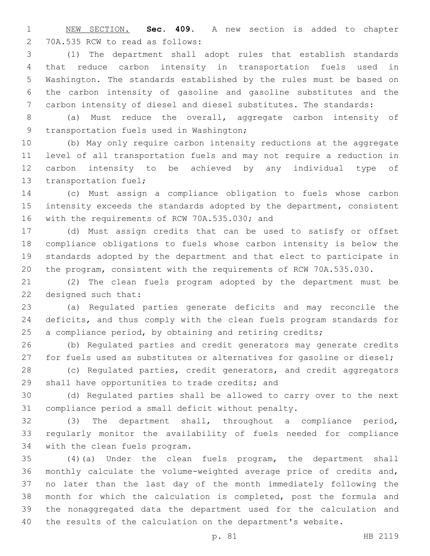NEW SECTION. **Sec. 409.** A new section is added to chapter 2 70A.535 RCW to read as follows:

 (1) The department shall adopt rules that establish standards that reduce carbon intensity in transportation fuels used in Washington. The standards established by the rules must be based on the carbon intensity of gasoline and gasoline substitutes and the carbon intensity of diesel and diesel substitutes. The standards:

 (a) Must reduce the overall, aggregate carbon intensity of 9 transportation fuels used in Washington;

 (b) May only require carbon intensity reductions at the aggregate level of all transportation fuels and may not require a reduction in carbon intensity to be achieved by any individual type of 13 transportation fuel;

 (c) Must assign a compliance obligation to fuels whose carbon intensity exceeds the standards adopted by the department, consistent 16 with the requirements of RCW 70A.535.030; and

 (d) Must assign credits that can be used to satisfy or offset compliance obligations to fuels whose carbon intensity is below the standards adopted by the department and that elect to participate in the program, consistent with the requirements of RCW 70A.535.030.

 (2) The clean fuels program adopted by the department must be 22 designed such that:

 (a) Regulated parties generate deficits and may reconcile the deficits, and thus comply with the clean fuels program standards for 25 a compliance period, by obtaining and retiring credits;

 (b) Regulated parties and credit generators may generate credits 27 for fuels used as substitutes or alternatives for gasoline or diesel;

 (c) Regulated parties, credit generators, and credit aggregators 29 shall have opportunities to trade credits; and

 (d) Regulated parties shall be allowed to carry over to the next compliance period a small deficit without penalty.

 (3) The department shall, throughout a compliance period, regularly monitor the availability of fuels needed for compliance 34 with the clean fuels program.

 (4)(a) Under the clean fuels program, the department shall monthly calculate the volume-weighted average price of credits and, no later than the last day of the month immediately following the month for which the calculation is completed, post the formula and the nonaggregated data the department used for the calculation and the results of the calculation on the department's website.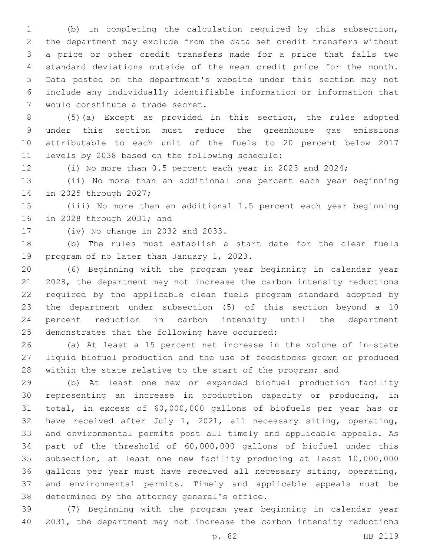(b) In completing the calculation required by this subsection, the department may exclude from the data set credit transfers without a price or other credit transfers made for a price that falls two standard deviations outside of the mean credit price for the month. Data posted on the department's website under this section may not include any individually identifiable information or information that 7 would constitute a trade secret.

 (5)(a) Except as provided in this section, the rules adopted under this section must reduce the greenhouse gas emissions attributable to each unit of the fuels to 20 percent below 2017 11 levels by 2038 based on the following schedule:

(i) No more than 0.5 percent each year in 2023 and 2024;

 (ii) No more than an additional one percent each year beginning 14 in 2025 through 2027;

 (iii) No more than an additional 1.5 percent each year beginning 16 in 2028 through 2031; and

17 (iv) No change in 2032 and 2033.

 (b) The rules must establish a start date for the clean fuels 19 program of no later than January 1, 2023.

 (6) Beginning with the program year beginning in calendar year 2028, the department may not increase the carbon intensity reductions required by the applicable clean fuels program standard adopted by the department under subsection (5) of this section beyond a 10 percent reduction in carbon intensity until the department 25 demonstrates that the following have occurred:

 (a) At least a 15 percent net increase in the volume of in-state liquid biofuel production and the use of feedstocks grown or produced 28 within the state relative to the start of the program; and

 (b) At least one new or expanded biofuel production facility representing an increase in production capacity or producing, in total, in excess of 60,000,000 gallons of biofuels per year has or have received after July 1, 2021, all necessary siting, operating, and environmental permits post all timely and applicable appeals. As part of the threshold of 60,000,000 gallons of biofuel under this subsection, at least one new facility producing at least 10,000,000 gallons per year must have received all necessary siting, operating, and environmental permits. Timely and applicable appeals must be 38 determined by the attorney general's office.

 (7) Beginning with the program year beginning in calendar year 2031, the department may not increase the carbon intensity reductions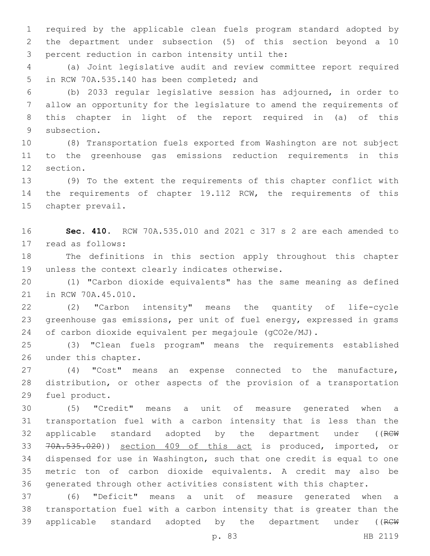required by the applicable clean fuels program standard adopted by the department under subsection (5) of this section beyond a 10 3 percent reduction in carbon intensity until the:

 (a) Joint legislative audit and review committee report required 5 in RCW 70A.535.140 has been completed; and

 (b) 2033 regular legislative session has adjourned, in order to allow an opportunity for the legislature to amend the requirements of this chapter in light of the report required in (a) of this 9 subsection.

 (8) Transportation fuels exported from Washington are not subject to the greenhouse gas emissions reduction requirements in this 12 section.

 (9) To the extent the requirements of this chapter conflict with the requirements of chapter 19.112 RCW, the requirements of this 15 chapter prevail.

 **Sec. 410.** RCW 70A.535.010 and 2021 c 317 s 2 are each amended to 17 read as follows:

 The definitions in this section apply throughout this chapter 19 unless the context clearly indicates otherwise.

 (1) "Carbon dioxide equivalents" has the same meaning as defined 21 in RCW 70A.45.010.

 (2) "Carbon intensity" means the quantity of life-cycle greenhouse gas emissions, per unit of fuel energy, expressed in grams of carbon dioxide equivalent per megajoule (gCO2e/MJ).

 (3) "Clean fuels program" means the requirements established 26 under this chapter.

 (4) "Cost" means an expense connected to the manufacture, distribution, or other aspects of the provision of a transportation 29 fuel product.

 (5) "Credit" means a unit of measure generated when a transportation fuel with a carbon intensity that is less than the 32 applicable standard adopted by the department under ((RCW 70A.535.020)) section 409 of this act is produced, imported, or dispensed for use in Washington, such that one credit is equal to one metric ton of carbon dioxide equivalents. A credit may also be generated through other activities consistent with this chapter.

 (6) "Deficit" means a unit of measure generated when a transportation fuel with a carbon intensity that is greater than the 39 applicable standard adopted by the department under ((RCW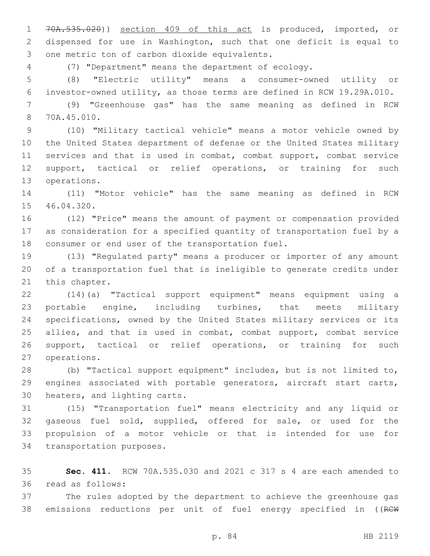70A.535.020)) section 409 of this act is produced, imported, or dispensed for use in Washington, such that one deficit is equal to 3 one metric ton of carbon dioxide equivalents.

(7) "Department" means the department of ecology.

 (8) "Electric utility" means a consumer-owned utility or investor-owned utility, as those terms are defined in RCW 19.29A.010.

 (9) "Greenhouse gas" has the same meaning as defined in RCW 70A.45.010.8

 (10) "Military tactical vehicle" means a motor vehicle owned by the United States department of defense or the United States military services and that is used in combat, combat support, combat service support, tactical or relief operations, or training for such 13 operations.

 (11) "Motor vehicle" has the same meaning as defined in RCW 15 46.04.320.

 (12) "Price" means the amount of payment or compensation provided as consideration for a specified quantity of transportation fuel by a 18 consumer or end user of the transportation fuel.

 (13) "Regulated party" means a producer or importer of any amount of a transportation fuel that is ineligible to generate credits under 21 this chapter.

 (14)(a) "Tactical support equipment" means equipment using a portable engine, including turbines, that meets military specifications, owned by the United States military services or its 25 allies, and that is used in combat, combat support, combat service support, tactical or relief operations, or training for such 27 operations.

 (b) "Tactical support equipment" includes, but is not limited to, engines associated with portable generators, aircraft start carts, 30 heaters, and lighting carts.

 (15) "Transportation fuel" means electricity and any liquid or gaseous fuel sold, supplied, offered for sale, or used for the propulsion of a motor vehicle or that is intended for use for 34 transportation purposes.

 **Sec. 411.** RCW 70A.535.030 and 2021 c 317 s 4 are each amended to read as follows:36

 The rules adopted by the department to achieve the greenhouse gas 38 emissions reductions per unit of fuel energy specified in ((RCW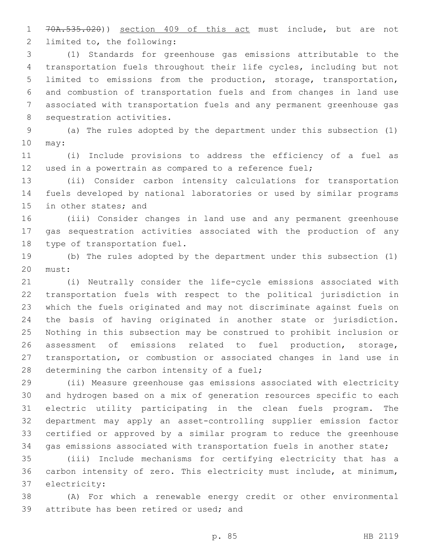70A.535.020)) section 409 of this act must include, but are not 2 limited to, the following:

 (1) Standards for greenhouse gas emissions attributable to the transportation fuels throughout their life cycles, including but not limited to emissions from the production, storage, transportation, and combustion of transportation fuels and from changes in land use associated with transportation fuels and any permanent greenhouse gas 8 sequestration activities.

 (a) The rules adopted by the department under this subsection (1) 10 may:

 (i) Include provisions to address the efficiency of a fuel as used in a powertrain as compared to a reference fuel;

 (ii) Consider carbon intensity calculations for transportation fuels developed by national laboratories or used by similar programs 15 in other states; and

 (iii) Consider changes in land use and any permanent greenhouse gas sequestration activities associated with the production of any 18 type of transportation fuel.

 (b) The rules adopted by the department under this subsection (1) 20 must:

 (i) Neutrally consider the life-cycle emissions associated with transportation fuels with respect to the political jurisdiction in which the fuels originated and may not discriminate against fuels on the basis of having originated in another state or jurisdiction. Nothing in this subsection may be construed to prohibit inclusion or assessment of emissions related to fuel production, storage, transportation, or combustion or associated changes in land use in 28 determining the carbon intensity of a fuel;

 (ii) Measure greenhouse gas emissions associated with electricity and hydrogen based on a mix of generation resources specific to each electric utility participating in the clean fuels program. The department may apply an asset-controlling supplier emission factor certified or approved by a similar program to reduce the greenhouse gas emissions associated with transportation fuels in another state;

 (iii) Include mechanisms for certifying electricity that has a carbon intensity of zero. This electricity must include, at minimum, 37 electricity:

 (A) For which a renewable energy credit or other environmental 39 attribute has been retired or used; and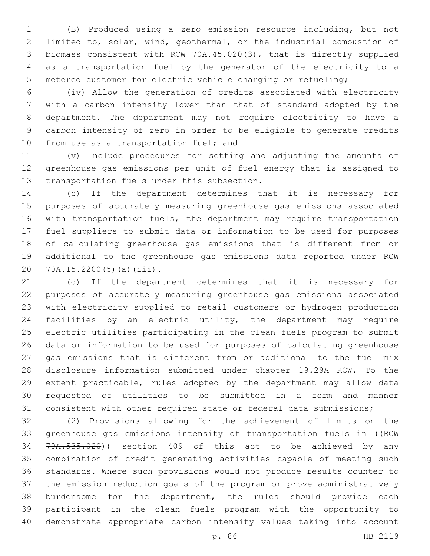(B) Produced using a zero emission resource including, but not limited to, solar, wind, geothermal, or the industrial combustion of biomass consistent with RCW 70A.45.020(3), that is directly supplied as a transportation fuel by the generator of the electricity to a metered customer for electric vehicle charging or refueling;

 (iv) Allow the generation of credits associated with electricity with a carbon intensity lower than that of standard adopted by the department. The department may not require electricity to have a carbon intensity of zero in order to be eligible to generate credits 10 from use as a transportation fuel; and

 (v) Include procedures for setting and adjusting the amounts of greenhouse gas emissions per unit of fuel energy that is assigned to 13 transportation fuels under this subsection.

 (c) If the department determines that it is necessary for purposes of accurately measuring greenhouse gas emissions associated with transportation fuels, the department may require transportation fuel suppliers to submit data or information to be used for purposes of calculating greenhouse gas emissions that is different from or additional to the greenhouse gas emissions data reported under RCW 20 70A.15.2200(5)(a)(iii).

 (d) If the department determines that it is necessary for purposes of accurately measuring greenhouse gas emissions associated with electricity supplied to retail customers or hydrogen production facilities by an electric utility, the department may require electric utilities participating in the clean fuels program to submit data or information to be used for purposes of calculating greenhouse gas emissions that is different from or additional to the fuel mix disclosure information submitted under chapter 19.29A RCW. To the extent practicable, rules adopted by the department may allow data requested of utilities to be submitted in a form and manner consistent with other required state or federal data submissions;

 (2) Provisions allowing for the achievement of limits on the 33 greenhouse gas emissions intensity of transportation fuels in ((RCW 70A.535.020)) section 409 of this act to be achieved by any combination of credit generating activities capable of meeting such standards. Where such provisions would not produce results counter to the emission reduction goals of the program or prove administratively burdensome for the department, the rules should provide each participant in the clean fuels program with the opportunity to demonstrate appropriate carbon intensity values taking into account

p. 86 HB 2119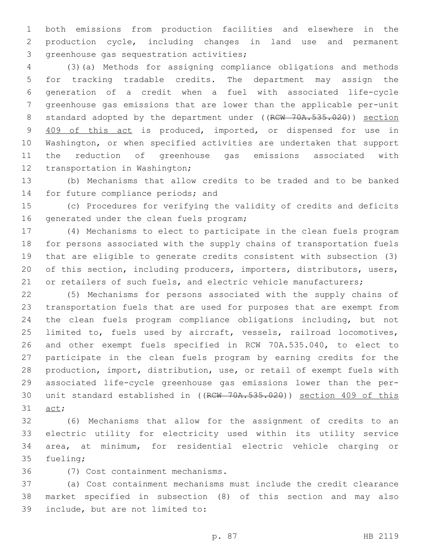both emissions from production facilities and elsewhere in the production cycle, including changes in land use and permanent 3 greenhouse gas sequestration activities;

 (3)(a) Methods for assigning compliance obligations and methods for tracking tradable credits. The department may assign the generation of a credit when a fuel with associated life-cycle greenhouse gas emissions that are lower than the applicable per-unit 8 standard adopted by the department under ((RCW 70A.535.020)) section 409 of this act is produced, imported, or dispensed for use in Washington, or when specified activities are undertaken that support the reduction of greenhouse gas emissions associated with 12 transportation in Washington;

 (b) Mechanisms that allow credits to be traded and to be banked 14 for future compliance periods; and

 (c) Procedures for verifying the validity of credits and deficits 16 generated under the clean fuels program;

 (4) Mechanisms to elect to participate in the clean fuels program for persons associated with the supply chains of transportation fuels that are eligible to generate credits consistent with subsection (3) of this section, including producers, importers, distributors, users, 21 or retailers of such fuels, and electric vehicle manufacturers;

 (5) Mechanisms for persons associated with the supply chains of transportation fuels that are used for purposes that are exempt from the clean fuels program compliance obligations including, but not limited to, fuels used by aircraft, vessels, railroad locomotives, and other exempt fuels specified in RCW 70A.535.040, to elect to participate in the clean fuels program by earning credits for the production, import, distribution, use, or retail of exempt fuels with associated life-cycle greenhouse gas emissions lower than the per- unit standard established in ((RCW 70A.535.020)) section 409 of this 31 act;

 (6) Mechanisms that allow for the assignment of credits to an electric utility for electricity used within its utility service area, at minimum, for residential electric vehicle charging or 35 fueling;

(7) Cost containment mechanisms.36

 (a) Cost containment mechanisms must include the credit clearance market specified in subsection (8) of this section and may also 39 include, but are not limited to: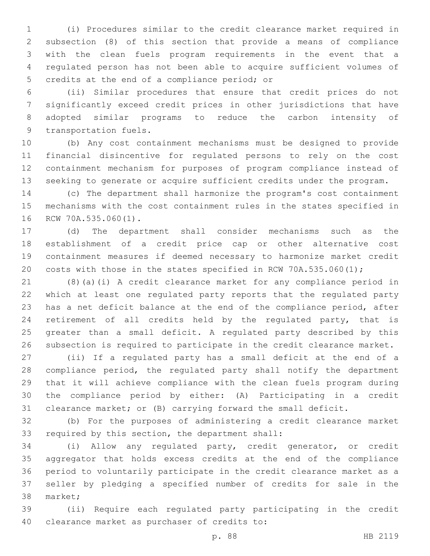(i) Procedures similar to the credit clearance market required in subsection (8) of this section that provide a means of compliance with the clean fuels program requirements in the event that a regulated person has not been able to acquire sufficient volumes of 5 credits at the end of a compliance period; or

 (ii) Similar procedures that ensure that credit prices do not significantly exceed credit prices in other jurisdictions that have adopted similar programs to reduce the carbon intensity of 9 transportation fuels.

 (b) Any cost containment mechanisms must be designed to provide financial disincentive for regulated persons to rely on the cost containment mechanism for purposes of program compliance instead of seeking to generate or acquire sufficient credits under the program.

 (c) The department shall harmonize the program's cost containment mechanisms with the cost containment rules in the states specified in 16 RCW 70A.535.060(1).

 (d) The department shall consider mechanisms such as the establishment of a credit price cap or other alternative cost containment measures if deemed necessary to harmonize market credit costs with those in the states specified in RCW 70A.535.060(1);

 (8)(a)(i) A credit clearance market for any compliance period in which at least one regulated party reports that the regulated party has a net deficit balance at the end of the compliance period, after retirement of all credits held by the regulated party, that is greater than a small deficit. A regulated party described by this subsection is required to participate in the credit clearance market.

 (ii) If a regulated party has a small deficit at the end of a compliance period, the regulated party shall notify the department that it will achieve compliance with the clean fuels program during the compliance period by either: (A) Participating in a credit clearance market; or (B) carrying forward the small deficit.

 (b) For the purposes of administering a credit clearance market 33 required by this section, the department shall:

 (i) Allow any regulated party, credit generator, or credit aggregator that holds excess credits at the end of the compliance period to voluntarily participate in the credit clearance market as a seller by pledging a specified number of credits for sale in the 38 market;

 (ii) Require each regulated party participating in the credit 40 clearance market as purchaser of credits to: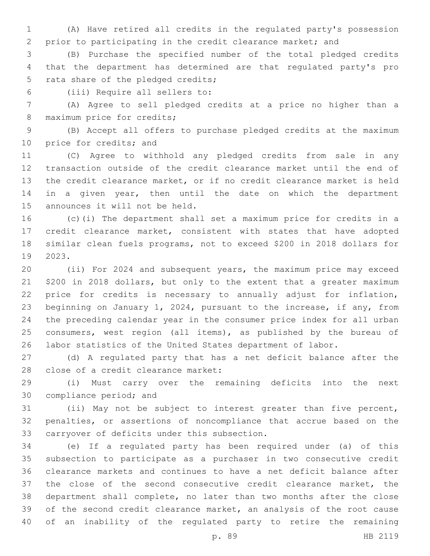(A) Have retired all credits in the regulated party's possession prior to participating in the credit clearance market; and

 (B) Purchase the specified number of the total pledged credits that the department has determined are that regulated party's pro 5 rata share of the pledged credits;

(iii) Require all sellers to:6

 (A) Agree to sell pledged credits at a price no higher than a 8 maximum price for credits;

 (B) Accept all offers to purchase pledged credits at the maximum 10 price for credits; and

 (C) Agree to withhold any pledged credits from sale in any transaction outside of the credit clearance market until the end of the credit clearance market, or if no credit clearance market is held 14 in a given year, then until the date on which the department 15 announces it will not be held.

 (c)(i) The department shall set a maximum price for credits in a credit clearance market, consistent with states that have adopted similar clean fuels programs, not to exceed \$200 in 2018 dollars for 2023.19

 (ii) For 2024 and subsequent years, the maximum price may exceed \$200 in 2018 dollars, but only to the extent that a greater maximum price for credits is necessary to annually adjust for inflation, beginning on January 1, 2024, pursuant to the increase, if any, from the preceding calendar year in the consumer price index for all urban 25 consumers, west region (all items), as published by the bureau of labor statistics of the United States department of labor.

 (d) A regulated party that has a net deficit balance after the 28 close of a credit clearance market:

 (i) Must carry over the remaining deficits into the next 30 compliance period; and

 (ii) May not be subject to interest greater than five percent, penalties, or assertions of noncompliance that accrue based on the 33 carryover of deficits under this subsection.

 (e) If a regulated party has been required under (a) of this subsection to participate as a purchaser in two consecutive credit clearance markets and continues to have a net deficit balance after the close of the second consecutive credit clearance market, the department shall complete, no later than two months after the close of the second credit clearance market, an analysis of the root cause of an inability of the regulated party to retire the remaining

p. 89 HB 2119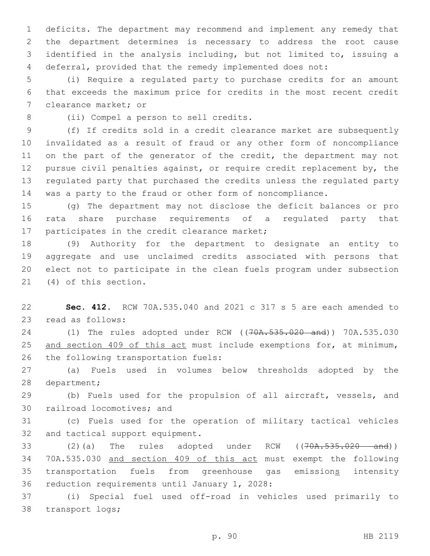deficits. The department may recommend and implement any remedy that the department determines is necessary to address the root cause identified in the analysis including, but not limited to, issuing a deferral, provided that the remedy implemented does not:

5 (i) Require a regulated party to purchase credits for an amount 6 that exceeds the maximum price for credits in the most recent credit 7 clearance market; or

8 (ii) Compel a person to sell credits.

 (f) If credits sold in a credit clearance market are subsequently invalidated as a result of fraud or any other form of noncompliance 11 on the part of the generator of the credit, the department may not pursue civil penalties against, or require credit replacement by, the regulated party that purchased the credits unless the regulated party was a party to the fraud or other form of noncompliance.

15 (g) The department may not disclose the deficit balances or pro 16 rata share purchase requirements of a regulated party that 17 participates in the credit clearance market;

 (9) Authority for the department to designate an entity to aggregate and use unclaimed credits associated with persons that elect not to participate in the clean fuels program under subsection 21 (4) of this section.

22 **Sec. 412.** RCW 70A.535.040 and 2021 c 317 s 5 are each amended to 23 read as follows:

24 (1) The rules adopted under RCW ((70A.535.020 and)) 70A.535.030 25 and section 409 of this act must include exemptions for, at minimum, 26 the following transportation fuels:

27 (a) Fuels used in volumes below thresholds adopted by the 28 department;

29 (b) Fuels used for the propulsion of all aircraft, vessels, and 30 railroad locomotives; and

31 (c) Fuels used for the operation of military tactical vehicles 32 and tactical support equipment.

33 (2)(a) The rules adopted under RCW ((70A.535.020 and)) 34 70A.535.030 and section 409 of this act must exempt the following 35 transportation fuels from greenhouse gas emissions intensity 36 reduction requirements until January 1, 2028:

37 (i) Special fuel used off-road in vehicles used primarily to 38 transport logs;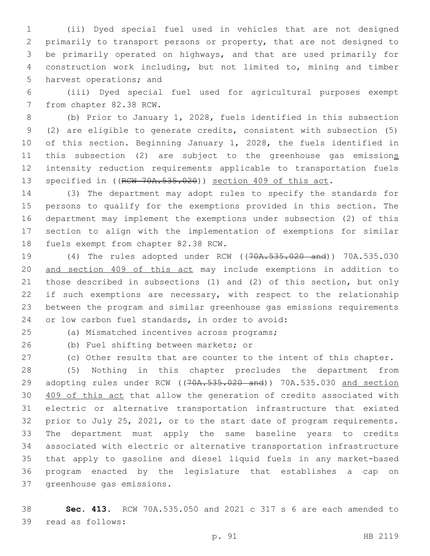(ii) Dyed special fuel used in vehicles that are not designed primarily to transport persons or property, that are not designed to be primarily operated on highways, and that are used primarily for construction work including, but not limited to, mining and timber 5 harvest operations; and

 (iii) Dyed special fuel used for agricultural purposes exempt 7 from chapter 82.38 RCW.

 (b) Prior to January 1, 2028, fuels identified in this subsection (2) are eligible to generate credits, consistent with subsection (5) of this section. Beginning January 1, 2028, the fuels identified in 11 this subsection (2) are subject to the greenhouse gas emissions intensity reduction requirements applicable to transportation fuels 13 specified in ((RCW 70A.535.020)) section 409 of this act.

 (3) The department may adopt rules to specify the standards for persons to qualify for the exemptions provided in this section. The department may implement the exemptions under subsection (2) of this section to align with the implementation of exemptions for similar 18 fuels exempt from chapter 82.38 RCW.

 (4) The rules adopted under RCW ((70A.535.020 and)) 70A.535.030 and section 409 of this act may include exemptions in addition to those described in subsections (1) and (2) of this section, but only 22 if such exemptions are necessary, with respect to the relationship between the program and similar greenhouse gas emissions requirements 24 or low carbon fuel standards, in order to avoid:

(a) Mismatched incentives across programs;25

26 (b) Fuel shifting between markets; or

(c) Other results that are counter to the intent of this chapter.

 (5) Nothing in this chapter precludes the department from 29 adopting rules under RCW ((70A.535.020 and)) 70A.535.030 and section 409 of this act that allow the generation of credits associated with electric or alternative transportation infrastructure that existed prior to July 25, 2021, or to the start date of program requirements. The department must apply the same baseline years to credits associated with electric or alternative transportation infrastructure that apply to gasoline and diesel liquid fuels in any market-based program enacted by the legislature that establishes a cap on 37 greenhouse gas emissions.

 **Sec. 413.** RCW 70A.535.050 and 2021 c 317 s 6 are each amended to 39 read as follows: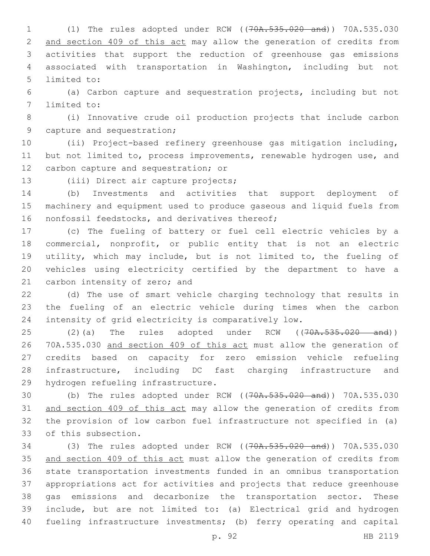(1) The rules adopted under RCW ((70A.535.020 and)) 70A.535.030 and section 409 of this act may allow the generation of credits from activities that support the reduction of greenhouse gas emissions associated with transportation in Washington, including but not 5 limited to:

 (a) Carbon capture and sequestration projects, including but not 7 limited to:

 (i) Innovative crude oil production projects that include carbon 9 capture and sequestration;

 (ii) Project-based refinery greenhouse gas mitigation including, but not limited to, process improvements, renewable hydrogen use, and 12 carbon capture and sequestration; or

13 (iii) Direct air capture projects;

 (b) Investments and activities that support deployment of machinery and equipment used to produce gaseous and liquid fuels from 16 nonfossil feedstocks, and derivatives thereof;

 (c) The fueling of battery or fuel cell electric vehicles by a commercial, nonprofit, or public entity that is not an electric utility, which may include, but is not limited to, the fueling of vehicles using electricity certified by the department to have a 21 carbon intensity of zero; and

 (d) The use of smart vehicle charging technology that results in the fueling of an electric vehicle during times when the carbon intensity of grid electricity is comparatively low.

25 (2)(a) The rules adopted under RCW ((70A.535.020 and)) 70A.535.030 and section 409 of this act must allow the generation of credits based on capacity for zero emission vehicle refueling infrastructure, including DC fast charging infrastructure and 29 hydrogen refueling infrastructure.

 (b) The rules adopted under RCW ((70A.535.020 and)) 70A.535.030 and section 409 of this act may allow the generation of credits from the provision of low carbon fuel infrastructure not specified in (a) 33 of this subsection.

 (3) The rules adopted under RCW ((70A.535.020 and)) 70A.535.030 35 and section 409 of this act must allow the generation of credits from state transportation investments funded in an omnibus transportation appropriations act for activities and projects that reduce greenhouse gas emissions and decarbonize the transportation sector. These include, but are not limited to: (a) Electrical grid and hydrogen fueling infrastructure investments; (b) ferry operating and capital

p. 92 HB 2119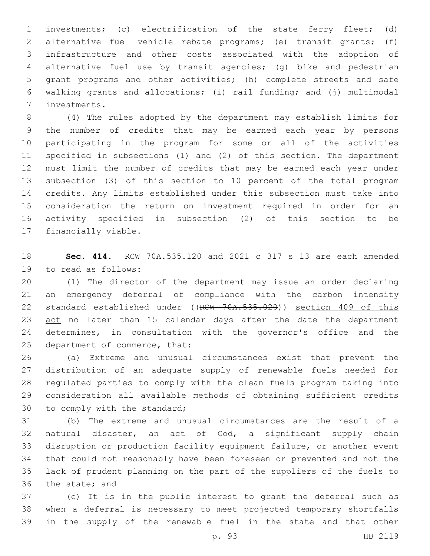investments; (c) electrification of the state ferry fleet; (d) alternative fuel vehicle rebate programs; (e) transit grants; (f) infrastructure and other costs associated with the adoption of alternative fuel use by transit agencies; (g) bike and pedestrian grant programs and other activities; (h) complete streets and safe walking grants and allocations; (i) rail funding; and (j) multimodal investments.7

 (4) The rules adopted by the department may establish limits for the number of credits that may be earned each year by persons participating in the program for some or all of the activities specified in subsections (1) and (2) of this section. The department must limit the number of credits that may be earned each year under subsection (3) of this section to 10 percent of the total program credits. Any limits established under this subsection must take into consideration the return on investment required in order for an activity specified in subsection (2) of this section to be 17 financially viable.

 **Sec. 414.** RCW 70A.535.120 and 2021 c 317 s 13 are each amended 19 to read as follows:

 (1) The director of the department may issue an order declaring an emergency deferral of compliance with the carbon intensity 22 standard established under ((RCW 70A.535.020)) section 409 of this 23 act no later than 15 calendar days after the date the department determines, in consultation with the governor's office and the 25 department of commerce, that:

 (a) Extreme and unusual circumstances exist that prevent the distribution of an adequate supply of renewable fuels needed for regulated parties to comply with the clean fuels program taking into consideration all available methods of obtaining sufficient credits 30 to comply with the standard;

 (b) The extreme and unusual circumstances are the result of a natural disaster, an act of God, a significant supply chain disruption or production facility equipment failure, or another event that could not reasonably have been foreseen or prevented and not the lack of prudent planning on the part of the suppliers of the fuels to 36 the state; and

 (c) It is in the public interest to grant the deferral such as when a deferral is necessary to meet projected temporary shortfalls in the supply of the renewable fuel in the state and that other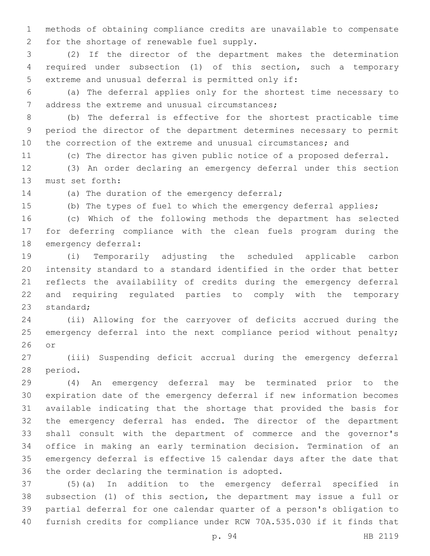methods of obtaining compliance credits are unavailable to compensate 2 for the shortage of renewable fuel supply.

 (2) If the director of the department makes the determination required under subsection (1) of this section, such a temporary 5 extreme and unusual deferral is permitted only if:

 (a) The deferral applies only for the shortest time necessary to 7 address the extreme and unusual circumstances;

 (b) The deferral is effective for the shortest practicable time period the director of the department determines necessary to permit the correction of the extreme and unusual circumstances; and

(c) The director has given public notice of a proposed deferral.

 (3) An order declaring an emergency deferral under this section 13 must set forth:

14 (a) The duration of the emergency deferral;

(b) The types of fuel to which the emergency deferral applies;

 (c) Which of the following methods the department has selected for deferring compliance with the clean fuels program during the 18 emergency deferral:

 (i) Temporarily adjusting the scheduled applicable carbon intensity standard to a standard identified in the order that better reflects the availability of credits during the emergency deferral and requiring regulated parties to comply with the temporary 23 standard:

 (ii) Allowing for the carryover of deficits accrued during the 25 emergency deferral into the next compliance period without penalty; or

 (iii) Suspending deficit accrual during the emergency deferral 28 period.

 (4) An emergency deferral may be terminated prior to the expiration date of the emergency deferral if new information becomes available indicating that the shortage that provided the basis for the emergency deferral has ended. The director of the department shall consult with the department of commerce and the governor's office in making an early termination decision. Termination of an emergency deferral is effective 15 calendar days after the date that 36 the order declaring the termination is adopted.

 (5)(a) In addition to the emergency deferral specified in subsection (1) of this section, the department may issue a full or partial deferral for one calendar quarter of a person's obligation to furnish credits for compliance under RCW 70A.535.030 if it finds that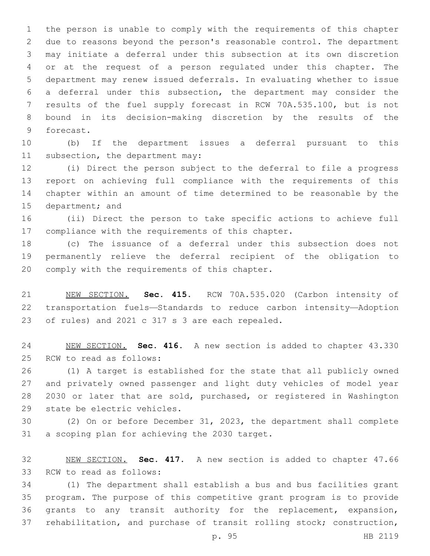the person is unable to comply with the requirements of this chapter due to reasons beyond the person's reasonable control. The department may initiate a deferral under this subsection at its own discretion or at the request of a person regulated under this chapter. The department may renew issued deferrals. In evaluating whether to issue a deferral under this subsection, the department may consider the results of the fuel supply forecast in RCW 70A.535.100, but is not bound in its decision-making discretion by the results of the 9 forecast.

 (b) If the department issues a deferral pursuant to this 11 subsection, the department may:

 (i) Direct the person subject to the deferral to file a progress report on achieving full compliance with the requirements of this chapter within an amount of time determined to be reasonable by the 15 department; and

 (ii) Direct the person to take specific actions to achieve full 17 compliance with the requirements of this chapter.

 (c) The issuance of a deferral under this subsection does not permanently relieve the deferral recipient of the obligation to 20 comply with the requirements of this chapter.

 NEW SECTION. **Sec. 415.** RCW 70A.535.020 (Carbon intensity of transportation fuels—Standards to reduce carbon intensity—Adoption of rules) and 2021 c 317 s 3 are each repealed.

 NEW SECTION. **Sec. 416.** A new section is added to chapter 43.330 25 RCW to read as follows:

 (1) A target is established for the state that all publicly owned and privately owned passenger and light duty vehicles of model year 2030 or later that are sold, purchased, or registered in Washington 29 state be electric vehicles.

 (2) On or before December 31, 2023, the department shall complete 31 a scoping plan for achieving the 2030 target.

 NEW SECTION. **Sec. 417.** A new section is added to chapter 47.66 33 RCW to read as follows:

 (1) The department shall establish a bus and bus facilities grant program. The purpose of this competitive grant program is to provide grants to any transit authority for the replacement, expansion, rehabilitation, and purchase of transit rolling stock; construction,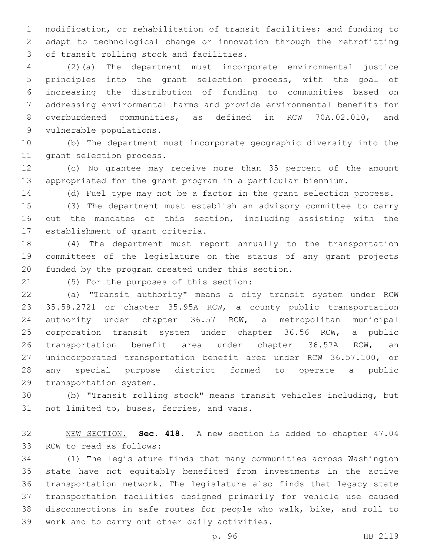modification, or rehabilitation of transit facilities; and funding to adapt to technological change or innovation through the retrofitting 3 of transit rolling stock and facilities.

 (2)(a) The department must incorporate environmental justice principles into the grant selection process, with the goal of increasing the distribution of funding to communities based on addressing environmental harms and provide environmental benefits for overburdened communities, as defined in RCW 70A.02.010, and 9 vulnerable populations.

 (b) The department must incorporate geographic diversity into the 11 grant selection process.

 (c) No grantee may receive more than 35 percent of the amount appropriated for the grant program in a particular biennium.

(d) Fuel type may not be a factor in the grant selection process.

 (3) The department must establish an advisory committee to carry out the mandates of this section, including assisting with the 17 establishment of grant criteria.

 (4) The department must report annually to the transportation committees of the legislature on the status of any grant projects 20 funded by the program created under this section.

(5) For the purposes of this section:21

 (a) "Transit authority" means a city transit system under RCW 35.58.2721 or chapter 35.95A RCW, a county public transportation authority under chapter 36.57 RCW, a metropolitan municipal corporation transit system under chapter 36.56 RCW, a public transportation benefit area under chapter 36.57A RCW, an unincorporated transportation benefit area under RCW 36.57.100, or any special purpose district formed to operate a public 29 transportation system.

 (b) "Transit rolling stock" means transit vehicles including, but 31 not limited to, buses, ferries, and vans.

 NEW SECTION. **Sec. 418.** A new section is added to chapter 47.04 33 RCW to read as follows:

 (1) The legislature finds that many communities across Washington state have not equitably benefited from investments in the active transportation network. The legislature also finds that legacy state transportation facilities designed primarily for vehicle use caused disconnections in safe routes for people who walk, bike, and roll to 39 work and to carry out other daily activities.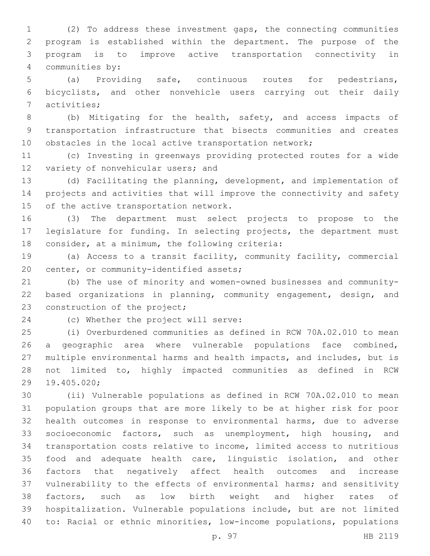(2) To address these investment gaps, the connecting communities program is established within the department. The purpose of the program is to improve active transportation connectivity in 4 communities by:

 (a) Providing safe, continuous routes for pedestrians, bicyclists, and other nonvehicle users carrying out their daily 7 activities;

 (b) Mitigating for the health, safety, and access impacts of transportation infrastructure that bisects communities and creates obstacles in the local active transportation network;

 (c) Investing in greenways providing protected routes for a wide 12 variety of nonvehicular users; and

 (d) Facilitating the planning, development, and implementation of projects and activities that will improve the connectivity and safety 15 of the active transportation network.

 (3) The department must select projects to propose to the legislature for funding. In selecting projects, the department must 18 consider, at a minimum, the following criteria:

 (a) Access to a transit facility, community facility, commercial 20 center, or community-identified assets;

 (b) The use of minority and women-owned businesses and community- based organizations in planning, community engagement, design, and 23 construction of the project;

24 (c) Whether the project will serve:

 (i) Overburdened communities as defined in RCW 70A.02.010 to mean a geographic area where vulnerable populations face combined, multiple environmental harms and health impacts, and includes, but is not limited to, highly impacted communities as defined in RCW 19.405.020;29

 (ii) Vulnerable populations as defined in RCW 70A.02.010 to mean population groups that are more likely to be at higher risk for poor health outcomes in response to environmental harms, due to adverse socioeconomic factors, such as unemployment, high housing, and transportation costs relative to income, limited access to nutritious food and adequate health care, linguistic isolation, and other factors that negatively affect health outcomes and increase vulnerability to the effects of environmental harms; and sensitivity factors, such as low birth weight and higher rates of hospitalization. Vulnerable populations include, but are not limited to: Racial or ethnic minorities, low-income populations, populations

p. 97 HB 2119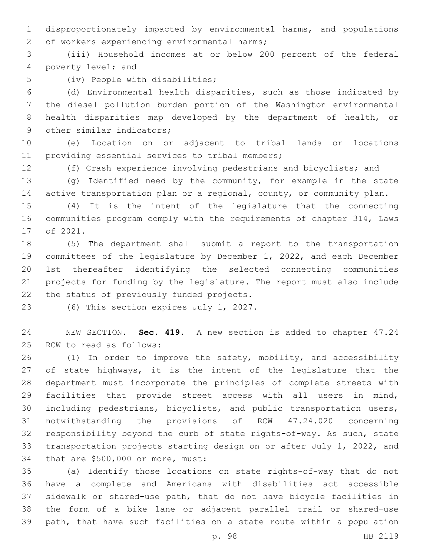disproportionately impacted by environmental harms, and populations 2 of workers experiencing environmental harms;

 (iii) Household incomes at or below 200 percent of the federal 4 poverty level; and

5 (iv) People with disabilities;

 (d) Environmental health disparities, such as those indicated by the diesel pollution burden portion of the Washington environmental health disparities map developed by the department of health, or 9 other similar indicators;

 (e) Location on or adjacent to tribal lands or locations 11 providing essential services to tribal members;

(f) Crash experience involving pedestrians and bicyclists; and

 (g) Identified need by the community, for example in the state 14 active transportation plan or a regional, county, or community plan.

 (4) It is the intent of the legislature that the connecting communities program comply with the requirements of chapter 314, Laws 17 of 2021.

 (5) The department shall submit a report to the transportation committees of the legislature by December 1, 2022, and each December 1st thereafter identifying the selected connecting communities projects for funding by the legislature. The report must also include 22 the status of previously funded projects.

23 (6) This section expires July 1, 2027.

 NEW SECTION. **Sec. 419.** A new section is added to chapter 47.24 25 RCW to read as follows:

 (1) In order to improve the safety, mobility, and accessibility 27 of state highways, it is the intent of the legislature that the department must incorporate the principles of complete streets with facilities that provide street access with all users in mind, including pedestrians, bicyclists, and public transportation users, notwithstanding the provisions of RCW 47.24.020 concerning responsibility beyond the curb of state rights-of-way. As such, state transportation projects starting design on or after July 1, 2022, and 34 that are \$500,000 or more, must:

 (a) Identify those locations on state rights-of-way that do not have a complete and Americans with disabilities act accessible sidewalk or shared-use path, that do not have bicycle facilities in the form of a bike lane or adjacent parallel trail or shared-use path, that have such facilities on a state route within a population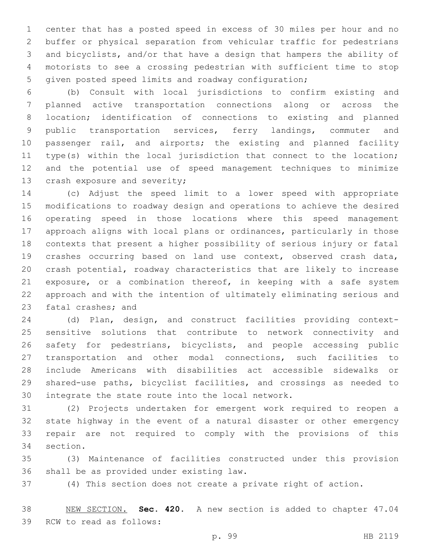center that has a posted speed in excess of 30 miles per hour and no buffer or physical separation from vehicular traffic for pedestrians and bicyclists, and/or that have a design that hampers the ability of motorists to see a crossing pedestrian with sufficient time to stop given posted speed limits and roadway configuration;

 (b) Consult with local jurisdictions to confirm existing and planned active transportation connections along or across the location; identification of connections to existing and planned public transportation services, ferry landings, commuter and passenger rail, and airports; the existing and planned facility type(s) within the local jurisdiction that connect to the location; and the potential use of speed management techniques to minimize 13 crash exposure and severity;

 (c) Adjust the speed limit to a lower speed with appropriate modifications to roadway design and operations to achieve the desired operating speed in those locations where this speed management approach aligns with local plans or ordinances, particularly in those contexts that present a higher possibility of serious injury or fatal crashes occurring based on land use context, observed crash data, crash potential, roadway characteristics that are likely to increase 21 exposure, or a combination thereof, in keeping with a safe system approach and with the intention of ultimately eliminating serious and 23 fatal crashes; and

 (d) Plan, design, and construct facilities providing context- sensitive solutions that contribute to network connectivity and safety for pedestrians, bicyclists, and people accessing public transportation and other modal connections, such facilities to include Americans with disabilities act accessible sidewalks or shared-use paths, bicyclist facilities, and crossings as needed to 30 integrate the state route into the local network.

 (2) Projects undertaken for emergent work required to reopen a state highway in the event of a natural disaster or other emergency repair are not required to comply with the provisions of this 34 section.

 (3) Maintenance of facilities constructed under this provision 36 shall be as provided under existing law.

(4) This section does not create a private right of action.

 NEW SECTION. **Sec. 420.** A new section is added to chapter 47.04 39 RCW to read as follows: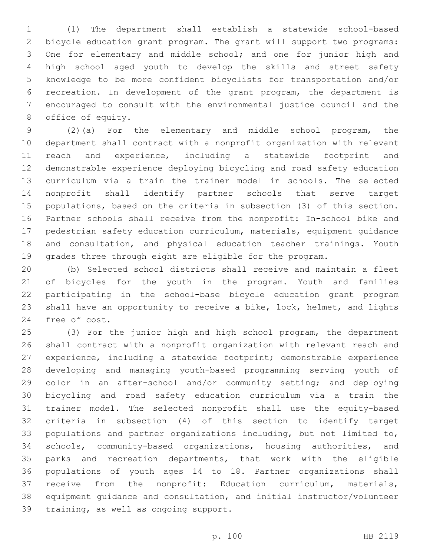(1) The department shall establish a statewide school-based bicycle education grant program. The grant will support two programs: One for elementary and middle school; and one for junior high and high school aged youth to develop the skills and street safety knowledge to be more confident bicyclists for transportation and/or recreation. In development of the grant program, the department is encouraged to consult with the environmental justice council and the 8 office of equity.

 (2)(a) For the elementary and middle school program, the department shall contract with a nonprofit organization with relevant reach and experience, including a statewide footprint and demonstrable experience deploying bicycling and road safety education curriculum via a train the trainer model in schools. The selected nonprofit shall identify partner schools that serve target populations, based on the criteria in subsection (3) of this section. Partner schools shall receive from the nonprofit: In-school bike and pedestrian safety education curriculum, materials, equipment guidance and consultation, and physical education teacher trainings. Youth grades three through eight are eligible for the program.

 (b) Selected school districts shall receive and maintain a fleet of bicycles for the youth in the program. Youth and families participating in the school-base bicycle education grant program shall have an opportunity to receive a bike, lock, helmet, and lights 24 free of cost.

 (3) For the junior high and high school program, the department shall contract with a nonprofit organization with relevant reach and experience, including a statewide footprint; demonstrable experience developing and managing youth-based programming serving youth of color in an after-school and/or community setting; and deploying bicycling and road safety education curriculum via a train the trainer model. The selected nonprofit shall use the equity-based criteria in subsection (4) of this section to identify target populations and partner organizations including, but not limited to, schools, community-based organizations, housing authorities, and parks and recreation departments, that work with the eligible populations of youth ages 14 to 18. Partner organizations shall receive from the nonprofit: Education curriculum, materials, equipment guidance and consultation, and initial instructor/volunteer 39 training, as well as ongoing support.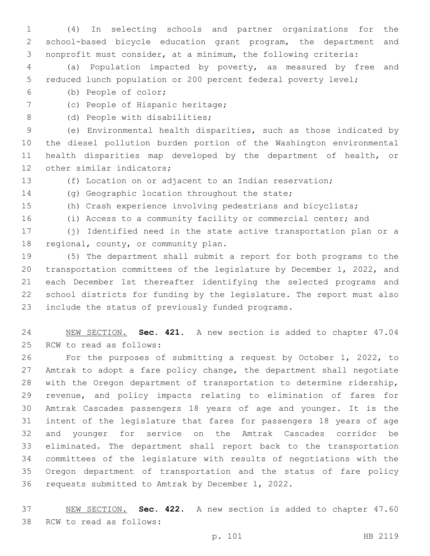(4) In selecting schools and partner organizations for the school-based bicycle education grant program, the department and nonprofit must consider, at a minimum, the following criteria:

 (a) Population impacted by poverty, as measured by free and reduced lunch population or 200 percent federal poverty level;

(b) People of color;6

7 (c) People of Hispanic heritage;

8 (d) People with disabilities;

 (e) Environmental health disparities, such as those indicated by the diesel pollution burden portion of the Washington environmental health disparities map developed by the department of health, or 12 other similar indicators;

(f) Location on or adjacent to an Indian reservation;

14 (g) Geographic location throughout the state;

(h) Crash experience involving pedestrians and bicyclists;

(i) Access to a community facility or commercial center; and

 (j) Identified need in the state active transportation plan or a 18 regional, county, or community plan.

 (5) The department shall submit a report for both programs to the transportation committees of the legislature by December 1, 2022, and each December 1st thereafter identifying the selected programs and school districts for funding by the legislature. The report must also 23 include the status of previously funded programs.

 NEW SECTION. **Sec. 421.** A new section is added to chapter 47.04 25 RCW to read as follows:

 For the purposes of submitting a request by October 1, 2022, to Amtrak to adopt a fare policy change, the department shall negotiate with the Oregon department of transportation to determine ridership, revenue, and policy impacts relating to elimination of fares for Amtrak Cascades passengers 18 years of age and younger. It is the intent of the legislature that fares for passengers 18 years of age and younger for service on the Amtrak Cascades corridor be eliminated. The department shall report back to the transportation committees of the legislature with results of negotiations with the Oregon department of transportation and the status of fare policy 36 requests submitted to Amtrak by December 1, 2022.

 NEW SECTION. **Sec. 422.** A new section is added to chapter 47.60 38 RCW to read as follows: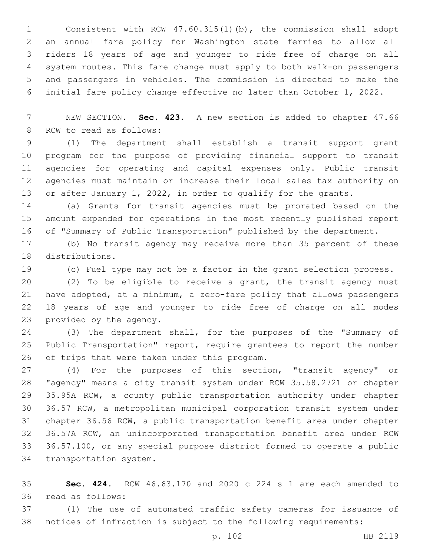Consistent with RCW 47.60.315(1)(b), the commission shall adopt an annual fare policy for Washington state ferries to allow all riders 18 years of age and younger to ride free of charge on all system routes. This fare change must apply to both walk-on passengers and passengers in vehicles. The commission is directed to make the initial fare policy change effective no later than October 1, 2022.

 NEW SECTION. **Sec. 423.** A new section is added to chapter 47.66 8 RCW to read as follows:

 (1) The department shall establish a transit support grant program for the purpose of providing financial support to transit agencies for operating and capital expenses only. Public transit agencies must maintain or increase their local sales tax authority on 13 or after January 1, 2022, in order to qualify for the grants.

 (a) Grants for transit agencies must be prorated based on the amount expended for operations in the most recently published report of "Summary of Public Transportation" published by the department.

 (b) No transit agency may receive more than 35 percent of these 18 distributions.

(c) Fuel type may not be a factor in the grant selection process.

 (2) To be eligible to receive a grant, the transit agency must have adopted, at a minimum, a zero-fare policy that allows passengers 18 years of age and younger to ride free of charge on all modes 23 provided by the agency.

 (3) The department shall, for the purposes of the "Summary of Public Transportation" report, require grantees to report the number 26 of trips that were taken under this program.

 (4) For the purposes of this section, "transit agency" or "agency" means a city transit system under RCW 35.58.2721 or chapter 35.95A RCW, a county public transportation authority under chapter 36.57 RCW, a metropolitan municipal corporation transit system under chapter 36.56 RCW, a public transportation benefit area under chapter 36.57A RCW, an unincorporated transportation benefit area under RCW 36.57.100, or any special purpose district formed to operate a public 34 transportation system.

 **Sec. 424.** RCW 46.63.170 and 2020 c 224 s 1 are each amended to 36 read as follows:

 (1) The use of automated traffic safety cameras for issuance of notices of infraction is subject to the following requirements: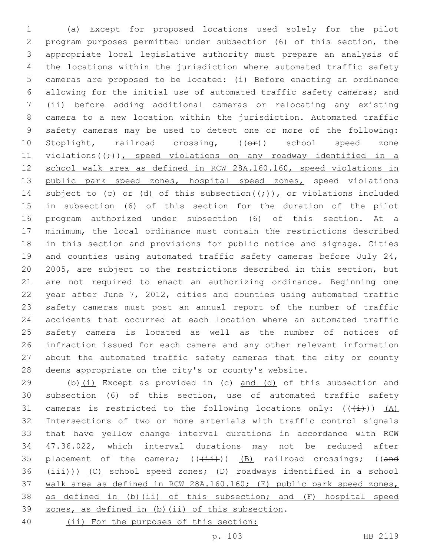(a) Except for proposed locations used solely for the pilot program purposes permitted under subsection (6) of this section, the appropriate local legislative authority must prepare an analysis of the locations within the jurisdiction where automated traffic safety cameras are proposed to be located: (i) Before enacting an ordinance allowing for the initial use of automated traffic safety cameras; and (ii) before adding additional cameras or relocating any existing camera to a new location within the jurisdiction. Automated traffic safety cameras may be used to detect one or more of the following: 10 Stoplight, railroad crossing, ((OP)) school speed zone 11 violations( $(\div)$ ), speed violations on any roadway identified in a school walk area as defined in RCW 28A.160.160, speed violations in 13 public park speed zones, hospital speed zones, speed violations 14 subject to (c) or (d) of this subsection( $(\frac{1}{r})$ ), or violations included in subsection (6) of this section for the duration of the pilot program authorized under subsection (6) of this section. At a minimum, the local ordinance must contain the restrictions described in this section and provisions for public notice and signage. Cities 19 and counties using automated traffic safety cameras before July 24, 2005, are subject to the restrictions described in this section, but are not required to enact an authorizing ordinance. Beginning one year after June 7, 2012, cities and counties using automated traffic safety cameras must post an annual report of the number of traffic accidents that occurred at each location where an automated traffic safety camera is located as well as the number of notices of infraction issued for each camera and any other relevant information about the automated traffic safety cameras that the city or county deems appropriate on the city's or county's website.

 (b)(i) Except as provided in (c) and (d) of this subsection and subsection (6) of this section, use of automated traffic safety 31 cameras is restricted to the following locations only:  $((+i))$   $(A)$  Intersections of two or more arterials with traffic control signals that have yellow change interval durations in accordance with RCW 47.36.022, which interval durations may not be reduced after 35 placement of the camera;  $((+i+1)(n-1)(n+1))$  (B) railroad crossings; ((and 36 (iii))) (C) school speed zones; (D) roadways identified in a school walk area as defined in RCW 28A.160.160; (E) public park speed zones, as defined in (b)(ii) of this subsection; and (F) hospital speed 39 zones, as defined in (b)(ii) of this subsection. (ii) For the purposes of this section: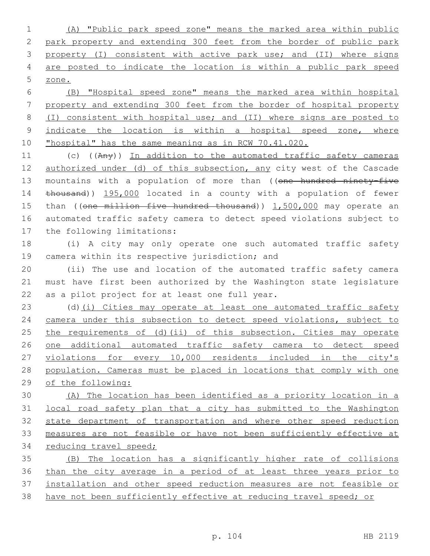(A) "Public park speed zone" means the marked area within public park property and extending 300 feet from the border of public park property (I) consistent with active park use; and (II) where signs are posted to indicate the location is within a public park speed zone.

 (B) "Hospital speed zone" means the marked area within hospital property and extending 300 feet from the border of hospital property (I) consistent with hospital use; and (II) where signs are posted to 9 indicate the location is within a hospital speed zone, where "hospital" has the same meaning as in RCW 70.41.020.

11 (c) ((Any)) In addition to the automated traffic safety cameras 12 authorized under (d) of this subsection, any city west of the Cascade 13 mountains with a population of more than ((one hundred ninety-five thousand)) 195,000 located in a county with a population of fewer 15 than ((one million five hundred thousand)) 1,500,000 may operate an automated traffic safety camera to detect speed violations subject to 17 the following limitations:

 (i) A city may only operate one such automated traffic safety 19 camera within its respective jurisdiction; and

 (ii) The use and location of the automated traffic safety camera must have first been authorized by the Washington state legislature 22 as a pilot project for at least one full year.

23 (d)(i) Cities may operate at least one automated traffic safety camera under this subsection to detect speed violations, subject to the requirements of (d)(ii) of this subsection. Cities may operate one additional automated traffic safety camera to detect speed violations for every 10,000 residents included in the city's population. Cameras must be placed in locations that comply with one of the following:

 (A) The location has been identified as a priority location in a local road safety plan that a city has submitted to the Washington state department of transportation and where other speed reduction measures are not feasible or have not been sufficiently effective at reducing travel speed;

 (B) The location has a significantly higher rate of collisions than the city average in a period of at least three years prior to installation and other speed reduction measures are not feasible or have not been sufficiently effective at reducing travel speed; or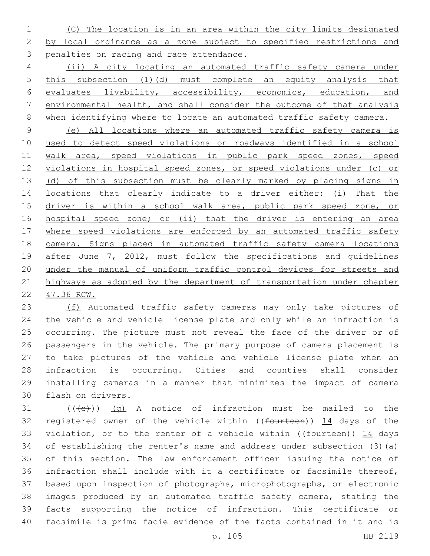(C) The location is in an area within the city limits designated by local ordinance as a zone subject to specified restrictions and penalties on racing and race attendance.

 (ii) A city locating an automated traffic safety camera under this subsection (1)(d) must complete an equity analysis that evaluates livability, accessibility, economics, education, and environmental health, and shall consider the outcome of that analysis when identifying where to locate an automated traffic safety camera.

 (e) All locations where an automated traffic safety camera is used to detect speed violations on roadways identified in a school 11 walk area, speed violations in public park speed zones, speed 12 violations in hospital speed zones, or speed violations under (c) or 13 (d) of this subsection must be clearly marked by placing signs in locations that clearly indicate to a driver either: (i) That the 15 driver is within a school walk area, public park speed zone, or hospital speed zone; or (ii) that the driver is entering an area 17 where speed violations are enforced by an automated traffic safety camera. Signs placed in automated traffic safety camera locations 19 after June 7, 2012, must follow the specifications and quidelines under the manual of uniform traffic control devices for streets and 21 highways as adopted by the department of transportation under chapter 47.36 RCW.

23 (f) Automated traffic safety cameras may only take pictures of the vehicle and vehicle license plate and only while an infraction is occurring. The picture must not reveal the face of the driver or of passengers in the vehicle. The primary purpose of camera placement is to take pictures of the vehicle and vehicle license plate when an infraction is occurring. Cities and counties shall consider installing cameras in a manner that minimizes the impact of camera 30 flash on drivers.

 (( $\left(\frac{1}{10}\right)$ ) (q) A notice of infraction must be mailed to the 32 registered owner of the vehicle within ((fourteen)) 14 days of the 33 violation, or to the renter of a vehicle within ((fourteen)) 14 days of establishing the renter's name and address under subsection (3)(a) of this section. The law enforcement officer issuing the notice of infraction shall include with it a certificate or facsimile thereof, based upon inspection of photographs, microphotographs, or electronic images produced by an automated traffic safety camera, stating the facts supporting the notice of infraction. This certificate or facsimile is prima facie evidence of the facts contained in it and is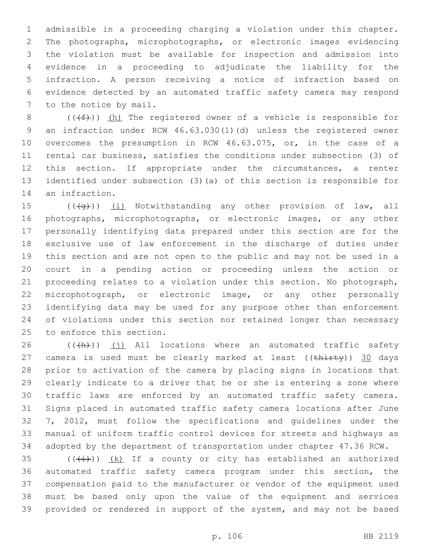admissible in a proceeding charging a violation under this chapter. The photographs, microphotographs, or electronic images evidencing the violation must be available for inspection and admission into evidence in a proceeding to adjudicate the liability for the infraction. A person receiving a notice of infraction based on evidence detected by an automated traffic safety camera may respond 7 to the notice by mail.

8 ( $(\text{+f})$ ) (h) The registered owner of a vehicle is responsible for an infraction under RCW 46.63.030(1)(d) unless the registered owner overcomes the presumption in RCW 46.63.075, or, in the case of a rental car business, satisfies the conditions under subsection (3) of this section. If appropriate under the circumstances, a renter identified under subsection (3)(a) of this section is responsible for 14 an infraction.

15 (((+q))) (i) Notwithstanding any other provision of law, all photographs, microphotographs, or electronic images, or any other personally identifying data prepared under this section are for the exclusive use of law enforcement in the discharge of duties under this section and are not open to the public and may not be used in a court in a pending action or proceeding unless the action or proceeding relates to a violation under this section. No photograph, microphotograph, or electronic image, or any other personally identifying data may be used for any purpose other than enforcement of violations under this section nor retained longer than necessary 25 to enforce this section.

 (( $\frac{h}{h}$ )) (j) All locations where an automated traffic safety 27 camera is used must be clearly marked at least  $((\text{thirty}))$  30 days prior to activation of the camera by placing signs in locations that clearly indicate to a driver that he or she is entering a zone where traffic laws are enforced by an automated traffic safety camera. Signs placed in automated traffic safety camera locations after June 7, 2012, must follow the specifications and guidelines under the manual of uniform traffic control devices for streets and highways as adopted by the department of transportation under chapter 47.36 RCW.

 $((\overline{(\dagger)}))$   $(k)$  If a county or city has established an authorized automated traffic safety camera program under this section, the compensation paid to the manufacturer or vendor of the equipment used must be based only upon the value of the equipment and services provided or rendered in support of the system, and may not be based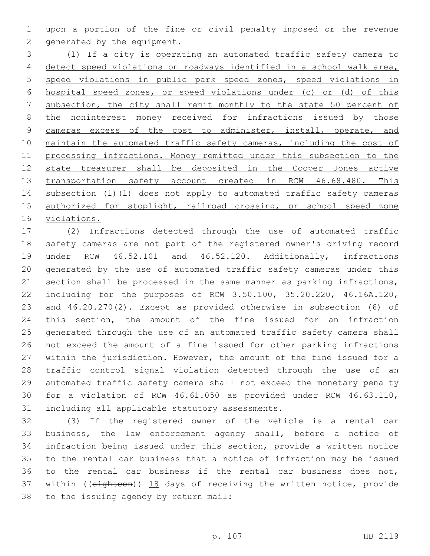upon a portion of the fine or civil penalty imposed or the revenue 2 generated by the equipment.

 (l) If a city is operating an automated traffic safety camera to detect speed violations on roadways identified in a school walk area, speed violations in public park speed zones, speed violations in hospital speed zones, or speed violations under (c) or (d) of this subsection, the city shall remit monthly to the state 50 percent of 8 the noninterest money received for infractions issued by those 9 cameras excess of the cost to administer, install, operate, and 10 maintain the automated traffic safety cameras, including the cost of processing infractions. Money remitted under this subsection to the state treasurer shall be deposited in the Cooper Jones active 13 transportation safety account created in RCW 46.68.480. This subsection (1)(l) does not apply to automated traffic safety cameras 15 authorized for stoplight, railroad crossing, or school speed zone violations.

 (2) Infractions detected through the use of automated traffic safety cameras are not part of the registered owner's driving record under RCW 46.52.101 and 46.52.120. Additionally, infractions generated by the use of automated traffic safety cameras under this section shall be processed in the same manner as parking infractions, including for the purposes of RCW 3.50.100, 35.20.220, 46.16A.120, and 46.20.270(2). Except as provided otherwise in subsection (6) of this section, the amount of the fine issued for an infraction generated through the use of an automated traffic safety camera shall not exceed the amount of a fine issued for other parking infractions within the jurisdiction. However, the amount of the fine issued for a traffic control signal violation detected through the use of an automated traffic safety camera shall not exceed the monetary penalty for a violation of RCW 46.61.050 as provided under RCW 46.63.110, 31 including all applicable statutory assessments.

 (3) If the registered owner of the vehicle is a rental car business, the law enforcement agency shall, before a notice of infraction being issued under this section, provide a written notice to the rental car business that a notice of infraction may be issued to the rental car business if the rental car business does not, 37 within ((eighteen)) 18 days of receiving the written notice, provide 38 to the issuing agency by return mail: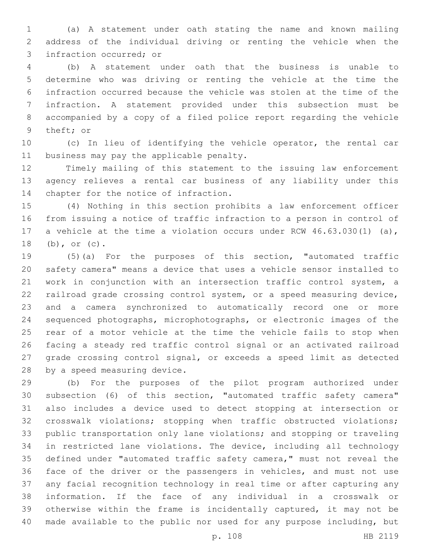(a) A statement under oath stating the name and known mailing address of the individual driving or renting the vehicle when the 3 infraction occurred; or

 (b) A statement under oath that the business is unable to determine who was driving or renting the vehicle at the time the infraction occurred because the vehicle was stolen at the time of the infraction. A statement provided under this subsection must be accompanied by a copy of a filed police report regarding the vehicle 9 theft; or

 (c) In lieu of identifying the vehicle operator, the rental car 11 business may pay the applicable penalty.

 Timely mailing of this statement to the issuing law enforcement agency relieves a rental car business of any liability under this 14 chapter for the notice of infraction.

 (4) Nothing in this section prohibits a law enforcement officer from issuing a notice of traffic infraction to a person in control of a vehicle at the time a violation occurs under RCW 46.63.030(1) (a), 18 (b), or (c).

 (5)(a) For the purposes of this section, "automated traffic safety camera" means a device that uses a vehicle sensor installed to 21 work in conjunction with an intersection traffic control system, a railroad grade crossing control system, or a speed measuring device, and a camera synchronized to automatically record one or more sequenced photographs, microphotographs, or electronic images of the rear of a motor vehicle at the time the vehicle fails to stop when facing a steady red traffic control signal or an activated railroad grade crossing control signal, or exceeds a speed limit as detected 28 by a speed measuring device.

 (b) For the purposes of the pilot program authorized under subsection (6) of this section, "automated traffic safety camera" also includes a device used to detect stopping at intersection or crosswalk violations; stopping when traffic obstructed violations; public transportation only lane violations; and stopping or traveling in restricted lane violations. The device, including all technology defined under "automated traffic safety camera," must not reveal the face of the driver or the passengers in vehicles, and must not use any facial recognition technology in real time or after capturing any information. If the face of any individual in a crosswalk or otherwise within the frame is incidentally captured, it may not be made available to the public nor used for any purpose including, but

p. 108 HB 2119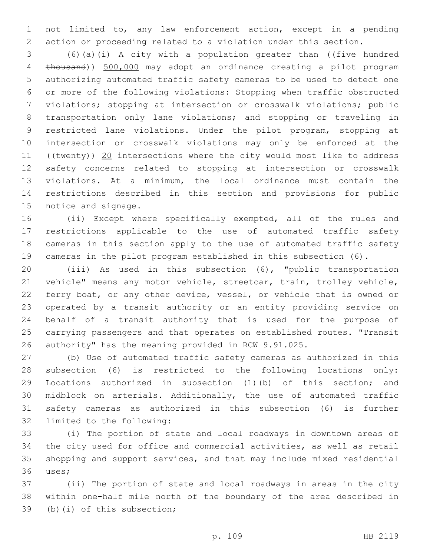not limited to, any law enforcement action, except in a pending action or proceeding related to a violation under this section.

 (6)(a)(i) A city with a population greater than ((five hundred thousand)) 500,000 may adopt an ordinance creating a pilot program authorizing automated traffic safety cameras to be used to detect one or more of the following violations: Stopping when traffic obstructed violations; stopping at intersection or crosswalk violations; public transportation only lane violations; and stopping or traveling in restricted lane violations. Under the pilot program, stopping at intersection or crosswalk violations may only be enforced at the 11 ((twenty)) 20 intersections where the city would most like to address safety concerns related to stopping at intersection or crosswalk violations. At a minimum, the local ordinance must contain the restrictions described in this section and provisions for public 15 notice and signage.

 (ii) Except where specifically exempted, all of the rules and restrictions applicable to the use of automated traffic safety cameras in this section apply to the use of automated traffic safety cameras in the pilot program established in this subsection (6).

 (iii) As used in this subsection (6), "public transportation vehicle" means any motor vehicle, streetcar, train, trolley vehicle, ferry boat, or any other device, vessel, or vehicle that is owned or operated by a transit authority or an entity providing service on behalf of a transit authority that is used for the purpose of carrying passengers and that operates on established routes. "Transit authority" has the meaning provided in RCW 9.91.025.

 (b) Use of automated traffic safety cameras as authorized in this subsection (6) is restricted to the following locations only: Locations authorized in subsection (1)(b) of this section; and midblock on arterials. Additionally, the use of automated traffic safety cameras as authorized in this subsection (6) is further 32 limited to the following:

 (i) The portion of state and local roadways in downtown areas of the city used for office and commercial activities, as well as retail shopping and support services, and that may include mixed residential 36 uses;

 (ii) The portion of state and local roadways in areas in the city within one-half mile north of the boundary of the area described in 39 (b)(i) of this subsection;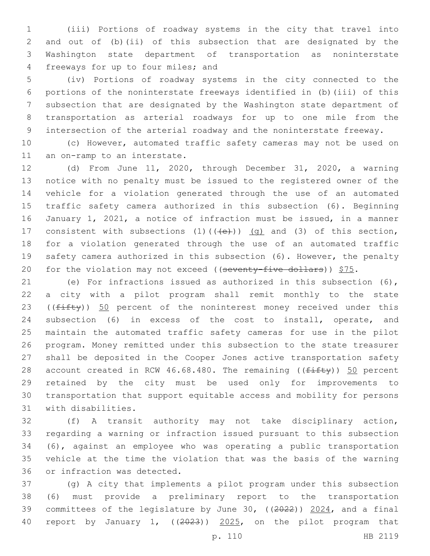(iii) Portions of roadway systems in the city that travel into and out of (b)(ii) of this subsection that are designated by the Washington state department of transportation as noninterstate 4 freeways for up to four miles; and

 (iv) Portions of roadway systems in the city connected to the portions of the noninterstate freeways identified in (b)(iii) of this subsection that are designated by the Washington state department of transportation as arterial roadways for up to one mile from the intersection of the arterial roadway and the noninterstate freeway.

 (c) However, automated traffic safety cameras may not be used on 11 an on-ramp to an interstate.

 (d) From June 11, 2020, through December 31, 2020, a warning notice with no penalty must be issued to the registered owner of the vehicle for a violation generated through the use of an automated traffic safety camera authorized in this subsection (6). Beginning January 1, 2021, a notice of infraction must be issued, in a manner 17 consistent with subsections  $(1)$   $((+e+))$   $(q)$  and  $(3)$  of this section, for a violation generated through the use of an automated traffic safety camera authorized in this subsection (6). However, the penalty 20 for the violation may not exceed ((seventy-five dollars))  $$75.$ 

 (e) For infractions issued as authorized in this subsection (6), a city with a pilot program shall remit monthly to the state 23 ( $(fiff(y))$  50 percent of the noninterest money received under this subsection (6) in excess of the cost to install, operate, and maintain the automated traffic safety cameras for use in the pilot program. Money remitted under this subsection to the state treasurer shall be deposited in the Cooper Jones active transportation safety 28 account created in RCW 46.68.480. The remaining ( $(f$ ifty)) 50 percent retained by the city must be used only for improvements to transportation that support equitable access and mobility for persons 31 with disabilities.

 (f) A transit authority may not take disciplinary action, regarding a warning or infraction issued pursuant to this subsection (6), against an employee who was operating a public transportation vehicle at the time the violation that was the basis of the warning 36 or infraction was detected.

 (g) A city that implements a pilot program under this subsection (6) must provide a preliminary report to the transportation 39 committees of the legislature by June 30, ((2022)) 2024, and a final report by January 1, ((2023)) 2025, on the pilot program that

p. 110 HB 2119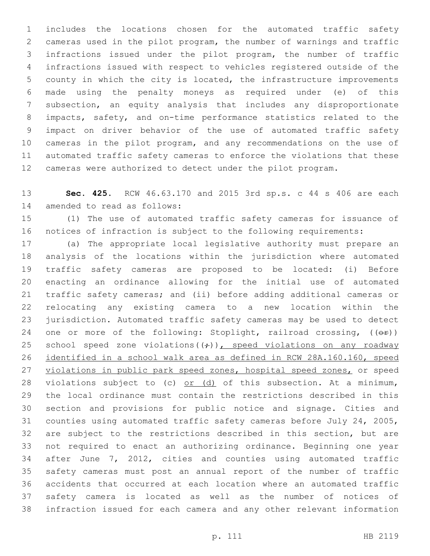includes the locations chosen for the automated traffic safety cameras used in the pilot program, the number of warnings and traffic infractions issued under the pilot program, the number of traffic infractions issued with respect to vehicles registered outside of the county in which the city is located, the infrastructure improvements made using the penalty moneys as required under (e) of this subsection, an equity analysis that includes any disproportionate impacts, safety, and on-time performance statistics related to the impact on driver behavior of the use of automated traffic safety cameras in the pilot program, and any recommendations on the use of automated traffic safety cameras to enforce the violations that these cameras were authorized to detect under the pilot program.

 **Sec. 425.** RCW 46.63.170 and 2015 3rd sp.s. c 44 s 406 are each 14 amended to read as follows:

 (1) The use of automated traffic safety cameras for issuance of notices of infraction is subject to the following requirements:

 (a) The appropriate local legislative authority must prepare an analysis of the locations within the jurisdiction where automated traffic safety cameras are proposed to be located: (i) Before enacting an ordinance allowing for the initial use of automated traffic safety cameras; and (ii) before adding additional cameras or relocating any existing camera to a new location within the jurisdiction. Automated traffic safety cameras may be used to detect 24 one or more of the following: Stoplight, railroad crossing,  $(\overrightarrow{CF})$ ) 25 school speed zone violations  $((\div))$ , speed violations on any roadway identified in a school walk area as defined in RCW 28A.160.160, speed 27 violations in public park speed zones, hospital speed zones, or speed 28 violations subject to (c)  $or$  (d) of this subsection. At a minimum, the local ordinance must contain the restrictions described in this section and provisions for public notice and signage. Cities and counties using automated traffic safety cameras before July 24, 2005, are subject to the restrictions described in this section, but are not required to enact an authorizing ordinance. Beginning one year after June 7, 2012, cities and counties using automated traffic safety cameras must post an annual report of the number of traffic accidents that occurred at each location where an automated traffic safety camera is located as well as the number of notices of infraction issued for each camera and any other relevant information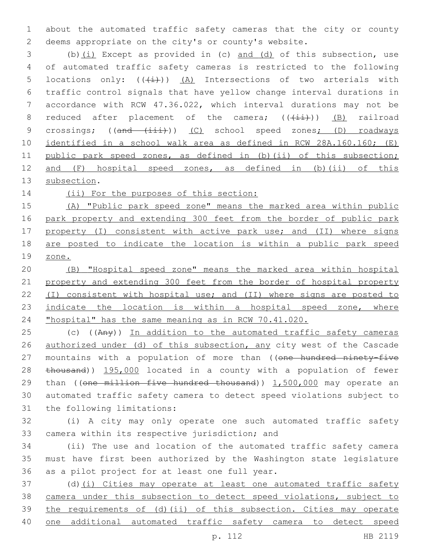about the automated traffic safety cameras that the city or county deems appropriate on the city's or county's website.

 (b)(i) Except as provided in (c) and (d) of this subsection, use of automated traffic safety cameras is restricted to the following 5 locations only:  $((\stackrel{\cdot}{(i)}))$   $(A)$  Intersections of two arterials with traffic control signals that have yellow change interval durations in accordance with RCW 47.36.022, which interval durations may not be 8 reduced after placement of the camera;  $((\overrightarrow{iii}))$  (B) railroad 9 crossings; ((and (iii))) (C) school speed zones; (D) roadways identified in a school walk area as defined in RCW 28A.160.160; (E) 11 public park speed zones, as defined in (b)(ii) of this subsection; and (F) hospital speed zones, as defined in (b)(ii) of this 13 subsection.

14 (ii) For the purposes of this section:

 (A) "Public park speed zone" means the marked area within public park property and extending 300 feet from the border of public park 17 property (I) consistent with active park use; and (II) where signs are posted to indicate the location is within a public park speed zone.

 (B) "Hospital speed zone" means the marked area within hospital property and extending 300 feet from the border of hospital property (I) consistent with hospital use; and (II) where signs are posted to 23 indicate the location is within a hospital speed zone, where "hospital" has the same meaning as in RCW 70.41.020.

25 (c) ((Any)) In addition to the automated traffic safety cameras authorized under (d) of this subsection, any city west of the Cascade 27 mountains with a population of more than ((one hundred ninety-five 28 thousand)) 195,000 located in a county with a population of fewer 29 than ((one million five hundred thousand)) 1,500,000 may operate an automated traffic safety camera to detect speed violations subject to 31 the following limitations:

 (i) A city may only operate one such automated traffic safety 33 camera within its respective jurisdiction; and

 (ii) The use and location of the automated traffic safety camera must have first been authorized by the Washington state legislature 36 as a pilot project for at least one full year.

 (d)(i) Cities may operate at least one automated traffic safety camera under this subsection to detect speed violations, subject to the requirements of (d)(ii) of this subsection. Cities may operate one additional automated traffic safety camera to detect speed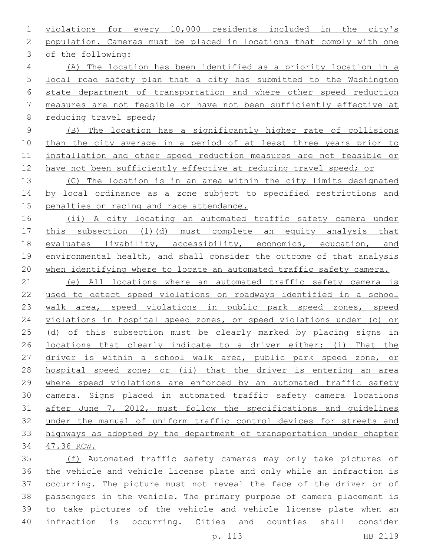violations for every 10,000 residents included in the city's population. Cameras must be placed in locations that comply with one 3 of the following: (A) The location has been identified as a priority location in a local road safety plan that a city has submitted to the Washington state department of transportation and where other speed reduction measures are not feasible or have not been sufficiently effective at 8 reducing travel speed; (B) The location has a significantly higher rate of collisions 10 than the city average in a period of at least three years prior to installation and other speed reduction measures are not feasible or 12 have not been sufficiently effective at reducing travel speed; or (C) The location is in an area within the city limits designated 14 by local ordinance as a zone subject to specified restrictions and 15 penalties on racing and race attendance. (ii) A city locating an automated traffic safety camera under this subsection (1)(d) must complete an equity analysis that evaluates livability, accessibility, economics, education, and environmental health, and shall consider the outcome of that analysis when identifying where to locate an automated traffic safety camera. (e) All locations where an automated traffic safety camera is used to detect speed violations on roadways identified in a school walk area, speed violations in public park speed zones, speed violations in hospital speed zones, or speed violations under (c) or 25 (d) of this subsection must be clearly marked by placing signs in locations that clearly indicate to a driver either: (i) That the driver is within a school walk area, public park speed zone, or hospital speed zone; or (ii) that the driver is entering an area where speed violations are enforced by an automated traffic safety camera. Signs placed in automated traffic safety camera locations after June 7, 2012, must follow the specifications and guidelines under the manual of uniform traffic control devices for streets and highways as adopted by the department of transportation under chapter 47.36 RCW. (f) Automated traffic safety cameras may only take pictures of the vehicle and vehicle license plate and only while an infraction is

 occurring. The picture must not reveal the face of the driver or of passengers in the vehicle. The primary purpose of camera placement is to take pictures of the vehicle and vehicle license plate when an infraction is occurring. Cities and counties shall consider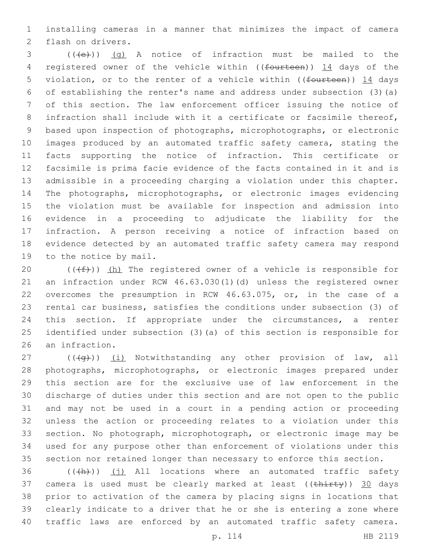installing cameras in a manner that minimizes the impact of camera 2 flash on drivers.

 (( $\left(\frac{1}{1}e\right)$ ) (q) A notice of infraction must be mailed to the 4 registered owner of the vehicle within ((fourteen)) 14 days of the 5 violation, or to the renter of a vehicle within ((fourteen)) 14 days of establishing the renter's name and address under subsection (3)(a) of this section. The law enforcement officer issuing the notice of infraction shall include with it a certificate or facsimile thereof, based upon inspection of photographs, microphotographs, or electronic images produced by an automated traffic safety camera, stating the facts supporting the notice of infraction. This certificate or facsimile is prima facie evidence of the facts contained in it and is admissible in a proceeding charging a violation under this chapter. The photographs, microphotographs, or electronic images evidencing the violation must be available for inspection and admission into evidence in a proceeding to adjudicate the liability for the infraction. A person receiving a notice of infraction based on evidence detected by an automated traffic safety camera may respond 19 to the notice by mail.

 $((\text{#}))$  (h) The registered owner of a vehicle is responsible for an infraction under RCW 46.63.030(1)(d) unless the registered owner overcomes the presumption in RCW 46.63.075, or, in the case of a rental car business, satisfies the conditions under subsection (3) of this section. If appropriate under the circumstances, a renter identified under subsection (3)(a) of this section is responsible for 26 an infraction.

 $((\overline{q}))(\overline{1})$  Notwithstanding any other provision of law, all photographs, microphotographs, or electronic images prepared under this section are for the exclusive use of law enforcement in the discharge of duties under this section and are not open to the public and may not be used in a court in a pending action or proceeding unless the action or proceeding relates to a violation under this section. No photograph, microphotograph, or electronic image may be used for any purpose other than enforcement of violations under this section nor retained longer than necessary to enforce this section.

36 (((+h)) (i) All locations where an automated traffic safety 37 camera is used must be clearly marked at least  $((\text{thirty}))$  30 days prior to activation of the camera by placing signs in locations that clearly indicate to a driver that he or she is entering a zone where traffic laws are enforced by an automated traffic safety camera.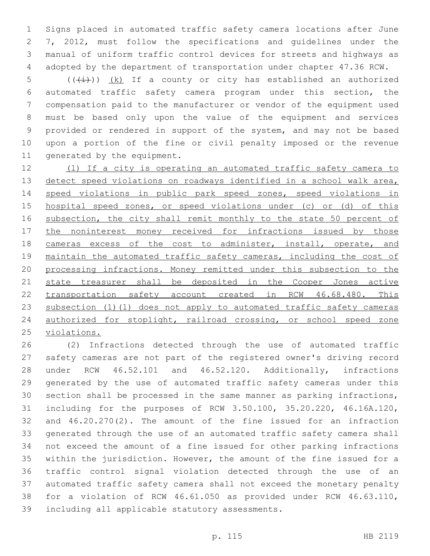Signs placed in automated traffic safety camera locations after June 7, 2012, must follow the specifications and guidelines under the manual of uniform traffic control devices for streets and highways as adopted by the department of transportation under chapter 47.36 RCW.

5 ( $(\frac{1}{1})$ )  $(k)$  If a county or city has established an authorized automated traffic safety camera program under this section, the compensation paid to the manufacturer or vendor of the equipment used must be based only upon the value of the equipment and services provided or rendered in support of the system, and may not be based upon a portion of the fine or civil penalty imposed or the revenue 11 generated by the equipment.

 (l) If a city is operating an automated traffic safety camera to detect speed violations on roadways identified in a school walk area, speed violations in public park speed zones, speed violations in hospital speed zones, or speed violations under (c) or (d) of this 16 subsection, the city shall remit monthly to the state 50 percent of 17 the noninterest money received for infractions issued by those 18 cameras excess of the cost to administer, install, operate, and maintain the automated traffic safety cameras, including the cost of processing infractions. Money remitted under this subsection to the 21 state treasurer shall be deposited in the Cooper Jones active transportation safety account created in RCW 46.68.480. This 23 subsection (1)(1) does not apply to automated traffic safety cameras authorized for stoplight, railroad crossing, or school speed zone violations.

 (2) Infractions detected through the use of automated traffic safety cameras are not part of the registered owner's driving record under RCW 46.52.101 and 46.52.120. Additionally, infractions generated by the use of automated traffic safety cameras under this section shall be processed in the same manner as parking infractions, including for the purposes of RCW 3.50.100, 35.20.220, 46.16A.120, and 46.20.270(2). The amount of the fine issued for an infraction generated through the use of an automated traffic safety camera shall not exceed the amount of a fine issued for other parking infractions within the jurisdiction. However, the amount of the fine issued for a traffic control signal violation detected through the use of an automated traffic safety camera shall not exceed the monetary penalty for a violation of RCW 46.61.050 as provided under RCW 46.63.110, 39 including all applicable statutory assessments.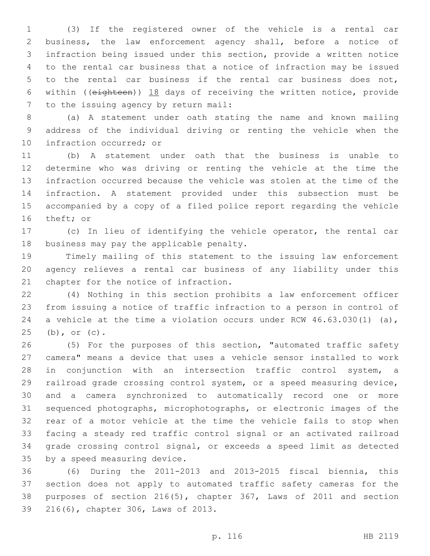(3) If the registered owner of the vehicle is a rental car business, the law enforcement agency shall, before a notice of infraction being issued under this section, provide a written notice to the rental car business that a notice of infraction may be issued to the rental car business if the rental car business does not, within ((eighteen)) 18 days of receiving the written notice, provide 7 to the issuing agency by return mail:

 (a) A statement under oath stating the name and known mailing address of the individual driving or renting the vehicle when the 10 infraction occurred; or

 (b) A statement under oath that the business is unable to determine who was driving or renting the vehicle at the time the infraction occurred because the vehicle was stolen at the time of the infraction. A statement provided under this subsection must be accompanied by a copy of a filed police report regarding the vehicle 16 theft; or

 (c) In lieu of identifying the vehicle operator, the rental car 18 business may pay the applicable penalty.

 Timely mailing of this statement to the issuing law enforcement agency relieves a rental car business of any liability under this 21 chapter for the notice of infraction.

 (4) Nothing in this section prohibits a law enforcement officer from issuing a notice of traffic infraction to a person in control of 24 a vehicle at the time a violation occurs under RCW 46.63.030(1) (a), 25 (b), or (c).

 (5) For the purposes of this section, "automated traffic safety camera" means a device that uses a vehicle sensor installed to work in conjunction with an intersection traffic control system, a railroad grade crossing control system, or a speed measuring device, and a camera synchronized to automatically record one or more sequenced photographs, microphotographs, or electronic images of the rear of a motor vehicle at the time the vehicle fails to stop when facing a steady red traffic control signal or an activated railroad grade crossing control signal, or exceeds a speed limit as detected 35 by a speed measuring device.

 (6) During the 2011-2013 and 2013-2015 fiscal biennia, this section does not apply to automated traffic safety cameras for the purposes of section 216(5), chapter 367, Laws of 2011 and section 39 216(6), chapter 306, Laws of 2013.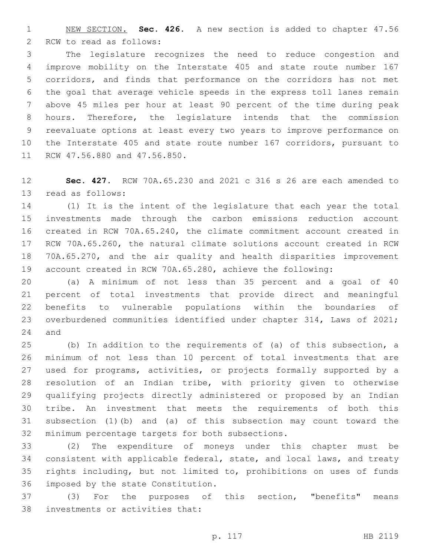NEW SECTION. **Sec. 426.** A new section is added to chapter 47.56 2 RCW to read as follows:

 The legislature recognizes the need to reduce congestion and improve mobility on the Interstate 405 and state route number 167 corridors, and finds that performance on the corridors has not met the goal that average vehicle speeds in the express toll lanes remain above 45 miles per hour at least 90 percent of the time during peak hours. Therefore, the legislature intends that the commission reevaluate options at least every two years to improve performance on the Interstate 405 and state route number 167 corridors, pursuant to 11 RCW 47.56.880 and 47.56.850.

 **Sec. 427.** RCW 70A.65.230 and 2021 c 316 s 26 are each amended to 13 read as follows:

 (1) It is the intent of the legislature that each year the total investments made through the carbon emissions reduction account created in RCW 70A.65.240, the climate commitment account created in RCW 70A.65.260, the natural climate solutions account created in RCW 70A.65.270, and the air quality and health disparities improvement account created in RCW 70A.65.280, achieve the following:

 (a) A minimum of not less than 35 percent and a goal of 40 percent of total investments that provide direct and meaningful benefits to vulnerable populations within the boundaries of overburdened communities identified under chapter 314, Laws of 2021; and

 (b) In addition to the requirements of (a) of this subsection, a minimum of not less than 10 percent of total investments that are used for programs, activities, or projects formally supported by a resolution of an Indian tribe, with priority given to otherwise qualifying projects directly administered or proposed by an Indian tribe. An investment that meets the requirements of both this subsection (1)(b) and (a) of this subsection may count toward the 32 minimum percentage targets for both subsections.

 (2) The expenditure of moneys under this chapter must be consistent with applicable federal, state, and local laws, and treaty rights including, but not limited to, prohibitions on uses of funds 36 imposed by the state Constitution.

 (3) For the purposes of this section, "benefits" means 38 investments or activities that: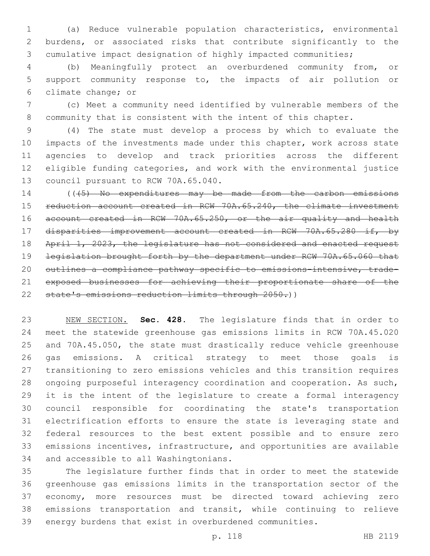(a) Reduce vulnerable population characteristics, environmental burdens, or associated risks that contribute significantly to the cumulative impact designation of highly impacted communities;

 (b) Meaningfully protect an overburdened community from, or support community response to, the impacts of air pollution or 6 climate change; or

 (c) Meet a community need identified by vulnerable members of the community that is consistent with the intent of this chapter.

 (4) The state must develop a process by which to evaluate the impacts of the investments made under this chapter, work across state agencies to develop and track priorities across the different eligible funding categories, and work with the environmental justice 13 council pursuant to RCW 70A.65.040.

14 ((45) No expenditures may be made from the carbon emissions reduction account created in RCW 70A.65.240, the climate investment account created in RCW 70A.65.250, or the air quality and health disparities improvement account created in RCW 70A.65.280 if, by 18 April 1, 2023, the legislature has not considered and enacted request legislation brought forth by the department under RCW 70A.65.060 that outlines a compliance pathway specific to emissions-intensive, trade- exposed businesses for achieving their proportionate share of the state's emissions reduction limits through 2050.))

 NEW SECTION. **Sec. 428.** The legislature finds that in order to meet the statewide greenhouse gas emissions limits in RCW 70A.45.020 and 70A.45.050, the state must drastically reduce vehicle greenhouse gas emissions. A critical strategy to meet those goals is transitioning to zero emissions vehicles and this transition requires ongoing purposeful interagency coordination and cooperation. As such, it is the intent of the legislature to create a formal interagency council responsible for coordinating the state's transportation electrification efforts to ensure the state is leveraging state and federal resources to the best extent possible and to ensure zero emissions incentives, infrastructure, and opportunities are available and accessible to all Washingtonians.

 The legislature further finds that in order to meet the statewide greenhouse gas emissions limits in the transportation sector of the economy, more resources must be directed toward achieving zero emissions transportation and transit, while continuing to relieve energy burdens that exist in overburdened communities.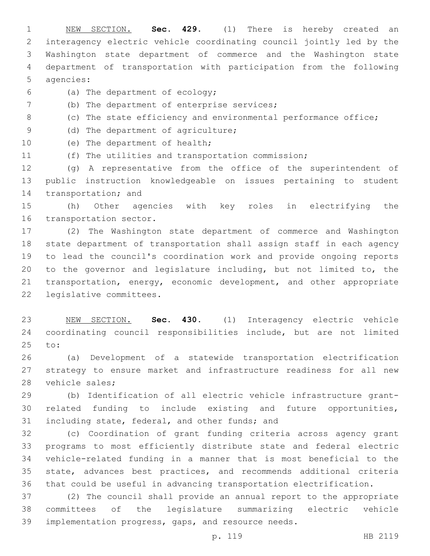NEW SECTION. **Sec. 429.** (1) There is hereby created an interagency electric vehicle coordinating council jointly led by the Washington state department of commerce and the Washington state department of transportation with participation from the following agencies:

- (a) The department of ecology;6
- (b) The department of enterprise services;
- (c) The state efficiency and environmental performance office;
- 9 (d) The department of agriculture;
- 10 (e) The department of health;
- (f) The utilities and transportation commission;

 (g) A representative from the office of the superintendent of public instruction knowledgeable on issues pertaining to student 14 transportation; and

 (h) Other agencies with key roles in electrifying the 16 transportation sector.

 (2) The Washington state department of commerce and Washington state department of transportation shall assign staff in each agency to lead the council's coordination work and provide ongoing reports to the governor and legislature including, but not limited to, the transportation, energy, economic development, and other appropriate 22 legislative committees.

 NEW SECTION. **Sec. 430.** (1) Interagency electric vehicle coordinating council responsibilities include, but are not limited to:

 (a) Development of a statewide transportation electrification strategy to ensure market and infrastructure readiness for all new 28 vehicle sales;

 (b) Identification of all electric vehicle infrastructure grant- related funding to include existing and future opportunities, 31 including state, federal, and other funds; and

 (c) Coordination of grant funding criteria across agency grant programs to most efficiently distribute state and federal electric vehicle-related funding in a manner that is most beneficial to the state, advances best practices, and recommends additional criteria that could be useful in advancing transportation electrification.

 (2) The council shall provide an annual report to the appropriate committees of the legislature summarizing electric vehicle implementation progress, gaps, and resource needs.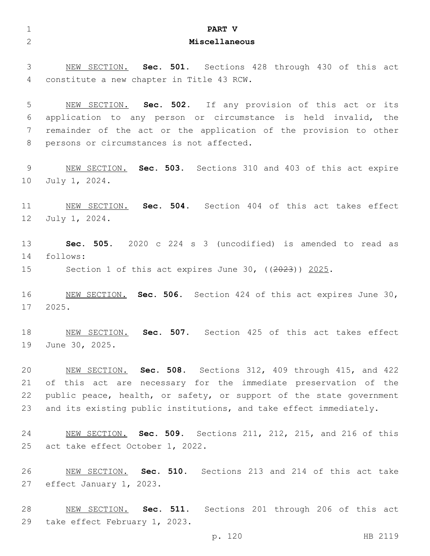| $\mathbf{1}$    | PART V                                                                                                         |
|-----------------|----------------------------------------------------------------------------------------------------------------|
| $\overline{2}$  | Miscellaneous                                                                                                  |
|                 |                                                                                                                |
| 3               | NEW SECTION. Sec. 501. Sections 428 through 430 of this act                                                    |
| 4               | constitute a new chapter in Title 43 RCW.                                                                      |
|                 |                                                                                                                |
| 5               | NEW SECTION. Sec. 502. If any provision of this act or its                                                     |
| 6<br>7          | application to any person or circumstance is held invalid, the                                                 |
| 8               | remainder of the act or the application of the provision to other<br>persons or circumstances is not affected. |
|                 |                                                                                                                |
| 9               | NEW SECTION. Sec. 503. Sections 310 and 403 of this act expire                                                 |
| 10              | July 1, 2024.                                                                                                  |
|                 |                                                                                                                |
| 11              | NEW SECTION. Sec. 504. Section 404 of this act takes effect                                                    |
| 12 <sup>°</sup> | July 1, 2024.                                                                                                  |
|                 |                                                                                                                |
| 13              | Sec. 505. 2020 c 224 s 3 (uncodified) is amended to read as                                                    |
| 14              | follows:                                                                                                       |
| 15              | Section 1 of this act expires June 30, $((2023))$ 2025.                                                        |
| 16              | NEW SECTION. Sec. 506. Section 424 of this act expires June 30,                                                |
| 17              | 2025.                                                                                                          |
|                 |                                                                                                                |
| 18              | Sec. 507. Section 425 of this act takes effect<br>NEW SECTION.                                                 |
| 19              | June 30, 2025.                                                                                                 |
|                 |                                                                                                                |
| 20              | NEW SECTION. Sec. 508. Sections 312, 409 through 415, and 422                                                  |
| 21              | of this act are necessary for the immediate preservation of the                                                |
| 22              | public peace, health, or safety, or support of the state government                                            |
| 23              | and its existing public institutions, and take effect immediately.                                             |
| 24              | NEW SECTION. Sec. 509. Sections 211, 212, 215, and 216 of this                                                 |
| 25              | act take effect October 1, 2022.                                                                               |
|                 |                                                                                                                |
| 26              | NEW SECTION. Sec. 510. Sections 213 and 214 of this act take                                                   |
| 27              | effect January 1, 2023.                                                                                        |
|                 |                                                                                                                |
| 28              | NEW SECTION. Sec. 511. Sections 201 through 206 of this act                                                    |
| 29              | take effect February 1, 2023.                                                                                  |
|                 | p. 120<br>HB 2119                                                                                              |